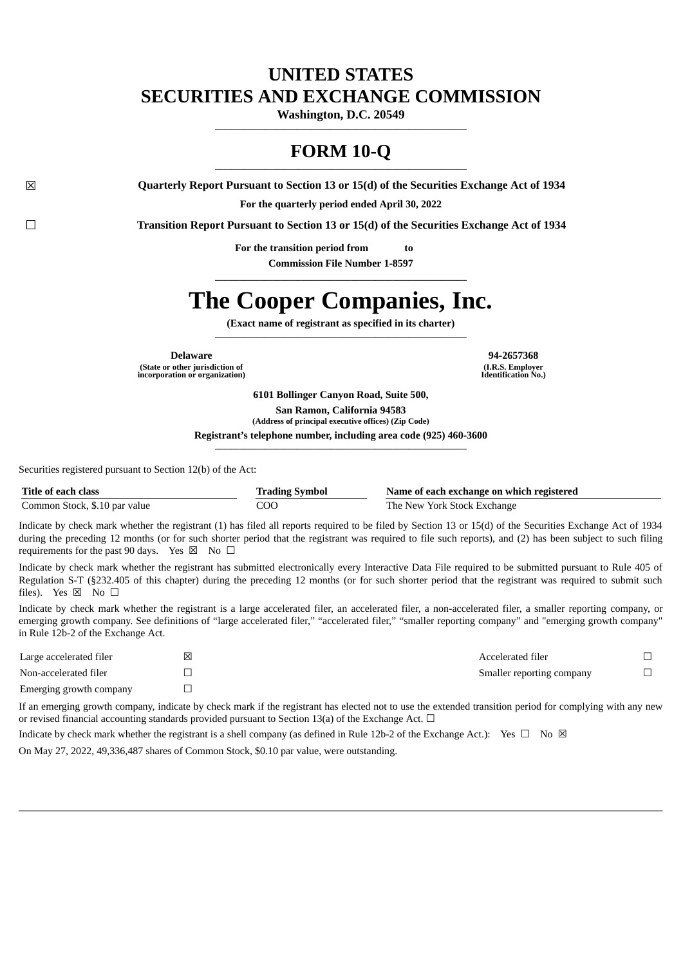# **UNITED STATES SECURITIES AND EXCHANGE COMMISSION**

**Washington, D.C. 20549 \_\_\_\_\_\_\_\_\_\_\_\_\_\_\_\_\_\_\_\_\_\_\_\_\_\_\_\_\_\_\_\_\_\_\_\_\_\_\_\_\_\_\_\_\_\_\_\_\_\_\_\_\_\_\_\_\_\_\_\_\_**

# **FORM 10-Q \_\_\_\_\_\_\_\_\_\_\_\_\_\_\_\_\_\_\_\_\_\_\_\_\_\_\_\_\_\_\_\_\_\_\_\_\_\_\_\_\_\_\_\_\_\_\_\_\_\_\_\_\_\_\_\_\_\_\_\_\_**

☒ **Quarterly Report Pursuant to Section 13 or 15(d) of the Securities Exchange Act of 1934**

**For the quarterly period ended April 30, 2022**

☐ **Transition Report Pursuant to Section 13 or 15(d) of the Securities Exchange Act of 1934**

**For the transition period from to Commission File Number 1-8597**

# **The Cooper Companies, Inc.**

**\_\_\_\_\_\_\_\_\_\_\_\_\_\_\_\_\_\_\_\_\_\_\_\_\_\_\_\_\_\_\_\_\_\_\_\_\_\_\_\_\_\_\_\_\_\_\_\_\_\_\_\_\_\_\_\_\_\_\_\_\_**

**(Exact name of registrant as specified in its charter) \_\_\_\_\_\_\_\_\_\_\_\_\_\_\_\_\_\_\_\_\_\_\_\_\_\_\_\_\_\_\_\_\_\_\_\_\_\_\_\_\_\_\_\_\_\_\_\_\_\_\_\_\_\_\_\_\_\_\_\_\_**

**Delaware 94-2657368 (State or other jurisdiction of incorporation or organization)**

**(I.R.S. Employer Identification No.)**

**6101 Bollinger Canyon Road, Suite 500,**

**San Ramon, California 94583**

**(Address of principal executive offices) (Zip Code)**

**Registrant's telephone number, including area code (925) 460-3600 \_\_\_\_\_\_\_\_\_\_\_\_\_\_\_\_\_\_\_\_\_\_\_\_\_\_\_\_\_\_\_\_\_\_\_\_\_\_\_\_\_\_\_\_\_\_\_\_\_\_\_\_\_\_\_\_\_\_\_\_\_**

Securities registered pursuant to Section 12(b) of the Act:

| Title of each class           | <b>Trading Symbol</b> | Name of each exchange on which registered |
|-------------------------------|-----------------------|-------------------------------------------|
| Common Stock, \$.10 par value | 00:                   | The New York Stock Exchange               |

Indicate by check mark whether the registrant (1) has filed all reports required to be filed by Section 13 or 15(d) of the Securities Exchange Act of 1934 during the preceding 12 months (or for such shorter period that the registrant was required to file such reports), and (2) has been subject to such filing requirements for the past 90 days. Yes  $\boxtimes$  No  $\Box$ 

Indicate by check mark whether the registrant has submitted electronically every Interactive Data File required to be submitted pursuant to Rule 405 of Regulation S-T (§232.405 of this chapter) during the preceding 12 months (or for such shorter period that the registrant was required to submit such files). Yes  $\boxtimes$  No  $\square$ 

Indicate by check mark whether the registrant is a large accelerated filer, an accelerated filer, a non-accelerated filer, a smaller reporting company, or emerging growth company. See definitions of "large accelerated filer," "accelerated filer," "smaller reporting company" and "emerging growth company" in Rule 12b-2 of the Exchange Act.

| Large accelerated filer | ⊠ | Accelerated filer         |  |
|-------------------------|---|---------------------------|--|
| Non-accelerated filer   |   | Smaller reporting company |  |
| Emerging growth company |   |                           |  |

If an emerging growth company, indicate by check mark if the registrant has elected not to use the extended transition period for complying with any new or revised financial accounting standards provided pursuant to Section 13(a) of the Exchange Act.  $\Box$ 

Indicate by check mark whether the registrant is a shell company (as defined in Rule 12b-2 of the Exchange Act.): Yes  $\Box$  No  $\boxtimes$ 

On May 27, 2022, 49,336,487 shares of Common Stock, \$0.10 par value, were outstanding.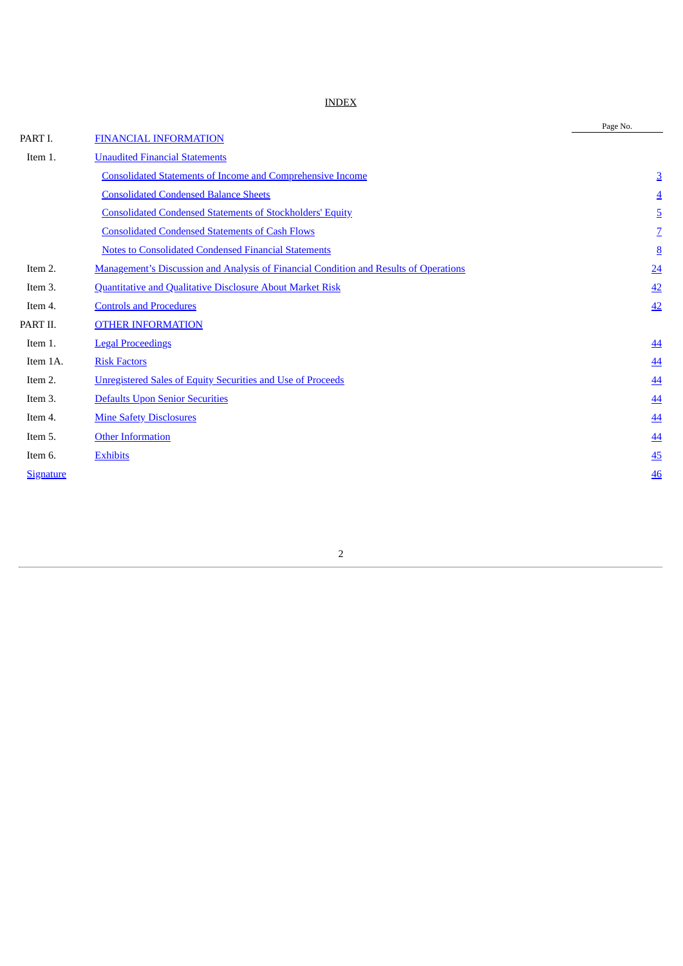INDEX

<span id="page-1-0"></span>

|                  |                                                                                              | Page No.       |
|------------------|----------------------------------------------------------------------------------------------|----------------|
| PART I.          | <b>FINANCIAL INFORMATION</b>                                                                 |                |
| Item 1.          | <b>Unaudited Financial Statements</b>                                                        |                |
|                  | <b>Consolidated Statements of Income and Comprehensive Income</b>                            | $\overline{3}$ |
|                  | <b>Consolidated Condensed Balance Sheets</b>                                                 | $\overline{4}$ |
|                  | <b>Consolidated Condensed Statements of Stockholders' Equity</b>                             | $\overline{5}$ |
|                  | <b>Consolidated Condensed Statements of Cash Flows</b>                                       | $\overline{Z}$ |
|                  | <b>Notes to Consolidated Condensed Financial Statements</b>                                  | 8              |
| Item 2.          | <b>Management's Discussion and Analysis of Financial Condition and Results of Operations</b> | 24             |
| Item 3.          | <b>Quantitative and Qualitative Disclosure About Market Risk</b>                             | 42             |
| Item 4.          | <b>Controls and Procedures</b>                                                               | 42             |
| PART II.         | <b>OTHER INFORMATION</b>                                                                     |                |
| Item 1.          | <b>Legal Proceedings</b>                                                                     | 44             |
| Item 1A.         | <b>Risk Factors</b>                                                                          | 44             |
| Item 2.          | <b>Unregistered Sales of Equity Securities and Use of Proceeds</b>                           | 44             |
| Item 3.          | <b>Defaults Upon Senior Securities</b>                                                       | 44             |
| Item 4.          | <b>Mine Safety Disclosures</b>                                                               | 44             |
| Item 5.          | <b>Other Information</b>                                                                     | 44             |
| Item 6.          | <b>Exhibits</b>                                                                              | 45             |
| <b>Signature</b> |                                                                                              | 46             |
|                  |                                                                                              |                |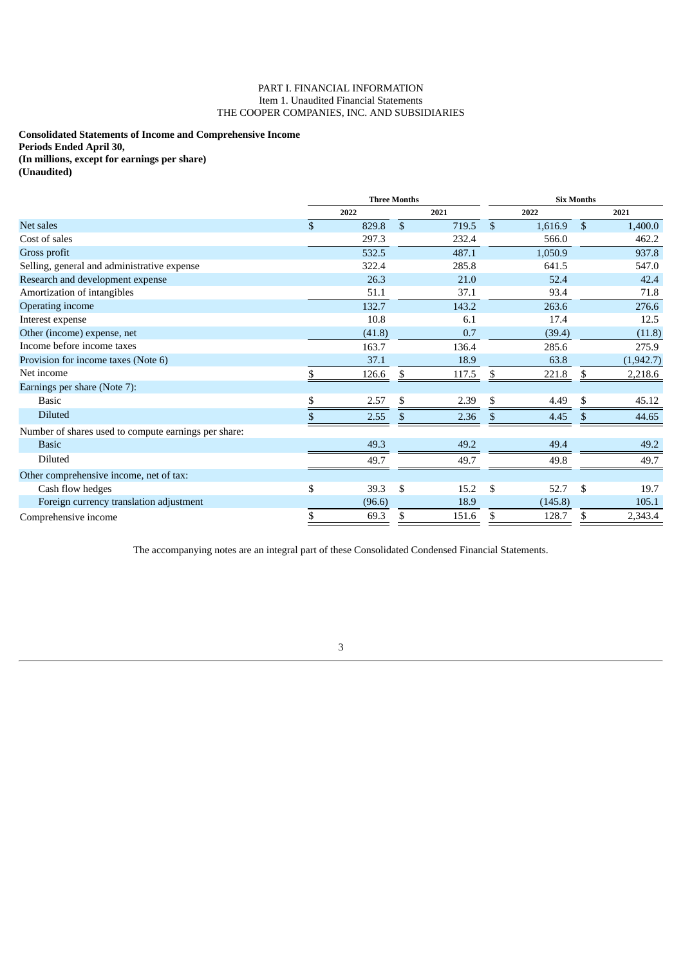# PART I. FINANCIAL INFORMATION Item 1. Unaudited Financial Statements THE COOPER COMPANIES, INC. AND SUBSIDIARIES

<span id="page-2-1"></span><span id="page-2-0"></span>**Consolidated Statements of Income and Comprehensive Income Periods Ended April 30, (In millions, except for earnings per share) (Unaudited)**

|                                                      | <b>Three Months</b> |        |              |       | <b>Six Months</b> |         |                |            |
|------------------------------------------------------|---------------------|--------|--------------|-------|-------------------|---------|----------------|------------|
|                                                      |                     | 2022   |              | 2021  | 2022              |         |                | 2021       |
| Net sales                                            | $\mathbb{S}$        | 829.8  | $\mathbb{S}$ | 719.5 | $\mathbb{S}$      | 1,616.9 | $\mathfrak{s}$ | 1,400.0    |
| Cost of sales                                        |                     | 297.3  |              | 232.4 |                   | 566.0   |                | 462.2      |
| Gross profit                                         |                     | 532.5  |              | 487.1 |                   | 1,050.9 |                | 937.8      |
| Selling, general and administrative expense          |                     | 322.4  |              | 285.8 |                   | 641.5   |                | 547.0      |
| Research and development expense                     |                     | 26.3   |              | 21.0  |                   | 52.4    |                | 42.4       |
| Amortization of intangibles                          |                     | 51.1   |              | 37.1  |                   | 93.4    |                | 71.8       |
| Operating income                                     |                     | 132.7  |              | 143.2 |                   | 263.6   |                | 276.6      |
| Interest expense                                     |                     | 10.8   |              | 6.1   |                   | 17.4    |                | 12.5       |
| Other (income) expense, net                          |                     | (41.8) |              | 0.7   |                   | (39.4)  |                | (11.8)     |
| Income before income taxes                           |                     | 163.7  |              | 136.4 |                   | 285.6   |                | 275.9      |
| Provision for income taxes (Note 6)                  |                     | 37.1   |              | 18.9  |                   | 63.8    |                | (1, 942.7) |
| Net income                                           |                     | 126.6  | \$           | 117.5 | \$                | 221.8   | \$             | 2,218.6    |
| Earnings per share (Note 7):                         |                     |        |              |       |                   |         |                |            |
| <b>Basic</b>                                         | \$                  | 2.57   | \$           | 2.39  | \$                | 4.49    | \$             | 45.12      |
| <b>Diluted</b>                                       | \$                  | 2.55   | \$           | 2.36  | S                 | 4.45    | \$             | 44.65      |
| Number of shares used to compute earnings per share: |                     |        |              |       |                   |         |                |            |
| <b>Basic</b>                                         |                     | 49.3   |              | 49.2  |                   | 49.4    |                | 49.2       |
| Diluted                                              |                     | 49.7   |              | 49.7  |                   | 49.8    |                | 49.7       |
| Other comprehensive income, net of tax:              |                     |        |              |       |                   |         |                |            |
| Cash flow hedges                                     | \$                  | 39.3   | \$           | 15.2  | \$                | 52.7    | \$             | 19.7       |
| Foreign currency translation adjustment              |                     | (96.6) |              | 18.9  |                   | (145.8) |                | 105.1      |
| Comprehensive income                                 | \$                  | 69.3   | \$           | 151.6 | \$                | 128.7   | \$             | 2,343.4    |

<span id="page-2-2"></span>The accompanying notes are an integral part of these Consolidated Condensed Financial Statements.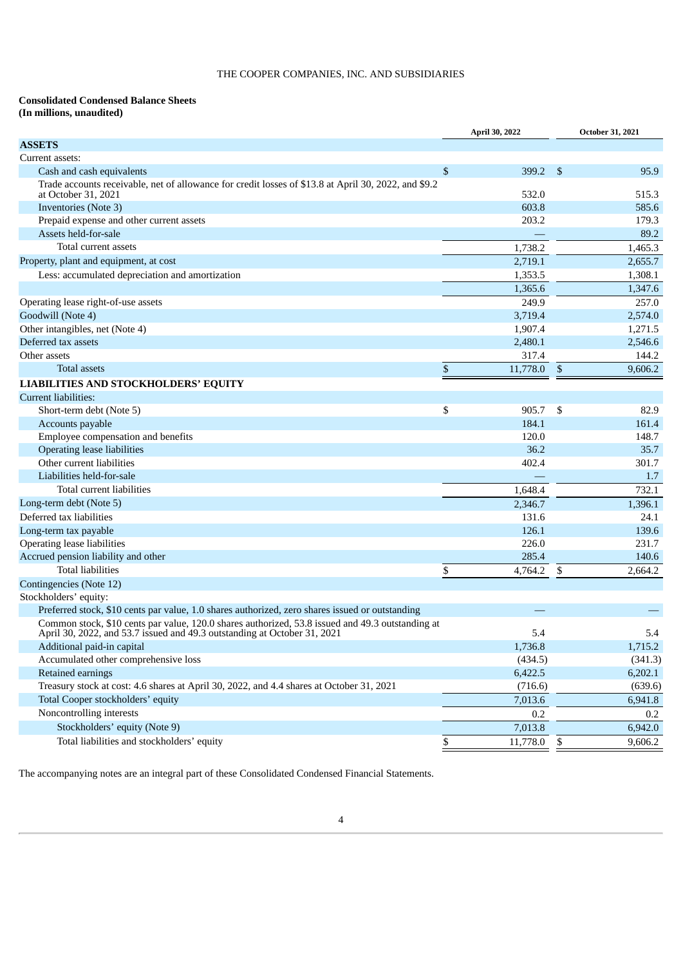# **Consolidated Condensed Balance Sheets (In millions, unaudited)**

|                                                                                                                                                                              | April 30, 2022 | October 31, 2021 |
|------------------------------------------------------------------------------------------------------------------------------------------------------------------------------|----------------|------------------|
| <b>ASSETS</b>                                                                                                                                                                |                |                  |
| Current assets:                                                                                                                                                              |                |                  |
| Cash and cash equivalents                                                                                                                                                    | \$<br>399.2    | \$<br>95.9       |
| Trade accounts receivable, net of allowance for credit losses of \$13.8 at April 30, 2022, and \$9.2<br>at October 31, 2021                                                  | 532.0          | 515.3            |
| Inventories (Note 3)                                                                                                                                                         | 603.8          | 585.6            |
| Prepaid expense and other current assets                                                                                                                                     | 203.2          | 179.3            |
| Assets held-for-sale                                                                                                                                                         |                | 89.2             |
| Total current assets                                                                                                                                                         | 1,738.2        | 1,465.3          |
| Property, plant and equipment, at cost                                                                                                                                       | 2,719.1        | 2,655.7          |
| Less: accumulated depreciation and amortization                                                                                                                              | 1,353.5        | 1,308.1          |
|                                                                                                                                                                              | 1,365.6        | 1,347.6          |
| Operating lease right-of-use assets                                                                                                                                          | 249.9          | 257.0            |
| Goodwill (Note 4)                                                                                                                                                            | 3,719.4        | 2,574.0          |
| Other intangibles, net (Note 4)                                                                                                                                              | 1,907.4        | 1,271.5          |
| Deferred tax assets                                                                                                                                                          | 2,480.1        | 2,546.6          |
| Other assets                                                                                                                                                                 | 317.4          | 144.2            |
| Total assets                                                                                                                                                                 | \$<br>11,778.0 | \$<br>9,606.2    |
| <b>LIABILITIES AND STOCKHOLDERS' EQUITY</b>                                                                                                                                  |                |                  |
| Current liabilities:                                                                                                                                                         |                |                  |
| Short-term debt (Note 5)                                                                                                                                                     | \$<br>905.7    | \$<br>82.9       |
| Accounts payable                                                                                                                                                             | 184.1          | 161.4            |
| Employee compensation and benefits                                                                                                                                           | 120.0          | 148.7            |
| <b>Operating lease liabilities</b>                                                                                                                                           | 36.2           | 35.7             |
| Other current liabilities                                                                                                                                                    | 402.4          | 301.7            |
| Liabilities held-for-sale                                                                                                                                                    |                | 1.7              |
| Total current liabilities                                                                                                                                                    | 1,648.4        | 732.1            |
| Long-term debt (Note 5)                                                                                                                                                      | 2,346.7        | 1,396.1          |
| Deferred tax liabilities                                                                                                                                                     | 131.6          | 24.1             |
| Long-term tax payable                                                                                                                                                        | 126.1          | 139.6            |
| <b>Operating lease liabilities</b>                                                                                                                                           | 226.0          | 231.7            |
| Accrued pension liability and other                                                                                                                                          | 285.4          | 140.6            |
| <b>Total liabilities</b>                                                                                                                                                     | \$<br>4,764.2  | \$<br>2,664.2    |
| Contingencies (Note 12)                                                                                                                                                      |                |                  |
| Stockholders' equity:                                                                                                                                                        |                |                  |
| Preferred stock, \$10 cents par value, 1.0 shares authorized, zero shares issued or outstanding                                                                              |                |                  |
| Common stock, \$10 cents par value, 120.0 shares authorized, 53.8 issued and 49.3 outstanding at<br>April 30, 2022, and 53.7 issued and 49.3 outstanding at October 31, 2021 | 5.4            | 5.4              |
| Additional paid-in capital                                                                                                                                                   | 1,736.8        | 1,715.2          |
| Accumulated other comprehensive loss                                                                                                                                         | (434.5)        | (341.3)          |
| Retained earnings                                                                                                                                                            | 6,422.5        | 6,202.1          |
| Treasury stock at cost: 4.6 shares at April 30, 2022, and 4.4 shares at October 31, 2021                                                                                     | (716.6)        | (639.6)          |
| Total Cooper stockholders' equity                                                                                                                                            | 7,013.6        | 6,941.8          |
| Noncontrolling interests                                                                                                                                                     | 0.2            | 0.2              |
| Stockholders' equity (Note 9)                                                                                                                                                | 7,013.8        | 6,942.0          |
| Total liabilities and stockholders' equity                                                                                                                                   | \$<br>11,778.0 | \$<br>9,606.2    |

<span id="page-3-0"></span>The accompanying notes are an integral part of these Consolidated Condensed Financial Statements.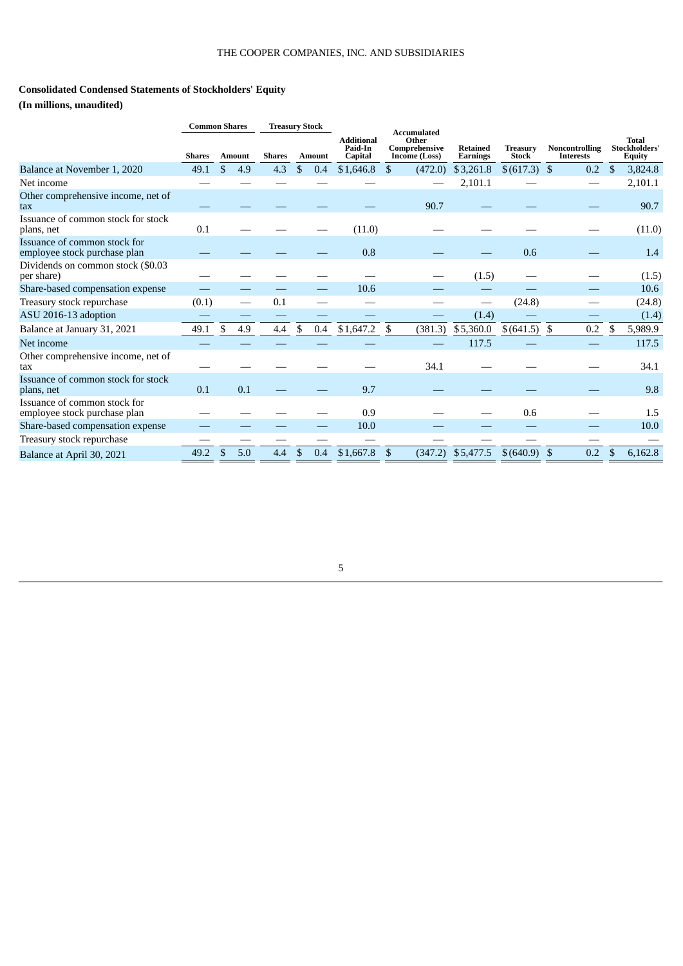# **Consolidated Condensed Statements of Stockholders' Equity**

**(In millions, unaudited)**

|                                                              | <b>Common Shares</b> |               | <b>Treasury Stock</b> |              |               | <b>Accumulated</b>                      |              |                                         |                             |                                 |                                    |     |                                         |
|--------------------------------------------------------------|----------------------|---------------|-----------------------|--------------|---------------|-----------------------------------------|--------------|-----------------------------------------|-----------------------------|---------------------------------|------------------------------------|-----|-----------------------------------------|
|                                                              | <b>Shares</b>        | <b>Amount</b> | <b>Shares</b>         |              | <b>Amount</b> | <b>Additional</b><br>Paid-In<br>Capital |              | Other<br>Comprehensive<br>Income (Loss) | Retained<br><b>Earnings</b> | <b>Treasury</b><br><b>Stock</b> | Noncontrolling<br><b>Interests</b> |     | <b>Total</b><br>Stockholders'<br>Equity |
| Balance at November 1, 2020                                  | 49.1                 | \$<br>4.9     | 4.3                   | $\mathbb{S}$ | 0.4           | \$1,646.8                               | \$           | (472.0)                                 | \$3,261.8                   | $$(617.3)$ \;                   | 0.2                                | -\$ | 3,824.8                                 |
| Net income                                                   |                      |               |                       |              |               |                                         |              |                                         | 2,101.1                     |                                 |                                    |     | 2,101.1                                 |
| Other comprehensive income, net of<br>tax                    |                      |               |                       |              |               |                                         |              | 90.7                                    |                             |                                 |                                    |     | 90.7                                    |
| Issuance of common stock for stock<br>plans, net             | 0.1                  |               |                       |              |               | (11.0)                                  |              |                                         |                             |                                 |                                    |     | (11.0)                                  |
| Issuance of common stock for<br>employee stock purchase plan |                      |               |                       |              |               | 0.8                                     |              |                                         |                             | 0.6                             |                                    |     | 1.4                                     |
| Dividends on common stock (\$0.03<br>per share)              |                      |               |                       |              |               |                                         |              |                                         | (1.5)                       |                                 |                                    |     | (1.5)                                   |
| Share-based compensation expense                             |                      |               |                       |              |               | 10.6                                    |              |                                         |                             |                                 |                                    |     | 10.6                                    |
| Treasury stock repurchase                                    | (0.1)                |               | 0.1                   |              |               |                                         |              |                                         |                             | (24.8)                          |                                    |     | (24.8)                                  |
| ASU 2016-13 adoption                                         |                      |               |                       |              |               |                                         |              |                                         | (1.4)                       |                                 |                                    |     | (1.4)                                   |
| Balance at January 31, 2021                                  | 49.1                 | \$<br>4.9     | 4.4                   | \$           | 0.4           | \$1,647.2                               | \$           | (381.3)                                 | \$5,360.0                   | \$ (641.5) \$                   | 0.2                                | \$  | 5,989.9                                 |
| Net income                                                   |                      |               |                       |              |               |                                         |              |                                         | 117.5                       |                                 |                                    |     | 117.5                                   |
| Other comprehensive income, net of<br>tax                    |                      |               |                       |              |               |                                         |              | 34.1                                    |                             |                                 |                                    |     | 34.1                                    |
| Issuance of common stock for stock<br>plans, net             | 0.1                  | 0.1           |                       |              |               | 9.7                                     |              |                                         |                             |                                 |                                    |     | 9.8                                     |
| Issuance of common stock for<br>employee stock purchase plan |                      |               |                       |              |               | 0.9                                     |              |                                         |                             | 0.6                             |                                    |     | 1.5                                     |
| Share-based compensation expense                             |                      |               |                       |              |               | 10.0                                    |              |                                         |                             |                                 |                                    |     | 10.0                                    |
| Treasury stock repurchase                                    |                      |               |                       |              |               |                                         |              |                                         |                             |                                 |                                    |     |                                         |
| Balance at April 30, 2021                                    | 49.2                 | \$<br>5.0     | 4.4                   | \$           | 0.4           | \$1,667.8                               | $\mathbb{S}$ | (347.2)                                 | \$5,477.5                   | \$ (640.9) \$                   | 0.2                                | \$  | 6,162.8                                 |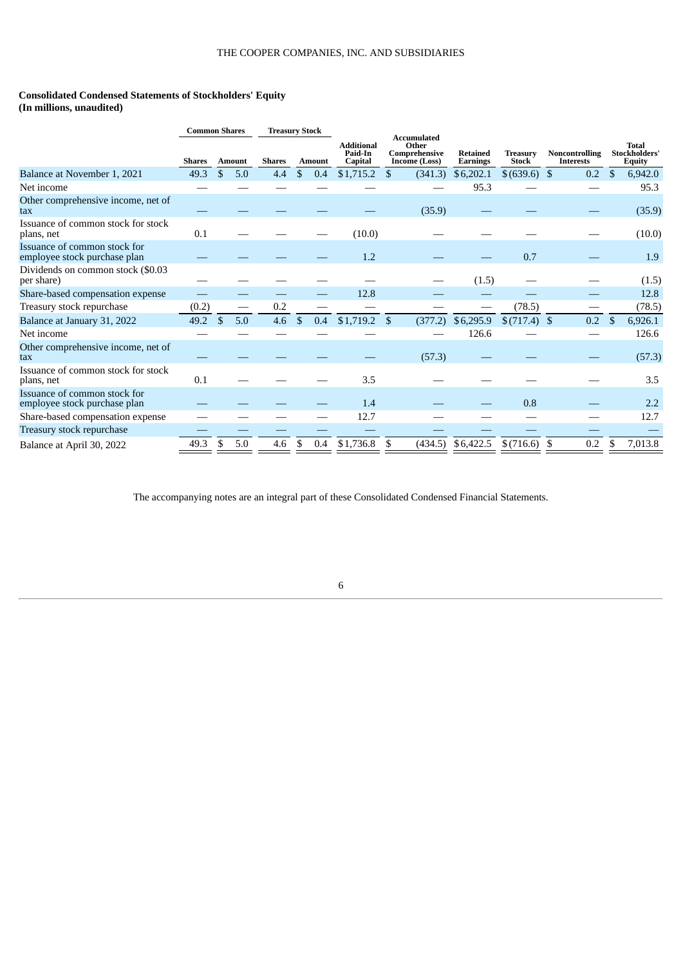# **Consolidated Condensed Statements of Stockholders' Equity**

**(In millions, unaudited)**

|                                                              | <b>Common Shares</b> |               | <b>Treasury Stock</b> |               |               |                                         |                                                               |                             |                                 |                                    |                         |                                  |
|--------------------------------------------------------------|----------------------|---------------|-----------------------|---------------|---------------|-----------------------------------------|---------------------------------------------------------------|-----------------------------|---------------------------------|------------------------------------|-------------------------|----------------------------------|
|                                                              | <b>Shares</b>        | <b>Amount</b> | <b>Shares</b>         |               | <b>Amount</b> | <b>Additional</b><br>Paid-In<br>Capital | <b>Accumulated</b><br>Other<br>Comprehensive<br>Income (Loss) | Retained<br><b>Earnings</b> | <b>Treasurv</b><br><b>Stock</b> | Noncontrolling<br><b>Interests</b> |                         | Total<br>Stockholders'<br>Equity |
| Balance at November 1, 2021                                  | 49.3                 | \$<br>5.0     | 4.4                   | \$            | 0.4           | \$1,715.2                               | \$<br>(341.3)                                                 | \$6,202.1                   | $$(639.6)$ \;                   | 0.2                                | \$                      | 6,942.0                          |
| Net income                                                   |                      |               |                       |               |               |                                         |                                                               | 95.3                        |                                 |                                    |                         | 95.3                             |
| Other comprehensive income, net of<br>tax                    |                      |               |                       |               |               |                                         | (35.9)                                                        |                             |                                 |                                    |                         | (35.9)                           |
| Issuance of common stock for stock<br>plans, net             | 0.1                  |               |                       |               |               | (10.0)                                  |                                                               |                             |                                 |                                    |                         | (10.0)                           |
| Issuance of common stock for<br>employee stock purchase plan |                      |               |                       |               |               | 1.2                                     |                                                               |                             | 0.7                             |                                    |                         | 1.9                              |
| Dividends on common stock (\$0.03<br>per share)              |                      |               |                       |               |               |                                         |                                                               | (1.5)                       |                                 |                                    |                         | (1.5)                            |
| Share-based compensation expense                             |                      |               |                       |               |               | 12.8                                    |                                                               |                             |                                 |                                    |                         | 12.8                             |
| Treasury stock repurchase                                    | (0.2)                |               | 0.2                   |               |               |                                         |                                                               |                             | (78.5)                          |                                    |                         | (78.5)                           |
| Balance at January 31, 2022                                  | 49.2                 | \$<br>5.0     | 4.6                   | $\mathbf{\$}$ | 0.4           | \$1,719.2                               | \$<br>(377.2)                                                 | \$6,295.9                   | \$(717.4) \$                    | 0.2                                | $\mathbf{\mathfrak{S}}$ | 6,926.1                          |
| Net income                                                   |                      |               |                       |               |               |                                         |                                                               | 126.6                       |                                 |                                    |                         | 126.6                            |
| Other comprehensive income, net of<br>tax                    |                      |               |                       |               |               |                                         | (57.3)                                                        |                             |                                 |                                    |                         | (57.3)                           |
| Issuance of common stock for stock<br>plans, net             | 0.1                  |               |                       |               |               | 3.5                                     |                                                               |                             |                                 |                                    |                         | 3.5                              |
| Issuance of common stock for<br>employee stock purchase plan |                      |               |                       |               |               | 1.4                                     |                                                               |                             | 0.8                             |                                    |                         | 2.2                              |
| Share-based compensation expense                             |                      |               |                       |               |               | 12.7                                    |                                                               |                             |                                 |                                    |                         | 12.7                             |
| Treasury stock repurchase                                    |                      |               |                       |               |               |                                         |                                                               |                             |                                 |                                    |                         |                                  |
| Balance at April 30, 2022                                    | 49.3                 | \$<br>5.0     | 4.6                   |               | 0.4           | \$1,736.8                               | (434.5)                                                       | \$6,422.5                   | \$(716.6)                       | 0.2                                |                         | 7,013.8                          |

<span id="page-5-0"></span>The accompanying notes are an integral part of these Consolidated Condensed Financial Statements.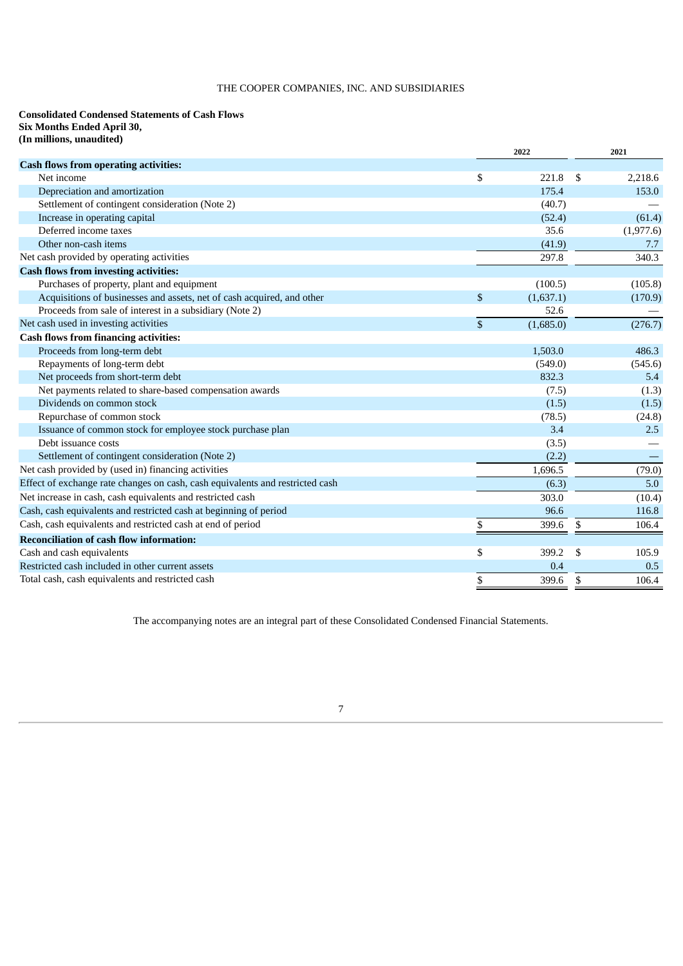# **Consolidated Condensed Statements of Cash Flows Six Months Ended April 30, (In millions, unaudited)**

|                                                                               |                           | 2022      | 2021          |
|-------------------------------------------------------------------------------|---------------------------|-----------|---------------|
| <b>Cash flows from operating activities:</b>                                  |                           |           |               |
| Net income                                                                    | \$                        | 221.8     | \$<br>2,218.6 |
| Depreciation and amortization                                                 |                           | 175.4     | 153.0         |
| Settlement of contingent consideration (Note 2)                               |                           | (40.7)    |               |
| Increase in operating capital                                                 |                           | (52.4)    | (61.4)        |
| Deferred income taxes                                                         |                           | 35.6      | (1,977.6)     |
| Other non-cash items                                                          |                           | (41.9)    | 7.7           |
| Net cash provided by operating activities                                     |                           | 297.8     | 340.3         |
| <b>Cash flows from investing activities:</b>                                  |                           |           |               |
| Purchases of property, plant and equipment                                    |                           | (100.5)   | (105.8)       |
| Acquisitions of businesses and assets, net of cash acquired, and other        | $\boldsymbol{\mathsf{S}}$ | (1,637.1) | (170.9)       |
| Proceeds from sale of interest in a subsidiary (Note 2)                       |                           | 52.6      |               |
| Net cash used in investing activities                                         | $\mathbf{\$}$             | (1,685.0) | (276.7)       |
| <b>Cash flows from financing activities:</b>                                  |                           |           |               |
| Proceeds from long-term debt                                                  |                           | 1,503.0   | 486.3         |
| Repayments of long-term debt                                                  |                           | (549.0)   | (545.6)       |
| Net proceeds from short-term debt                                             |                           | 832.3     | 5.4           |
| Net payments related to share-based compensation awards                       |                           | (7.5)     | (1.3)         |
| Dividends on common stock                                                     |                           | (1.5)     | (1.5)         |
| Repurchase of common stock                                                    |                           | (78.5)    | (24.8)        |
| Issuance of common stock for employee stock purchase plan                     |                           | 3.4       | 2.5           |
| Debt issuance costs                                                           |                           | (3.5)     |               |
| Settlement of contingent consideration (Note 2)                               |                           | (2.2)     |               |
| Net cash provided by (used in) financing activities                           |                           | 1,696.5   | (79.0)        |
| Effect of exchange rate changes on cash, cash equivalents and restricted cash |                           | (6.3)     | 5.0           |
| Net increase in cash, cash equivalents and restricted cash                    |                           | 303.0     | (10.4)        |
| Cash, cash equivalents and restricted cash at beginning of period             |                           | 96.6      | 116.8         |
| Cash, cash equivalents and restricted cash at end of period                   | \$                        | 399.6     | \$<br>106.4   |
| <b>Reconciliation of cash flow information:</b>                               |                           |           |               |
| Cash and cash equivalents                                                     | \$                        | 399.2     | \$<br>105.9   |
| Restricted cash included in other current assets                              |                           | 0.4       | 0.5           |
| Total cash, cash equivalents and restricted cash                              | \$                        | 399.6     | \$<br>106.4   |
|                                                                               |                           |           |               |

<span id="page-6-0"></span>The accompanying notes are an integral part of these Consolidated Condensed Financial Statements.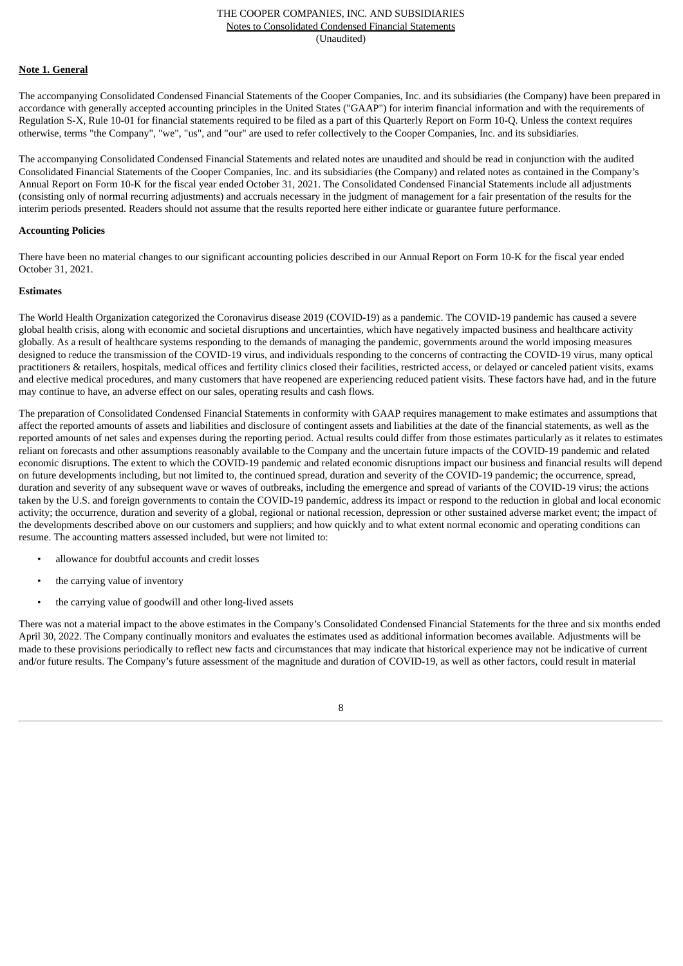(Unaudited)

# **Note 1. General**

The accompanying Consolidated Condensed Financial Statements of the Cooper Companies, Inc. and its subsidiaries (the Company) have been prepared in accordance with generally accepted accounting principles in the United States ("GAAP") for interim financial information and with the requirements of Regulation S-X, Rule 10-01 for financial statements required to be filed as a part of this Quarterly Report on Form 10-Q. Unless the context requires otherwise, terms "the Company", "we", "us", and "our" are used to refer collectively to the Cooper Companies, Inc. and its subsidiaries.

The accompanying Consolidated Condensed Financial Statements and related notes are unaudited and should be read in conjunction with the audited Consolidated Financial Statements of the Cooper Companies, Inc. and its subsidiaries (the Company) and related notes as contained in the Company's Annual Report on Form 10-K for the fiscal year ended October 31, 2021. The Consolidated Condensed Financial Statements include all adjustments (consisting only of normal recurring adjustments) and accruals necessary in the judgment of management for a fair presentation of the results for the interim periods presented. Readers should not assume that the results reported here either indicate or guarantee future performance.

# **Accounting Policies**

There have been no material changes to our significant accounting policies described in our Annual Report on Form 10-K for the fiscal year ended October 31, 2021.

# **Estimates**

The World Health Organization categorized the Coronavirus disease 2019 (COVID-19) as a pandemic. The COVID-19 pandemic has caused a severe global health crisis, along with economic and societal disruptions and uncertainties, which have negatively impacted business and healthcare activity globally. As a result of healthcare systems responding to the demands of managing the pandemic, governments around the world imposing measures designed to reduce the transmission of the COVID-19 virus, and individuals responding to the concerns of contracting the COVID-19 virus, many optical practitioners & retailers, hospitals, medical offices and fertility clinics closed their facilities, restricted access, or delayed or canceled patient visits, exams and elective medical procedures, and many customers that have reopened are experiencing reduced patient visits. These factors have had, and in the future may continue to have, an adverse effect on our sales, operating results and cash flows.

The preparation of Consolidated Condensed Financial Statements in conformity with GAAP requires management to make estimates and assumptions that affect the reported amounts of assets and liabilities and disclosure of contingent assets and liabilities at the date of the financial statements, as well as the reported amounts of net sales and expenses during the reporting period. Actual results could differ from those estimates particularly as it relates to estimates reliant on forecasts and other assumptions reasonably available to the Company and the uncertain future impacts of the COVID-19 pandemic and related economic disruptions. The extent to which the COVID-19 pandemic and related economic disruptions impact our business and financial results will depend on future developments including, but not limited to, the continued spread, duration and severity of the COVID-19 pandemic; the occurrence, spread, duration and severity of any subsequent wave or waves of outbreaks, including the emergence and spread of variants of the COVID-19 virus; the actions taken by the U.S. and foreign governments to contain the COVID-19 pandemic, address its impact or respond to the reduction in global and local economic activity; the occurrence, duration and severity of a global, regional or national recession, depression or other sustained adverse market event; the impact of the developments described above on our customers and suppliers; and how quickly and to what extent normal economic and operating conditions can resume. The accounting matters assessed included, but were not limited to:

- allowance for doubtful accounts and credit losses
- the carrying value of inventory
- the carrying value of goodwill and other long-lived assets

There was not a material impact to the above estimates in the Company's Consolidated Condensed Financial Statements for the three and six months ended April 30, 2022. The Company continually monitors and evaluates the estimates used as additional information becomes available. Adjustments will be made to these provisions periodically to reflect new facts and circumstances that may indicate that historical experience may not be indicative of current and/or future results. The Company's future assessment of the magnitude and duration of COVID-19, as well as other factors, could result in material

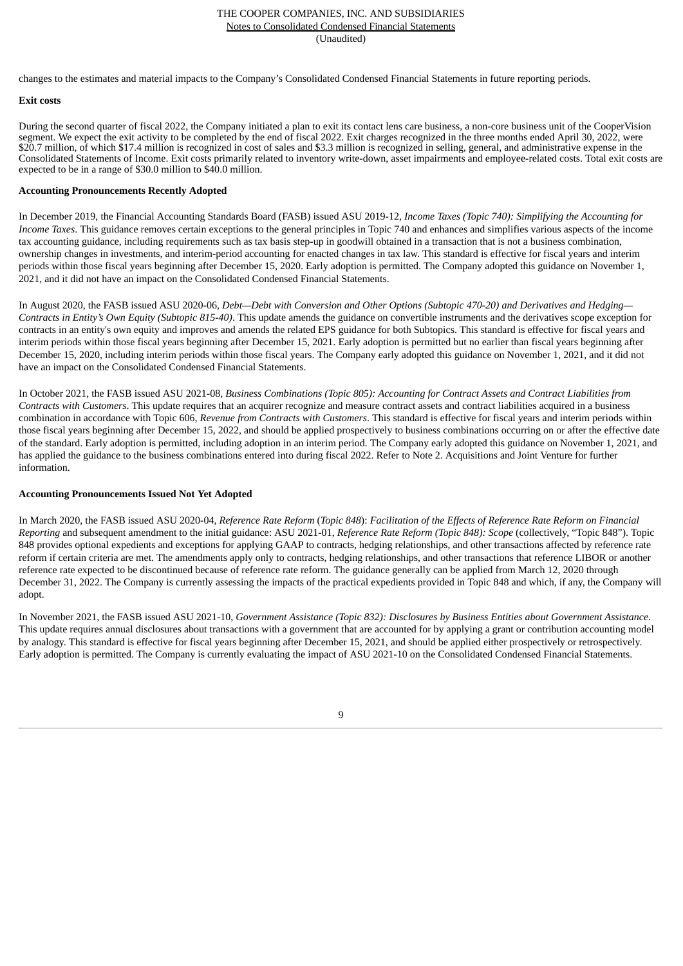changes to the estimates and material impacts to the Company's Consolidated Condensed Financial Statements in future reporting periods.

#### **Exit costs**

During the second quarter of fiscal 2022, the Company initiated a plan to exit its contact lens care business, a non-core business unit of the CooperVision segment. We expect the exit activity to be completed by the end of fiscal 2022. Exit charges recognized in the three months ended April 30, 2022, were \$20.7 million, of which \$17.4 million is recognized in cost of sales and \$3.3 million is recognized in selling, general, and administrative expense in the Consolidated Statements of Income. Exit costs primarily related to inventory write-down, asset impairments and employee-related costs. Total exit costs are expected to be in a range of \$30.0 million to \$40.0 million.

#### **Accounting Pronouncements Recently Adopted**

In December 2019, the Financial Accounting Standards Board (FASB) issued ASU 2019-12, *Income Taxes (Topic 740): Simplifying the Accounting for Income Taxes*. This guidance removes certain exceptions to the general principles in Topic 740 and enhances and simplifies various aspects of the income tax accounting guidance, including requirements such as tax basis step-up in goodwill obtained in a transaction that is not a business combination, ownership changes in investments, and interim-period accounting for enacted changes in tax law. This standard is effective for fiscal years and interim periods within those fiscal years beginning after December 15, 2020. Early adoption is permitted. The Company adopted this guidance on November 1, 2021, and it did not have an impact on the Consolidated Condensed Financial Statements.

In August 2020, the FASB issued ASU 2020-06, *Debt—Debt with Conversion and Other Options (Subtopic 470-20) and Derivatives and Hedging— Contracts in Entity's Own Equity (Subtopic 815-40)*. This update amends the guidance on convertible instruments and the derivatives scope exception for contracts in an entity's own equity and improves and amends the related EPS guidance for both Subtopics. This standard is effective for fiscal years and interim periods within those fiscal years beginning after December 15, 2021. Early adoption is permitted but no earlier than fiscal years beginning after December 15, 2020, including interim periods within those fiscal years. The Company early adopted this guidance on November 1, 2021, and it did not have an impact on the Consolidated Condensed Financial Statements.

In October 2021, the FASB issued ASU 2021-08, Business Combinations (Topic 805): Accounting for Contract Assets and Contract Liabilities from *Contracts with Customers*. This update requires that an acquirer recognize and measure contract assets and contract liabilities acquired in a business combination in accordance with Topic 606, *Revenue from Contracts with Customers*. This standard is effective for fiscal years and interim periods within those fiscal years beginning after December 15, 2022, and should be applied prospectively to business combinations occurring on or after the effective date of the standard. Early adoption is permitted, including adoption in an interim period. The Company early adopted this guidance on November 1, 2021, and has applied the guidance to the business combinations entered into during fiscal 2022. Refer to Note 2. Acquisitions and Joint Venture for further information.

#### **Accounting Pronouncements Issued Not Yet Adopted**

In March 2020, the FASB issued ASU 2020-04, Reference Rate Reform (Topic 848): Facilitation of the Effects of Reference Rate Reform on Financial *Reporting* and subsequent amendment to the initial guidance: ASU 2021-01, *Reference Rate Reform (Topic 848): Scope* (collectively, "Topic 848"). Topic 848 provides optional expedients and exceptions for applying GAAP to contracts, hedging relationships, and other transactions affected by reference rate reform if certain criteria are met. The amendments apply only to contracts, hedging relationships, and other transactions that reference LIBOR or another reference rate expected to be discontinued because of reference rate reform. The guidance generally can be applied from March 12, 2020 through December 31, 2022. The Company is currently assessing the impacts of the practical expedients provided in Topic 848 and which, if any, the Company will adopt.

In November 2021, the FASB issued ASU 2021-10, *Government Assistance (Topic 832): Disclosures by Business Entities about Government Assistance*. This update requires annual disclosures about transactions with a government that are accounted for by applying a grant or contribution accounting model by analogy. This standard is effective for fiscal years beginning after December 15, 2021, and should be applied either prospectively or retrospectively. Early adoption is permitted. The Company is currently evaluating the impact of ASU 2021-10 on the Consolidated Condensed Financial Statements.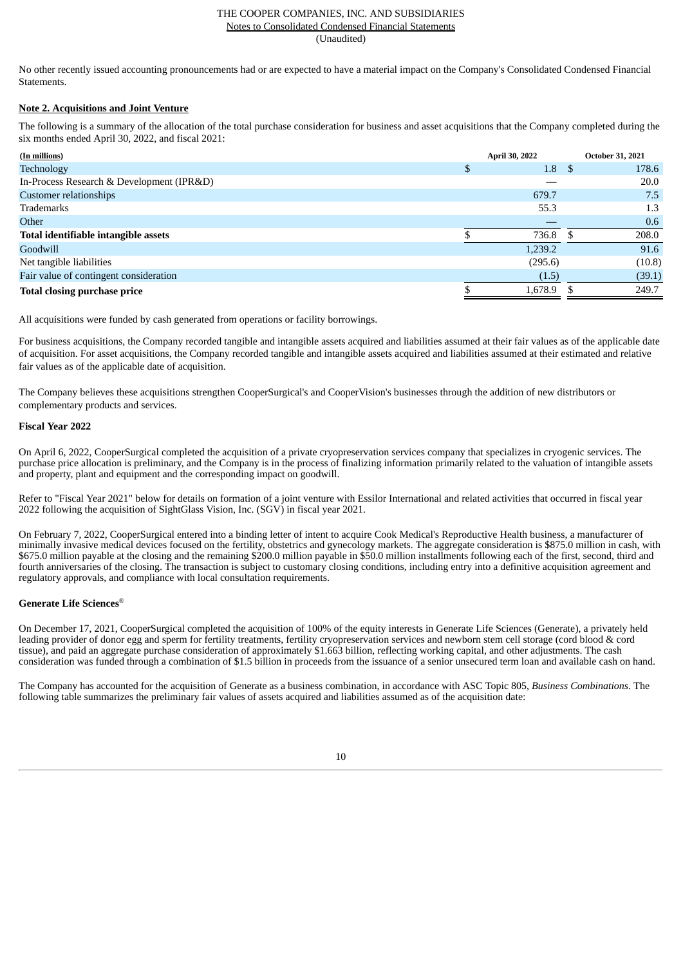(Unaudited)

No other recently issued accounting pronouncements had or are expected to have a material impact on the Company's Consolidated Condensed Financial **Statements** 

# **Note 2. Acquisitions and Joint Venture**

The following is a summary of the allocation of the total purchase consideration for business and asset acquisitions that the Company completed during the six months ended April 30, 2022, and fiscal 2021:

| (In millions)                             | <b>April 30, 2022</b> | <b>October 31, 2021</b> |
|-------------------------------------------|-----------------------|-------------------------|
| Technology                                | 1.8 <sup>5</sup>      | 178.6                   |
| In-Process Research & Development (IPR&D) |                       | 20.0                    |
| <b>Customer relationships</b>             | 679.7                 | 7.5                     |
| Trademarks                                | 55.3                  | 1.3                     |
| Other                                     |                       | 0.6                     |
| Total identifiable intangible assets      | 736.8                 | 208.0                   |
| Goodwill                                  | 1,239.2               | 91.6                    |
| Net tangible liabilities                  | (295.6)               | (10.8)                  |
| Fair value of contingent consideration    | (1.5)                 | (39.1)                  |
| <b>Total closing purchase price</b>       | 1,678.9               | 249.7                   |
|                                           |                       |                         |

All acquisitions were funded by cash generated from operations or facility borrowings.

For business acquisitions, the Company recorded tangible and intangible assets acquired and liabilities assumed at their fair values as of the applicable date of acquisition. For asset acquisitions, the Company recorded tangible and intangible assets acquired and liabilities assumed at their estimated and relative fair values as of the applicable date of acquisition.

The Company believes these acquisitions strengthen CooperSurgical's and CooperVision's businesses through the addition of new distributors or complementary products and services.

# **Fiscal Year 2022**

On April 6, 2022, CooperSurgical completed the acquisition of a private cryopreservation services company that specializes in cryogenic services. The purchase price allocation is preliminary, and the Company is in the process of finalizing information primarily related to the valuation of intangible assets and property, plant and equipment and the corresponding impact on goodwill.

Refer to "Fiscal Year 2021" below for details on formation of a joint venture with Essilor International and related activities that occurred in fiscal year 2022 following the acquisition of SightGlass Vision, Inc. (SGV) in fiscal year 2021.

On February 7, 2022, CooperSurgical entered into a binding letter of intent to acquire Cook Medical's Reproductive Health business, a manufacturer of minimally invasive medical devices focused on the fertility, obstetrics and gynecology markets. The aggregate consideration is \$875.0 million in cash, with \$675.0 million payable at the closing and the remaining \$200.0 million payable in \$50.0 million installments following each of the first, second, third and fourth anniversaries of the closing. The transaction is subject to customary closing conditions, including entry into a definitive acquisition agreement and regulatory approvals, and compliance with local consultation requirements.

# **Generate Life Sciences** ®

On December 17, 2021, CooperSurgical completed the acquisition of 100% of the equity interests in Generate Life Sciences (Generate), a privately held leading provider of donor egg and sperm for fertility treatments, fertility cryopreservation services and newborn stem cell storage (cord blood & cord tissue), and paid an aggregate purchase consideration of approximately \$1.663 billion, reflecting working capital, and other adjustments. The cash consideration was funded through a combination of \$1.5 billion in proceeds from the issuance of a senior unsecured term loan and available cash on hand.

The Company has accounted for the acquisition of Generate as a business combination, in accordance with ASC Topic 805, *Business Combinations*. The following table summarizes the preliminary fair values of assets acquired and liabilities assumed as of the acquisition date: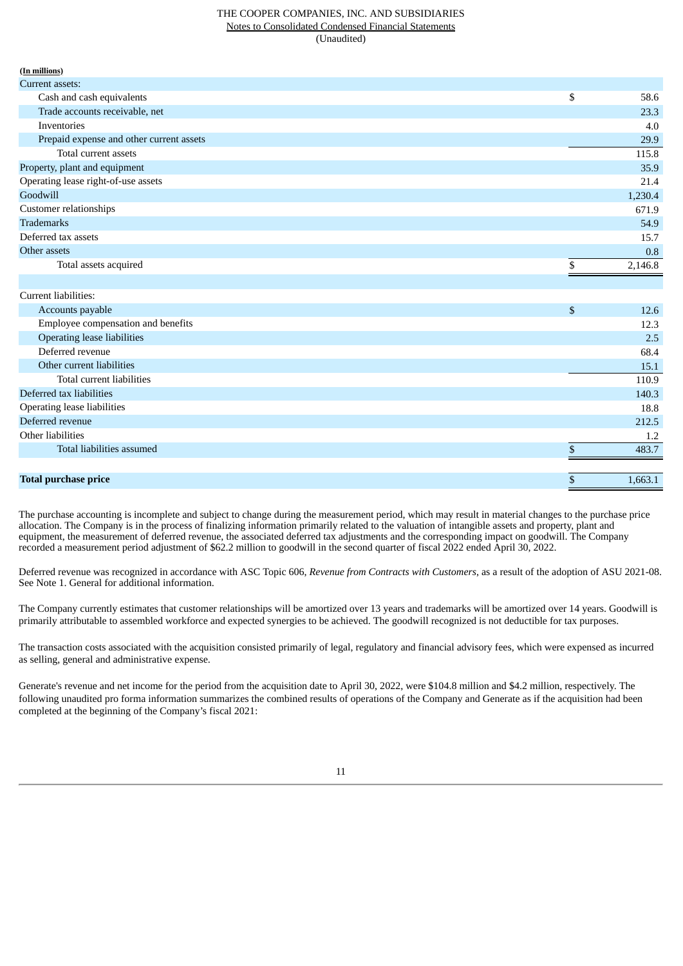| (In millions)                            |    |         |
|------------------------------------------|----|---------|
| Current assets:                          |    |         |
| Cash and cash equivalents                | \$ | 58.6    |
| Trade accounts receivable, net           |    | 23.3    |
| Inventories                              |    | 4.0     |
| Prepaid expense and other current assets |    | 29.9    |
| Total current assets                     |    | 115.8   |
| Property, plant and equipment            |    | 35.9    |
| Operating lease right-of-use assets      |    | 21.4    |
| Goodwill                                 |    | 1,230.4 |
| Customer relationships                   |    | 671.9   |
| <b>Trademarks</b>                        |    | 54.9    |
| Deferred tax assets                      |    | 15.7    |
| Other assets                             |    | 0.8     |
| Total assets acquired                    | ¢  | 2,146.8 |

| Current liabilities:               |            |
|------------------------------------|------------|
| Accounts payable                   | \$<br>12.6 |
| Employee compensation and benefits | 12.3       |
| <b>Operating lease liabilities</b> | 2.5        |
| Deferred revenue                   | 68.4       |
| Other current liabilities          | 15.1       |
| Total current liabilities          | 110.9      |
| Deferred tax liabilities           | 140.3      |
| Operating lease liabilities        | 18.8       |
| Deferred revenue                   | 212.5      |
| Other liabilities                  | 1.2        |
| Total liabilities assumed          | 483.7      |
|                                    |            |
| <b>Total purchase price</b>        | 1,663.1    |
|                                    |            |

The purchase accounting is incomplete and subject to change during the measurement period, which may result in material changes to the purchase price allocation. The Company is in the process of finalizing information primarily related to the valuation of intangible assets and property, plant and equipment, the measurement of deferred revenue, the associated deferred tax adjustments and the corresponding impact on goodwill. The Company recorded a measurement period adjustment of \$62.2 million to goodwill in the second quarter of fiscal 2022 ended April 30, 2022.

Deferred revenue was recognized in accordance with ASC Topic 606, *Revenue from Contracts with Customers*, as a result of the adoption of ASU 2021-08. See Note 1. General for additional information.

The Company currently estimates that customer relationships will be amortized over 13 years and trademarks will be amortized over 14 years. Goodwill is primarily attributable to assembled workforce and expected synergies to be achieved. The goodwill recognized is not deductible for tax purposes.

The transaction costs associated with the acquisition consisted primarily of legal, regulatory and financial advisory fees, which were expensed as incurred as selling, general and administrative expense.

Generate's revenue and net income for the period from the acquisition date to April 30, 2022, were \$104.8 million and \$4.2 million, respectively. The following unaudited pro forma information summarizes the combined results of operations of the Company and Generate as if the acquisition had been completed at the beginning of the Company's fiscal 2021: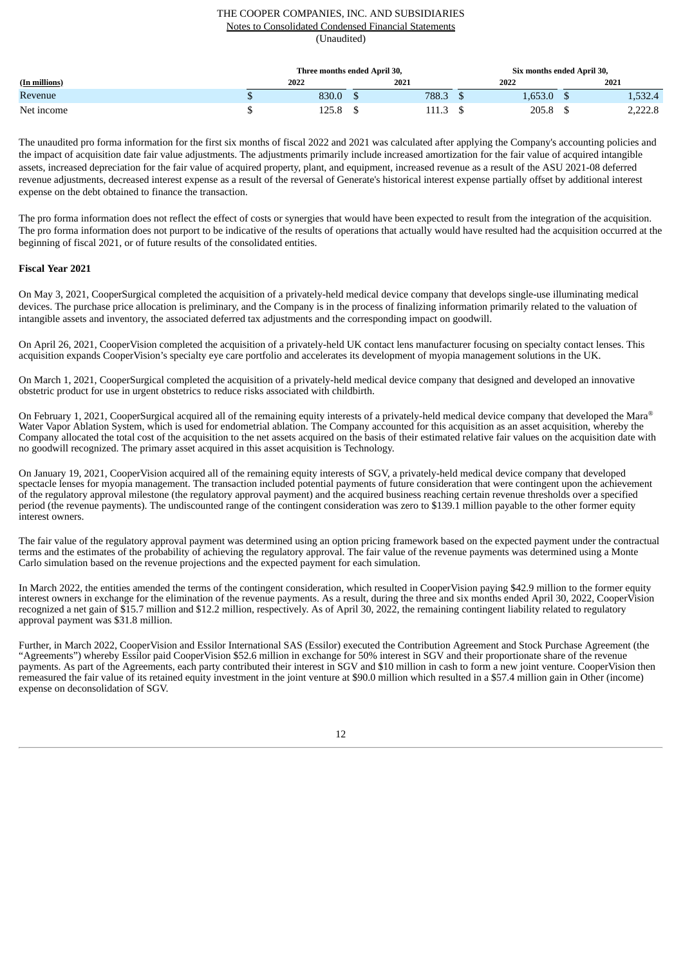(Unaudited)

|               | Three months ended April 30, |       |      | Six months ended April 30, |  |         |  |  |
|---------------|------------------------------|-------|------|----------------------------|--|---------|--|--|
| (In millions) | 2022                         | 2021  | 2022 |                            |  | 2021    |  |  |
| Revenue       | 830.0                        | 788.3 |      | 1.653.0                    |  | 1,532.4 |  |  |
| Net income    | 125.8                        | 111.3 |      | 205.8                      |  | 2,222.8 |  |  |

The unaudited pro forma information for the first six months of fiscal 2022 and 2021 was calculated after applying the Company's accounting policies and the impact of acquisition date fair value adjustments. The adjustments primarily include increased amortization for the fair value of acquired intangible assets, increased depreciation for the fair value of acquired property, plant, and equipment, increased revenue as a result of the ASU 2021-08 deferred revenue adjustments, decreased interest expense as a result of the reversal of Generate's historical interest expense partially offset by additional interest expense on the debt obtained to finance the transaction.

The pro forma information does not reflect the effect of costs or synergies that would have been expected to result from the integration of the acquisition. The pro forma information does not purport to be indicative of the results of operations that actually would have resulted had the acquisition occurred at the beginning of fiscal 2021, or of future results of the consolidated entities.

#### **Fiscal Year 2021**

On May 3, 2021, CooperSurgical completed the acquisition of a privately-held medical device company that develops single-use illuminating medical devices. The purchase price allocation is preliminary, and the Company is in the process of finalizing information primarily related to the valuation of intangible assets and inventory, the associated deferred tax adjustments and the corresponding impact on goodwill.

On April 26, 2021, CooperVision completed the acquisition of a privately-held UK contact lens manufacturer focusing on specialty contact lenses. This acquisition expands CooperVision's specialty eye care portfolio and accelerates its development of myopia management solutions in the UK.

On March 1, 2021, CooperSurgical completed the acquisition of a privately-held medical device company that designed and developed an innovative obstetric product for use in urgent obstetrics to reduce risks associated with childbirth.

On February 1, 2021, CooperSurgical acquired all of the remaining equity interests of a privately-held medical device company that developed the Mara® Water Vapor Ablation System, which is used for endometrial ablation. The Company accounted for this acquisition as an asset acquisition, whereby the Company allocated the total cost of the acquisition to the net assets acquired on the basis of their estimated relative fair values on the acquisition date with no goodwill recognized. The primary asset acquired in this asset acquisition is Technology.

On January 19, 2021, CooperVision acquired all of the remaining equity interests of SGV, a privately-held medical device company that developed spectacle lenses for myopia management. The transaction included potential payments of future consideration that were contingent upon the achievement of the regulatory approval milestone (the regulatory approval payment) and the acquired business reaching certain revenue thresholds over a specified period (the revenue payments). The undiscounted range of the contingent consideration was zero to \$139.1 million payable to the other former equity interest owners.

The fair value of the regulatory approval payment was determined using an option pricing framework based on the expected payment under the contractual terms and the estimates of the probability of achieving the regulatory approval. The fair value of the revenue payments was determined using a Monte Carlo simulation based on the revenue projections and the expected payment for each simulation.

In March 2022, the entities amended the terms of the contingent consideration, which resulted in CooperVision paying \$42.9 million to the former equity interest owners in exchange for the elimination of the revenue payments. As a result, during the three and six months ended April 30, 2022, CooperVision recognized a net gain of \$15.7 million and \$12.2 million, respectively. As of April 30, 2022, the remaining contingent liability related to regulatory approval payment was \$31.8 million.

Further, in March 2022, CooperVision and Essilor International SAS (Essilor) executed the Contribution Agreement and Stock Purchase Agreement (the "Agreements") whereby Essilor paid CooperVision \$52.6 million in exchange for 50% interest in SGV and their proportionate share of the revenue payments. As part of the Agreements, each party contributed their interest in SGV and \$10 million in cash to form a new joint venture. CooperVision then remeasured the fair value of its retained equity investment in the joint venture at \$90.0 million which resulted in a \$57.4 million gain in Other (income) expense on deconsolidation of SGV.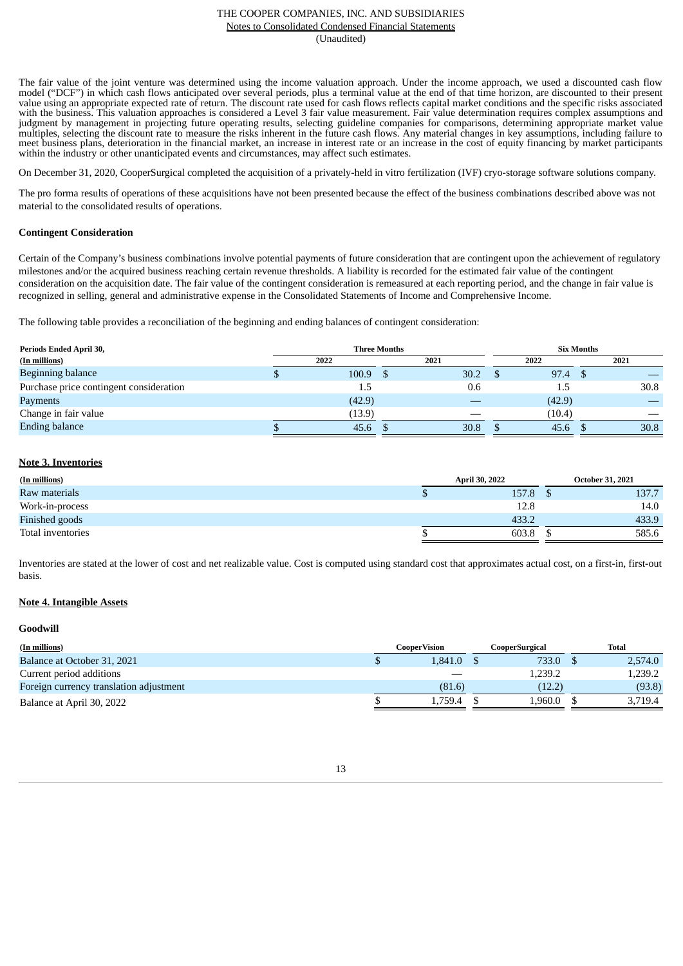The fair value of the joint venture was determined using the income valuation approach. Under the income approach, we used a discounted cash flow model ("DCF") in which cash flows anticipated over several periods, plus a terminal value at the end of that time horizon, are discounted to their present value using an appropriate expected rate of return. The discount rate used for cash flows reflects capital market conditions and the specific risks associated with the business. This valuation approaches is considered a Level 3 fair value measurement. Fair value determination requires complex assumptions and judgment by management in projecting future operating results, selecting guideline companies for comparisons, determining appropriate market value multiples, selecting the discount rate to measure the risks inherent in the future cash flows. Any material changes in key assumptions, including failure to meet business plans, deterioration in the financial market, an increase in interest rate or an increase in the cost of equity financing by market participants

On December 31, 2020, CooperSurgical completed the acquisition of a privately-held in vitro fertilization (IVF) cryo-storage software solutions company.

The pro forma results of operations of these acquisitions have not been presented because the effect of the business combinations described above was not material to the consolidated results of operations.

#### **Contingent Consideration**

Certain of the Company's business combinations involve potential payments of future consideration that are contingent upon the achievement of regulatory milestones and/or the acquired business reaching certain revenue thresholds. A liability is recorded for the estimated fair value of the contingent consideration on the acquisition date. The fair value of the contingent consideration is remeasured at each reporting period, and the change in fair value is recognized in selling, general and administrative expense in the Consolidated Statements of Income and Comprehensive Income.

The following table provides a reconciliation of the beginning and ending balances of contingent consideration:

within the industry or other unanticipated events and circumstances, may affect such estimates.

| Periods Ended April 30,                 | <b>Three Months</b> |  |      |    |        |  | <b>Six Months</b> |  |  |
|-----------------------------------------|---------------------|--|------|----|--------|--|-------------------|--|--|
| (In millions)                           | 2022                |  | 2021 |    | 2022   |  | 2021              |  |  |
| Beginning balance                       | 100.9               |  | 30.2 |    | 97.4   |  |                   |  |  |
| Purchase price contingent consideration | 1.5                 |  | 0.6  |    | L.5    |  | 30.8              |  |  |
| Payments                                | (42.9)              |  |      |    | (42.9) |  |                   |  |  |
| Change in fair value                    | (13.9)              |  |      |    | (10.4) |  |                   |  |  |
| <b>Ending balance</b>                   | 45.6                |  | 30.8 | ۰D | 45.6   |  | 30.8              |  |  |

#### **Note 3. Inventories**

| (In millions)     | <b>April 30, 2022</b> | <b>October 31, 2021</b> |
|-------------------|-----------------------|-------------------------|
| Raw materials     | 157.8                 | 137.7                   |
| Work-in-process   | 12.8                  | 14.0                    |
| Finished goods    | 433.2                 | 433.9                   |
| Total inventories | 603.8                 | 585.6                   |

Inventories are stated at the lower of cost and net realizable value. Cost is computed using standard cost that approximates actual cost, on a first-in, first-out basis.

# **Note 4. Intangible Assets**

| (In millions)                           | CooperVision | CooperSurgical | Total   |
|-----------------------------------------|--------------|----------------|---------|
| Balance at October 31, 2021             | $1.841.0$ .  | 733.0          | 2,574.0 |
| Current period additions                |              | 1,239.2        | 1,239.2 |
| Foreign currency translation adjustment | (81.6)       | (12.2)         | (93.8)  |
| Balance at April 30, 2022               | 4.759.4      | .960.0         | 3,719.4 |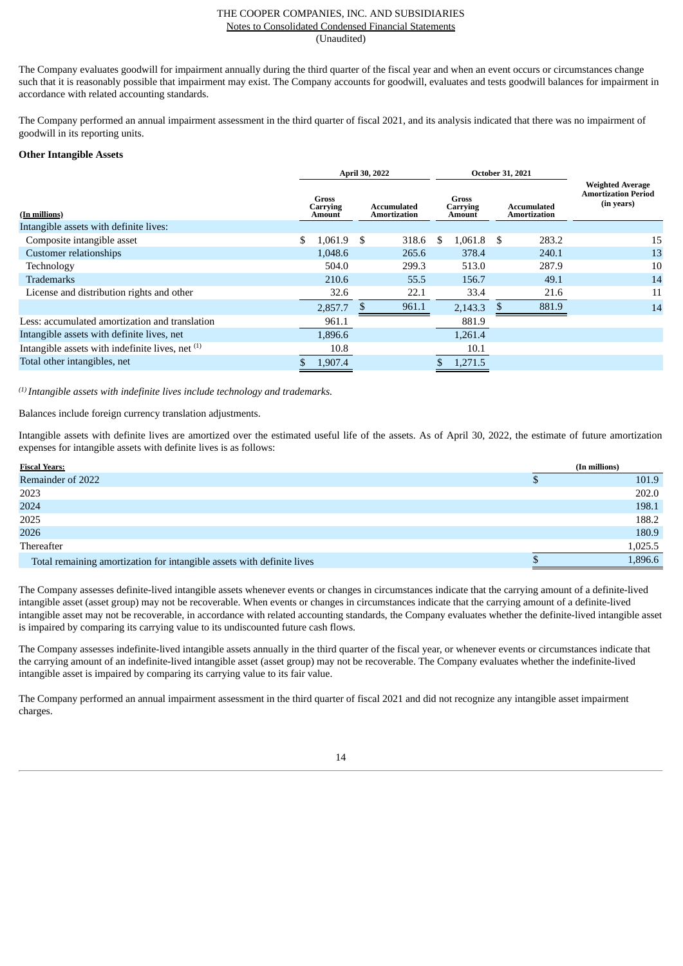The Company evaluates goodwill for impairment annually during the third quarter of the fiscal year and when an event occurs or circumstances change such that it is reasonably possible that impairment may exist. The Company accounts for goodwill, evaluates and tests goodwill balances for impairment in accordance with related accounting standards.

The Company performed an annual impairment assessment in the third quarter of fiscal 2021, and its analysis indicated that there was no impairment of goodwill in its reporting units.

# **Other Intangible Assets**

|                                                    | April 30, 2022 |                             |          |                                    |   | October 31, 2021                   |  | <b>Weighted Average</b><br><b>Amortization Period</b><br>(in years) |    |
|----------------------------------------------------|----------------|-----------------------------|----------|------------------------------------|---|------------------------------------|--|---------------------------------------------------------------------|----|
| (In millions)                                      |                | Gross<br>Carrying<br>Amount |          | Accumulated<br><b>Amortization</b> |   | <b>Gross</b><br>Carrying<br>Amount |  |                                                                     |    |
| Intangible assets with definite lives:             |                |                             |          |                                    |   |                                    |  |                                                                     |    |
| Composite intangible asset                         | S.             | 1,061.9                     | <b>S</b> | 318.6                              | S | $1,061.8$ \$                       |  | 283.2                                                               | 15 |
| Customer relationships                             |                | 1,048.6                     |          | 265.6                              |   | 378.4                              |  | 240.1                                                               | 13 |
| Technology                                         |                | 504.0                       |          | 299.3                              |   | 513.0                              |  | 287.9                                                               | 10 |
| <b>Trademarks</b>                                  |                | 210.6                       |          | 55.5                               |   | 156.7                              |  | 49.1                                                                | 14 |
| License and distribution rights and other          |                | 32.6                        |          | 22.1                               |   | 33.4                               |  | 21.6                                                                | 11 |
|                                                    |                | 2,857.7                     |          | 961.1                              |   | 2,143.3                            |  | 881.9                                                               | 14 |
| Less: accumulated amortization and translation     |                | 961.1                       |          |                                    |   | 881.9                              |  |                                                                     |    |
| Intangible assets with definite lives, net         |                | 1,896.6                     |          |                                    |   | 1,261.4                            |  |                                                                     |    |
| Intangible assets with indefinite lives, net $(1)$ |                | 10.8                        |          |                                    |   | 10.1                               |  |                                                                     |    |
| Total other intangibles, net                       |                | 1,907.4                     |          |                                    |   | 1,271.5                            |  |                                                                     |    |

*Intangible assets with indefinite lives include technology and trademarks. (1)*

Balances include foreign currency translation adjustments.

Intangible assets with definite lives are amortized over the estimated useful life of the assets. As of April 30, 2022, the estimate of future amortization expenses for intangible assets with definite lives is as follows:

| <b>Fiscal Years:</b>                                                   | (In millions) |
|------------------------------------------------------------------------|---------------|
| Remainder of 2022                                                      | 101.9         |
| 2023                                                                   | 202.0         |
| 2024                                                                   | 198.1         |
| 2025                                                                   | 188.2         |
| 2026                                                                   | 180.9         |
| Thereafter                                                             | 1,025.5       |
| Total remaining amortization for intangible assets with definite lives | 1,896.6       |

The Company assesses definite-lived intangible assets whenever events or changes in circumstances indicate that the carrying amount of a definite-lived intangible asset (asset group) may not be recoverable. When events or changes in circumstances indicate that the carrying amount of a definite-lived intangible asset may not be recoverable, in accordance with related accounting standards, the Company evaluates whether the definite-lived intangible asset is impaired by comparing its carrying value to its undiscounted future cash flows.

The Company assesses indefinite-lived intangible assets annually in the third quarter of the fiscal year, or whenever events or circumstances indicate that the carrying amount of an indefinite-lived intangible asset (asset group) may not be recoverable. The Company evaluates whether the indefinite-lived intangible asset is impaired by comparing its carrying value to its fair value.

The Company performed an annual impairment assessment in the third quarter of fiscal 2021 and did not recognize any intangible asset impairment charges.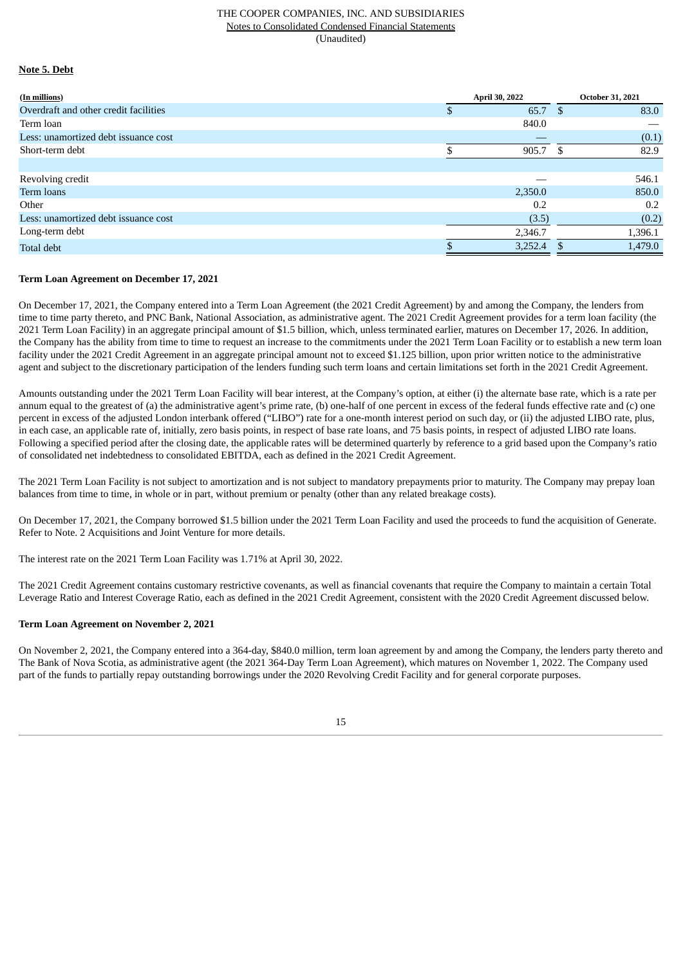# **Note 5. Debt**

| (In millions)                         |   | April 30, 2022 | October 31, 2021 |
|---------------------------------------|---|----------------|------------------|
| Overdraft and other credit facilities | S | 65.7 \$        | 83.0             |
| Term loan                             |   | 840.0          |                  |
| Less: unamortized debt issuance cost  |   |                | (0.1)            |
| Short-term debt                       |   | $905.7$ \$     | 82.9             |
|                                       |   |                |                  |
| Revolving credit                      |   |                | 546.1            |
| Term loans                            |   | 2,350.0        | 850.0            |
| Other                                 |   | 0.2            | 0.2              |
| Less: unamortized debt issuance cost  |   | (3.5)          | (0.2)            |
| Long-term debt                        |   | 2,346.7        | 1,396.1          |
| Total debt                            |   | 3,252.4        | 1,479.0          |

# **Term Loan Agreement on December 17, 2021**

On December 17, 2021, the Company entered into a Term Loan Agreement (the 2021 Credit Agreement) by and among the Company, the lenders from time to time party thereto, and PNC Bank, National Association, as administrative agent. The 2021 Credit Agreement provides for a term loan facility (the 2021 Term Loan Facility) in an aggregate principal amount of \$1.5 billion, which, unless terminated earlier, matures on December 17, 2026. In addition, the Company has the ability from time to time to request an increase to the commitments under the 2021 Term Loan Facility or to establish a new term loan facility under the 2021 Credit Agreement in an aggregate principal amount not to exceed \$1.125 billion, upon prior written notice to the administrative agent and subject to the discretionary participation of the lenders funding such term loans and certain limitations set forth in the 2021 Credit Agreement.

Amounts outstanding under the 2021 Term Loan Facility will bear interest, at the Company's option, at either (i) the alternate base rate, which is a rate per annum equal to the greatest of (a) the administrative agent's prime rate, (b) one-half of one percent in excess of the federal funds effective rate and (c) one percent in excess of the adjusted London interbank offered ("LIBO") rate for a one-month interest period on such day, or (ii) the adjusted LIBO rate, plus, in each case, an applicable rate of, initially, zero basis points, in respect of base rate loans, and 75 basis points, in respect of adjusted LIBO rate loans. Following a specified period after the closing date, the applicable rates will be determined quarterly by reference to a grid based upon the Company's ratio of consolidated net indebtedness to consolidated EBITDA, each as defined in the 2021 Credit Agreement.

The 2021 Term Loan Facility is not subject to amortization and is not subject to mandatory prepayments prior to maturity. The Company may prepay loan balances from time to time, in whole or in part, without premium or penalty (other than any related breakage costs).

On December 17, 2021, the Company borrowed \$1.5 billion under the 2021 Term Loan Facility and used the proceeds to fund the acquisition of Generate. Refer to Note. 2 Acquisitions and Joint Venture for more details.

The interest rate on the 2021 Term Loan Facility was 1.71% at April 30, 2022.

The 2021 Credit Agreement contains customary restrictive covenants, as well as financial covenants that require the Company to maintain a certain Total Leverage Ratio and Interest Coverage Ratio, each as defined in the 2021 Credit Agreement, consistent with the 2020 Credit Agreement discussed below.

# **Term Loan Agreement on November 2, 2021**

On November 2, 2021, the Company entered into a 364-day, \$840.0 million, term loan agreement by and among the Company, the lenders party thereto and The Bank of Nova Scotia, as administrative agent (the 2021 364-Day Term Loan Agreement), which matures on November 1, 2022. The Company used part of the funds to partially repay outstanding borrowings under the 2020 Revolving Credit Facility and for general corporate purposes.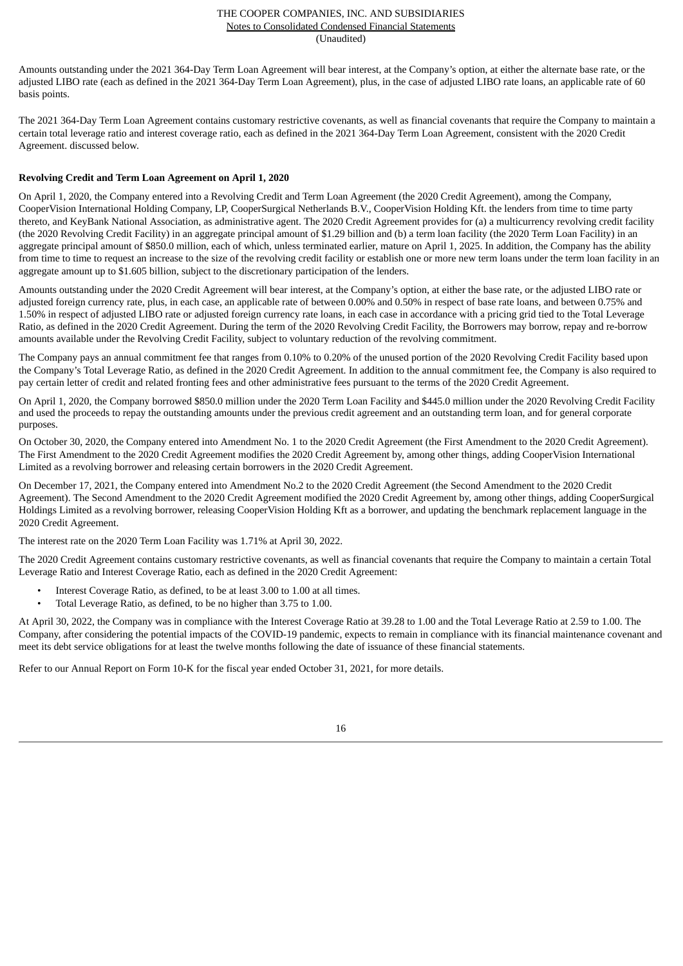Amounts outstanding under the 2021 364-Day Term Loan Agreement will bear interest, at the Company's option, at either the alternate base rate, or the adjusted LIBO rate (each as defined in the 2021 364-Day Term Loan Agreement), plus, in the case of adjusted LIBO rate loans, an applicable rate of 60 basis points.

The 2021 364-Day Term Loan Agreement contains customary restrictive covenants, as well as financial covenants that require the Company to maintain a certain total leverage ratio and interest coverage ratio, each as defined in the 2021 364-Day Term Loan Agreement, consistent with the 2020 Credit Agreement. discussed below.

# **Revolving Credit and Term Loan Agreement on April 1, 2020**

On April 1, 2020, the Company entered into a Revolving Credit and Term Loan Agreement (the 2020 Credit Agreement), among the Company, CooperVision International Holding Company, LP, CooperSurgical Netherlands B.V., CooperVision Holding Kft. the lenders from time to time party thereto, and KeyBank National Association, as administrative agent. The 2020 Credit Agreement provides for (a) a multicurrency revolving credit facility (the 2020 Revolving Credit Facility) in an aggregate principal amount of \$1.29 billion and (b) a term loan facility (the 2020 Term Loan Facility) in an aggregate principal amount of \$850.0 million, each of which, unless terminated earlier, mature on April 1, 2025. In addition, the Company has the ability from time to time to request an increase to the size of the revolving credit facility or establish one or more new term loans under the term loan facility in an aggregate amount up to \$1.605 billion, subject to the discretionary participation of the lenders.

Amounts outstanding under the 2020 Credit Agreement will bear interest, at the Company's option, at either the base rate, or the adjusted LIBO rate or adjusted foreign currency rate, plus, in each case, an applicable rate of between 0.00% and 0.50% in respect of base rate loans, and between 0.75% and 1.50% in respect of adjusted LIBO rate or adjusted foreign currency rate loans, in each case in accordance with a pricing grid tied to the Total Leverage Ratio, as defined in the 2020 Credit Agreement. During the term of the 2020 Revolving Credit Facility, the Borrowers may borrow, repay and re-borrow amounts available under the Revolving Credit Facility, subject to voluntary reduction of the revolving commitment.

The Company pays an annual commitment fee that ranges from 0.10% to 0.20% of the unused portion of the 2020 Revolving Credit Facility based upon the Company's Total Leverage Ratio, as defined in the 2020 Credit Agreement. In addition to the annual commitment fee, the Company is also required to pay certain letter of credit and related fronting fees and other administrative fees pursuant to the terms of the 2020 Credit Agreement.

On April 1, 2020, the Company borrowed \$850.0 million under the 2020 Term Loan Facility and \$445.0 million under the 2020 Revolving Credit Facility and used the proceeds to repay the outstanding amounts under the previous credit agreement and an outstanding term loan, and for general corporate purposes.

On October 30, 2020, the Company entered into Amendment No. 1 to the 2020 Credit Agreement (the First Amendment to the 2020 Credit Agreement). The First Amendment to the 2020 Credit Agreement modifies the 2020 Credit Agreement by, among other things, adding CooperVision International Limited as a revolving borrower and releasing certain borrowers in the 2020 Credit Agreement.

On December 17, 2021, the Company entered into Amendment No.2 to the 2020 Credit Agreement (the Second Amendment to the 2020 Credit Agreement). The Second Amendment to the 2020 Credit Agreement modified the 2020 Credit Agreement by, among other things, adding CooperSurgical Holdings Limited as a revolving borrower, releasing CooperVision Holding Kft as a borrower, and updating the benchmark replacement language in the 2020 Credit Agreement.

The interest rate on the 2020 Term Loan Facility was 1.71% at April 30, 2022.

The 2020 Credit Agreement contains customary restrictive covenants, as well as financial covenants that require the Company to maintain a certain Total Leverage Ratio and Interest Coverage Ratio, each as defined in the 2020 Credit Agreement:

- Interest Coverage Ratio, as defined, to be at least 3.00 to 1.00 at all times.
- Total Leverage Ratio, as defined, to be no higher than 3.75 to 1.00.

At April 30, 2022, the Company was in compliance with the Interest Coverage Ratio at 39.28 to 1.00 and the Total Leverage Ratio at 2.59 to 1.00. The Company, after considering the potential impacts of the COVID-19 pandemic, expects to remain in compliance with its financial maintenance covenant and meet its debt service obligations for at least the twelve months following the date of issuance of these financial statements.

Refer to our Annual Report on Form 10-K for the fiscal year ended October 31, 2021, for more details.

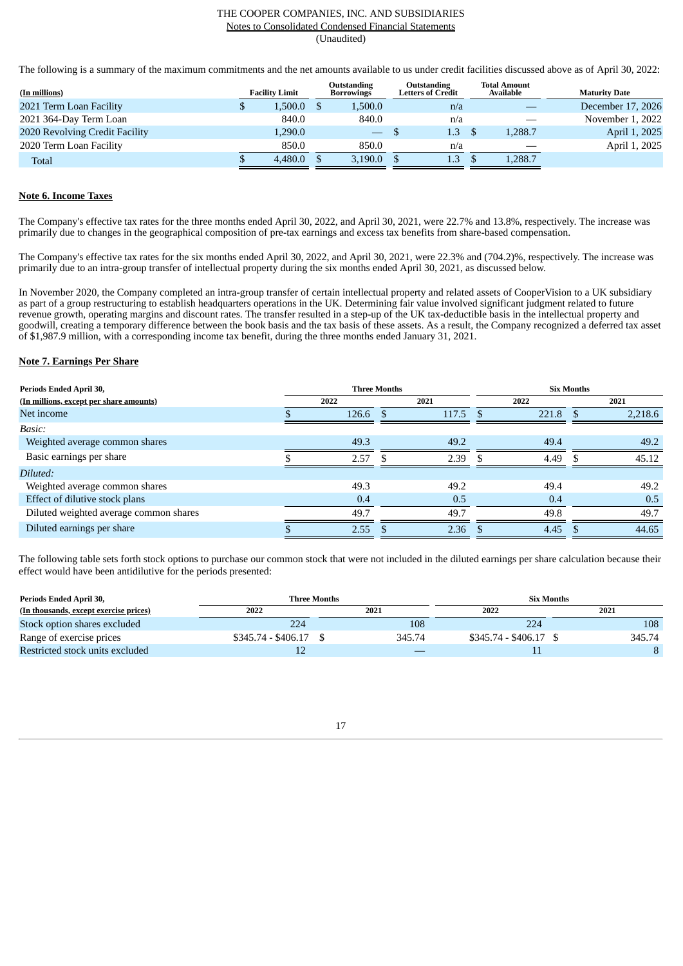The following is a summary of the maximum commitments and the net amounts available to us under credit facilities discussed above as of April 30, 2022:

| (In millions)                  | <b>Facility Limit</b> |  | Outstanding<br><b>Borrowings</b> |  | Outstanding<br><b>Letters of Credit</b> | <b>Total Amount</b><br>Available | <b>Maturity Date</b> |
|--------------------------------|-----------------------|--|----------------------------------|--|-----------------------------------------|----------------------------------|----------------------|
| 2021 Term Loan Facility        | 1,500.0               |  | 1,500.0                          |  | n/a                                     |                                  | December 17, 2026    |
| 2021 364-Day Term Loan         | 840.0                 |  | 840.0                            |  | n/a                                     |                                  | November 1, 2022     |
| 2020 Revolving Credit Facility | 1,290.0               |  | $-$ \$                           |  | 1.3                                     | 1,288.7                          | April 1, 2025        |
| 2020 Term Loan Facility        | 850.0                 |  | 850.0                            |  | n/a                                     |                                  | April 1, 2025        |
| Total                          | 4,480.0               |  | 3.190.0                          |  | 1.3                                     | 1,288.7                          |                      |

# **Note 6. Income Taxes**

The Company's effective tax rates for the three months ended April 30, 2022, and April 30, 2021, were 22.7% and 13.8%, respectively. The increase was primarily due to changes in the geographical composition of pre-tax earnings and excess tax benefits from share-based compensation.

The Company's effective tax rates for the six months ended April 30, 2022, and April 30, 2021, were 22.3% and (704.2)%, respectively. The increase was primarily due to an intra-group transfer of intellectual property during the six months ended April 30, 2021, as discussed below.

In November 2020, the Company completed an intra-group transfer of certain intellectual property and related assets of CooperVision to a UK subsidiary as part of a group restructuring to establish headquarters operations in the UK. Determining fair value involved significant judgment related to future revenue growth, operating margins and discount rates. The transfer resulted in a step-up of the UK tax-deductible basis in the intellectual property and revenue growth, operating margins and discount rates. The transfer re goodwill, creating a temporary difference between the book basis and the tax basis of these assets. As a result, the Company recognized a deferred tax asset of \$1,987.9 million, with a corresponding income tax benefit, during the three months ended January 31, 2021.

#### **Note 7. Earnings Per Share**

| Periods Ended April 30,                 |       | <b>Three Months</b><br><b>Six Months</b> |       |  |       |  |         |
|-----------------------------------------|-------|------------------------------------------|-------|--|-------|--|---------|
| (In millions, except per share amounts) | 2022  |                                          | 2021  |  | 2022  |  | 2021    |
| Net income                              | 126.6 |                                          | 117.5 |  | 221.8 |  | 2,218.6 |
| Basic:                                  |       |                                          |       |  |       |  |         |
| Weighted average common shares          | 49.3  |                                          | 49.2  |  | 49.4  |  | 49.2    |
| Basic earnings per share                | 2.57  |                                          | 2.39  |  | 4.49  |  | 45.12   |
| Diluted:                                |       |                                          |       |  |       |  |         |
| Weighted average common shares          | 49.3  |                                          | 49.2  |  | 49.4  |  | 49.2    |
| Effect of dilutive stock plans          | 0.4   |                                          | 0.5   |  | 0.4   |  | 0.5     |
| Diluted weighted average common shares  | 49.7  |                                          | 49.7  |  | 49.8  |  | 49.7    |
| Diluted earnings per share              | 2.55  |                                          | 2.36  |  | 4.45  |  | 44.65   |

The following table sets forth stock options to purchase our common stock that were not included in the diluted earnings per share calculation because their effect would have been antidilutive for the periods presented:

| Periods Ended April 30,                |                     | Three Months |                          | <b>Six Months</b> |
|----------------------------------------|---------------------|--------------|--------------------------|-------------------|
| (In thousands, except exercise prices) | 2022                | 2021         | 2022                     | 2021              |
| Stock option shares excluded           | 224                 | 108          | 224                      | 108               |
| Range of exercise prices               | \$345.74 - \$406.17 | 345.74       | $\$345.74 - \$406.17$ \$ | 345.74            |
| Restricted stock units excluded        |                     | _            |                          | 8                 |

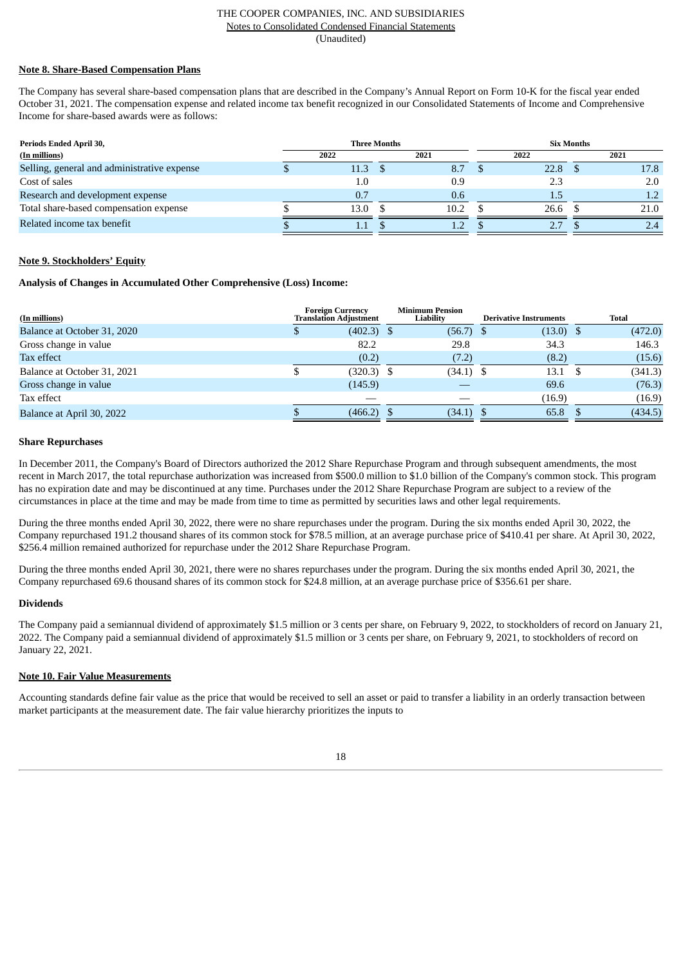#### **Note 8. Share-Based Compensation Plans**

The Company has several share-based compensation plans that are described in the Company's Annual Report on Form 10-K for the fiscal year ended October 31, 2021. The compensation expense and related income tax benefit recognized in our Consolidated Statements of Income and Comprehensive Income for share-based awards were as follows:

| Periods Ended April 30,                     | <b>Three Months</b> |         |      |  | <b>Six Months</b> |  |      |  |
|---------------------------------------------|---------------------|---------|------|--|-------------------|--|------|--|
| (In millions)                               | 2022                |         | 2021 |  | 2022              |  | 2021 |  |
| Selling, general and administrative expense |                     | 11.3    | 8.7  |  | 22.8              |  | 17.8 |  |
| Cost of sales                               |                     | $1.0\,$ | 0.9  |  | 2.3               |  | 2.0  |  |
| Research and development expense            |                     | 0.7     | 0.6  |  | 1.5               |  |      |  |
| Total share-based compensation expense      |                     | 13.0    | 10.2 |  | 26.6              |  | 21.0 |  |
| Related income tax benefit                  |                     | 1.1     |      |  |                   |  | 2.4  |  |

# **Note 9. Stockholders' Equity**

# **Analysis of Changes in Accumulated Other Comprehensive (Loss) Income:**

| (In millions)               | <b>Foreign Currency</b><br><b>Translation Adjustment</b> | <b>Minimum Pension</b><br>Liability | <b>Derivative Instruments</b> | <b>Total</b> |
|-----------------------------|----------------------------------------------------------|-------------------------------------|-------------------------------|--------------|
| Balance at October 31, 2020 | $(402.3)$ \$<br>P                                        | $(56.7)$ \$                         | $(13.0)$ \$                   | (472.0)      |
| Gross change in value       | 82.2                                                     | 29.8                                | 34.3                          | 146.3        |
| Tax effect                  | (0.2)                                                    | (7.2)                               | (8.2)                         | (15.6)       |
| Balance at October 31, 2021 | (320.3)                                                  | $(34.1)$ \$                         | 13.1                          | (341.3)      |
| Gross change in value       | (145.9)                                                  |                                     | 69.6                          | (76.3)       |
| Tax effect                  |                                                          |                                     | (16.9)                        | (16.9)       |
| Balance at April 30, 2022   | (466.2)                                                  | (34.1)                              | 65.8                          | (434.5)      |

#### **Share Repurchases**

In December 2011, the Company's Board of Directors authorized the 2012 Share Repurchase Program and through subsequent amendments, the most recent in March 2017, the total repurchase authorization was increased from \$500.0 million to \$1.0 billion of the Company's common stock. This program has no expiration date and may be discontinued at any time. Purchases under the 2012 Share Repurchase Program are subject to a review of the circumstances in place at the time and may be made from time to time as permitted by securities laws and other legal requirements.

During the three months ended April 30, 2022, there were no share repurchases under the program. During the six months ended April 30, 2022, the Company repurchased 191.2 thousand shares of its common stock for \$78.5 million, at an average purchase price of \$410.41 per share. At April 30, 2022, \$256.4 million remained authorized for repurchase under the 2012 Share Repurchase Program.

During the three months ended April 30, 2021, there were no shares repurchases under the program. During the six months ended April 30, 2021, the Company repurchased 69.6 thousand shares of its common stock for \$24.8 million, at an average purchase price of \$356.61 per share.

#### **Dividends**

The Company paid a semiannual dividend of approximately \$1.5 million or 3 cents per share, on February 9, 2022, to stockholders of record on January 21, 2022. The Company paid a semiannual dividend of approximately \$1.5 million or 3 cents per share, on February 9, 2021, to stockholders of record on January 22, 2021.

#### **Note 10. Fair Value Measurements**

Accounting standards define fair value as the price that would be received to sell an asset or paid to transfer a liability in an orderly transaction between market participants at the measurement date. The fair value hierarchy prioritizes the inputs to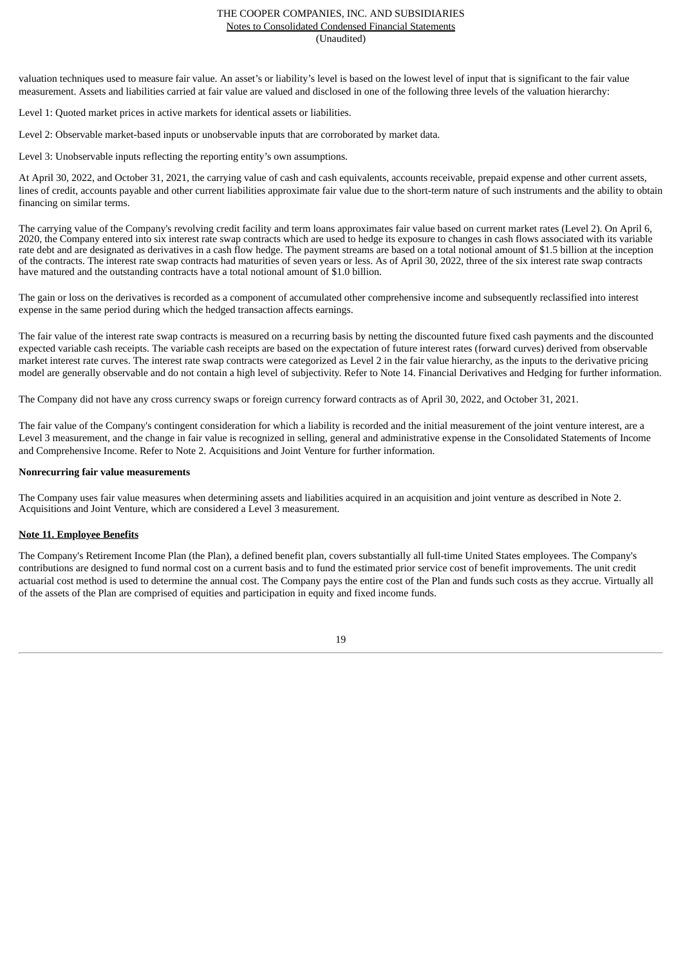(Unaudited)

valuation techniques used to measure fair value. An asset's or liability's level is based on the lowest level of input that is significant to the fair value measurement. Assets and liabilities carried at fair value are valued and disclosed in one of the following three levels of the valuation hierarchy:

Level 1: Quoted market prices in active markets for identical assets or liabilities.

Level 2: Observable market-based inputs or unobservable inputs that are corroborated by market data.

Level 3: Unobservable inputs reflecting the reporting entity's own assumptions.

At April 30, 2022, and October 31, 2021, the carrying value of cash and cash equivalents, accounts receivable, prepaid expense and other current assets, lines of credit, accounts payable and other current liabilities approximate fair value due to the short-term nature of such instruments and the ability to obtain financing on similar terms.

The carrying value of the Company's revolving credit facility and term loans approximates fair value based on current market rates (Level 2). On April 6, 2020, the Company entered into six interest rate swap contracts which are used to hedge its exposure to changes in cash flows associated with its variable rate debt and are designated as derivatives in a cash flow hedge. The payment streams are based on a total notional amount of \$1.5 billion at the inception of the contracts. The interest rate swap contracts had maturities of seven years or less. As of April 30, 2022, three of the six interest rate swap contracts have matured and the outstanding contracts have a total notional amount of \$1.0 billion.

The gain or loss on the derivatives is recorded as a component of accumulated other comprehensive income and subsequently reclassified into interest expense in the same period during which the hedged transaction affects earnings.

The fair value of the interest rate swap contracts is measured on a recurring basis by netting the discounted future fixed cash payments and the discounted expected variable cash receipts. The variable cash receipts are based on the expectation of future interest rates (forward curves) derived from observable market interest rate curves. The interest rate swap contracts were categorized as Level 2 in the fair value hierarchy, as the inputs to the derivative pricing model are generally observable and do not contain a high level of subjectivity. Refer to Note 14. Financial Derivatives and Hedging for further information.

The Company did not have any cross currency swaps or foreign currency forward contracts as of April 30, 2022, and October 31, 2021.

The fair value of the Company's contingent consideration for which a liability is recorded and the initial measurement of the joint venture interest, are a Level 3 measurement, and the change in fair value is recognized in selling, general and administrative expense in the Consolidated Statements of Income and Comprehensive Income. Refer to Note 2. Acquisitions and Joint Venture for further information.

#### **Nonrecurring fair value measurements**

The Company uses fair value measures when determining assets and liabilities acquired in an acquisition and joint venture as described in Note 2. Acquisitions and Joint Venture, which are considered a Level 3 measurement.

# **Note 11. Employee Benefits**

The Company's Retirement Income Plan (the Plan), a defined benefit plan, covers substantially all full-time United States employees. The Company's contributions are designed to fund normal cost on a current basis and to fund the estimated prior service cost of benefit improvements. The unit credit actuarial cost method is used to determine the annual cost. The Company pays the entire cost of the Plan and funds such costs as they accrue. Virtually all of the assets of the Plan are comprised of equities and participation in equity and fixed income funds.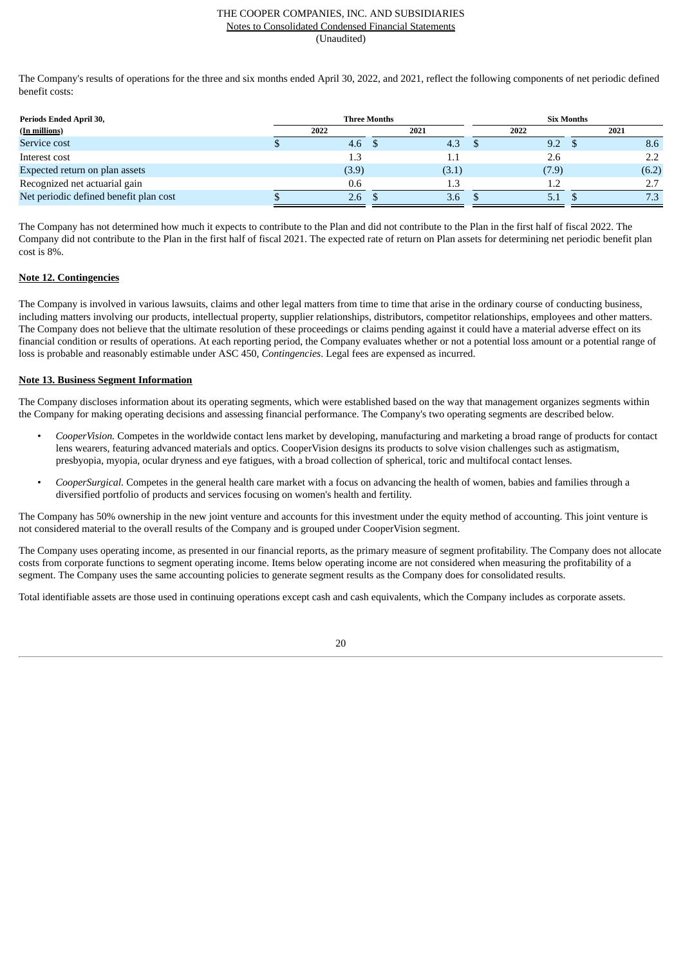(Unaudited)

The Company's results of operations for the three and six months ended April 30, 2022, and 2021, reflect the following components of net periodic defined benefit costs:

| Periods Ended April 30,                |       | <b>Three Months</b> | <b>Six Months</b> |      |       |  |                  |  |
|----------------------------------------|-------|---------------------|-------------------|------|-------|--|------------------|--|
| (In millions)                          | 2022  | 2021                |                   | 2022 |       |  |                  |  |
| Service cost                           | 4.6   |                     | 4.3               |      | 9.2   |  | 8.6              |  |
| Interest cost                          | 1.3   |                     | 1.1               |      | 2.6   |  | $2.2\phantom{0}$ |  |
| Expected return on plan assets         | (3.9) |                     | (3.1)             |      | (7.9) |  | (6.2)            |  |
| Recognized net actuarial gain          | 0.6   |                     | 1.3               |      |       |  | 2.7              |  |
| Net periodic defined benefit plan cost | 2.6   |                     | 3.6               |      | 5.1   |  | 7.3              |  |

The Company has not determined how much it expects to contribute to the Plan and did not contribute to the Plan in the first half of fiscal 2022. The Company did not contribute to the Plan in the first half of fiscal 2021. The expected rate of return on Plan assets for determining net periodic benefit plan cost is 8%.

# **Note 12. Contingencies**

The Company is involved in various lawsuits, claims and other legal matters from time to time that arise in the ordinary course of conducting business, including matters involving our products, intellectual property, supplier relationships, distributors, competitor relationships, employees and other matters. The Company does not believe that the ultimate resolution of these proceedings or claims pending against it could have a material adverse effect on its financial condition or results of operations. At each reporting period, the Company evaluates whether or not a potential loss amount or a potential range of loss is probable and reasonably estimable under ASC 450, *Contingencies*. Legal fees are expensed as incurred.

# **Note 13. Business Segment Information**

The Company discloses information about its operating segments, which were established based on the way that management organizes segments within the Company for making operating decisions and assessing financial performance. The Company's two operating segments are described below.

- *• CooperVision.* Competes in the worldwide contact lens market by developing, manufacturing and marketing a broad range of products for contact lens wearers, featuring advanced materials and optics. CooperVision designs its products to solve vision challenges such as astigmatism, presbyopia, myopia, ocular dryness and eye fatigues, with a broad collection of spherical, toric and multifocal contact lenses.
- *• CooperSurgical.* Competes in the general health care market with a focus on advancing the health of women, babies and families through a diversified portfolio of products and services focusing on women's health and fertility.

The Company has 50% ownership in the new joint venture and accounts for this investment under the equity method of accounting. This joint venture is not considered material to the overall results of the Company and is grouped under CooperVision segment.

The Company uses operating income, as presented in our financial reports, as the primary measure of segment profitability. The Company does not allocate costs from corporate functions to segment operating income. Items below operating income are not considered when measuring the profitability of a segment. The Company uses the same accounting policies to generate segment results as the Company does for consolidated results.

Total identifiable assets are those used in continuing operations except cash and cash equivalents, which the Company includes as corporate assets.

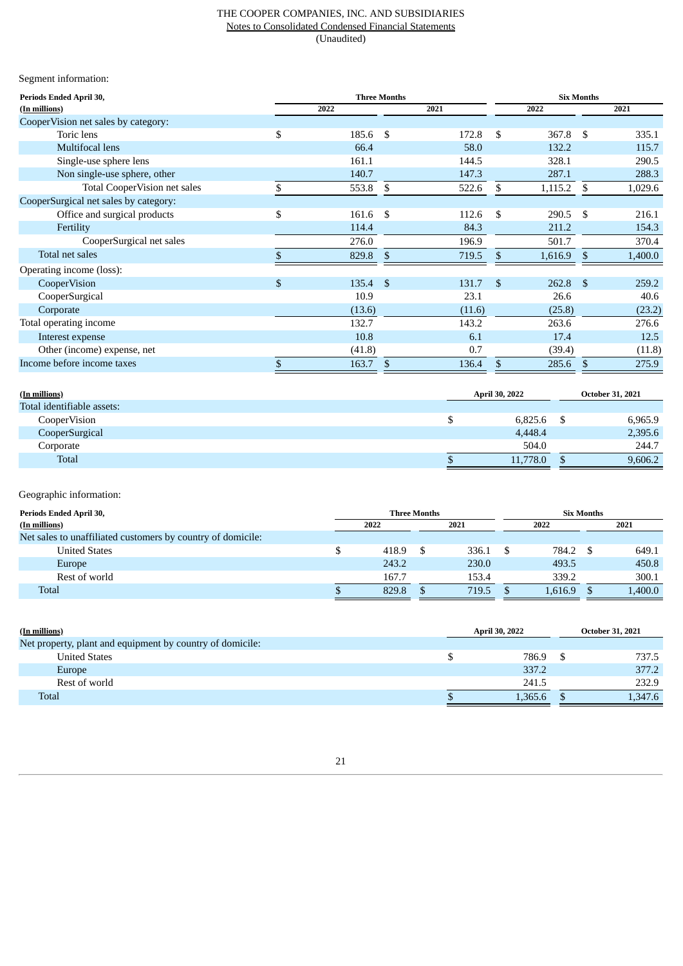Segment information:

| Periods Ended April 30,               | <b>Three Months</b> |    |        |               | <b>Six Months</b> |               |         |
|---------------------------------------|---------------------|----|--------|---------------|-------------------|---------------|---------|
| (In millions)                         | 2022                |    | 2021   |               | 2022              |               | 2021    |
| CooperVision net sales by category:   |                     |    |        |               |                   |               |         |
| Toric lens                            | \$<br>185.6         | \$ | 172.8  | \$            | 367.8             | \$            | 335.1   |
| Multifocal lens                       | 66.4                |    | 58.0   |               | 132.2             |               | 115.7   |
| Single-use sphere lens                | 161.1               |    | 144.5  |               | 328.1             |               | 290.5   |
| Non single-use sphere, other          | 140.7               |    | 147.3  |               | 287.1             |               | 288.3   |
| Total CooperVision net sales          | \$<br>553.8         | S. | 522.6  | \$            | 1,115.2           | \$            | 1,029.6 |
| CooperSurgical net sales by category: |                     |    |        |               |                   |               |         |
| Office and surgical products          | \$<br>161.6         | \$ | 112.6  | \$            | 290.5             | \$            | 216.1   |
| Fertility                             | 114.4               |    | 84.3   |               | 211.2             |               | 154.3   |
| CooperSurgical net sales              | 276.0               |    | 196.9  |               | 501.7             |               | 370.4   |
| Total net sales                       | 829.8               | \$ | 719.5  | \$            | 1,616.9           | \$            | 1,400.0 |
| Operating income (loss):              |                     |    |        |               |                   |               |         |
| CooperVision                          | \$<br>135.4         | \$ | 131.7  | $\mathcal{S}$ | 262.8             | $\mathbf{\$}$ | 259.2   |
| CooperSurgical                        | 10.9                |    | 23.1   |               | 26.6              |               | 40.6    |
| Corporate                             | (13.6)              |    | (11.6) |               | (25.8)            |               | (23.2)  |
| Total operating income                | 132.7               |    | 143.2  |               | 263.6             |               | 276.6   |
| Interest expense                      | 10.8                |    | 6.1    |               | 17.4              |               | 12.5    |
| Other (income) expense, net           | (41.8)              |    | 0.7    |               | (39.4)            |               | (11.8)  |
| Income before income taxes            | \$<br>163.7         | \$ | 136.4  | \$            | 285.6             | \$            | 275.9   |

| (In millions)              | <b>April 30, 2022</b> | <b>October 31, 2021</b> |
|----------------------------|-----------------------|-------------------------|
| Total identifiable assets: |                       |                         |
| CooperVision               | \$<br>6,825.6         | 6,965.9                 |
| CooperSurgical             | 4,448.4               | 2,395.6                 |
| Corporate                  | 504.0                 | 244.7                   |
| Total                      | 11,778.0              | 9,606.2                 |

Geographic information:

| Periods Ended April 30,                                     | <b>Three Months</b> |       |  |       |  | <b>Six Months</b> |      |         |  |  |
|-------------------------------------------------------------|---------------------|-------|--|-------|--|-------------------|------|---------|--|--|
| (In millions)                                               |                     | 2022  |  | 2021  |  | 2022              | 2021 |         |  |  |
| Net sales to unaffiliated customers by country of domicile: |                     |       |  |       |  |                   |      |         |  |  |
| <b>United States</b>                                        |                     | 418.9 |  | 336.1 |  | 784.2             |      | 649.1   |  |  |
| Europe                                                      |                     | 243.2 |  | 230.0 |  | 493.5             |      | 450.8   |  |  |
| Rest of world                                               |                     | 167.7 |  | 153.4 |  | 339.2             |      | 300.1   |  |  |
| Total                                                       |                     | 829.8 |  | 719.5 |  | 1,616.9           |      | 1,400.0 |  |  |

| (In millions)                                             |   | <b>April 30, 2022</b> | <b>October 31, 2021</b> |
|-----------------------------------------------------------|---|-----------------------|-------------------------|
| Net property, plant and equipment by country of domicile: |   |                       |                         |
| <b>United States</b>                                      | J | 786.9                 | 737.5                   |
| Europe                                                    |   | 337.2                 | 377.2                   |
| Rest of world                                             |   | 241.5                 | 232.9                   |
| Total                                                     |   | 1,365.6               | 1,347.6                 |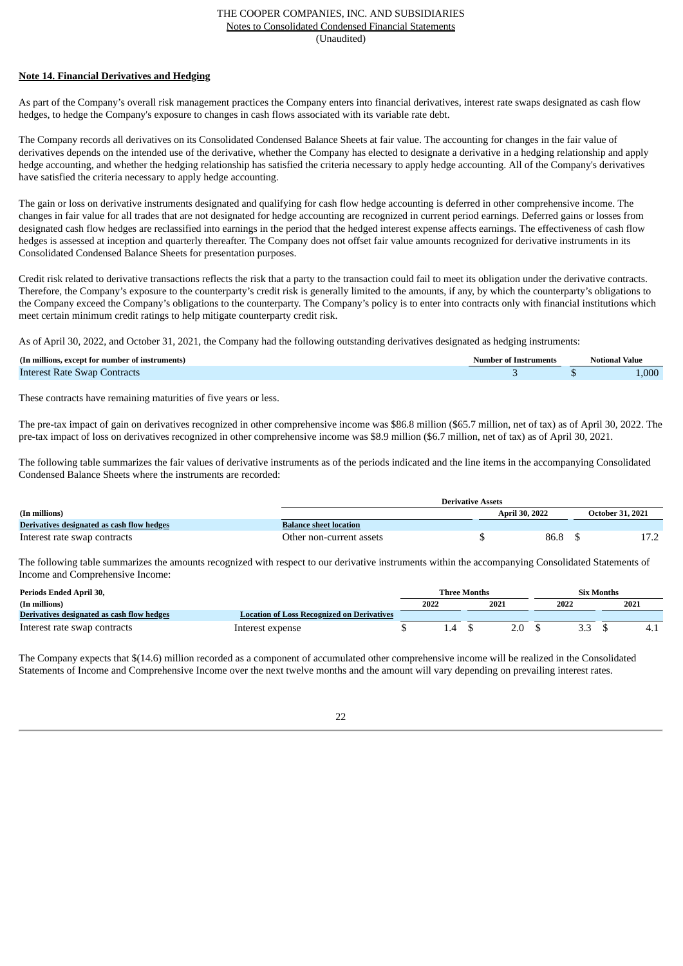(Unaudited)

# **Note 14. Financial Derivatives and Hedging**

As part of the Company's overall risk management practices the Company enters into financial derivatives, interest rate swaps designated as cash flow hedges, to hedge the Company's exposure to changes in cash flows associated with its variable rate debt.

The Company records all derivatives on its Consolidated Condensed Balance Sheets at fair value. The accounting for changes in the fair value of derivatives depends on the intended use of the derivative, whether the Company has elected to designate a derivative in a hedging relationship and apply hedge accounting, and whether the hedging relationship has satisfied the criteria necessary to apply hedge accounting. All of the Company's derivatives have satisfied the criteria necessary to apply hedge accounting.

The gain or loss on derivative instruments designated and qualifying for cash flow hedge accounting is deferred in other comprehensive income. The changes in fair value for all trades that are not designated for hedge accounting are recognized in current period earnings. Deferred gains or losses from designated cash flow hedges are reclassified into earnings in the period that the hedged interest expense affects earnings. The effectiveness of cash flow hedges is assessed at inception and quarterly thereafter. The Company does not offset fair value amounts recognized for derivative instruments in its Consolidated Condensed Balance Sheets for presentation purposes.

Credit risk related to derivative transactions reflects the risk that a party to the transaction could fail to meet its obligation under the derivative contracts. Therefore, the Company's exposure to the counterparty's credit risk is generally limited to the amounts, if any, by which the counterparty's obligations to the Company exceed the Company's obligations to the counterparty. The Company's policy is to enter into contracts only with financial institutions which meet certain minimum credit ratings to help mitigate counterparty credit risk.

As of April 30, 2022, and October 31, 2021, the Company had the following outstanding derivatives designated as hedging instruments:

| (In millions, except for number of instruments) | Number of Instruments | Notional Value |
|-------------------------------------------------|-----------------------|----------------|
| Interest Rate Swap Contracts                    |                       | .000           |
|                                                 |                       |                |

These contracts have remaining maturities of five years or less.

The pre-tax impact of gain on derivatives recognized in other comprehensive income was \$86.8 million (\$65.7 million, net of tax) as of April 30, 2022. The pre-tax impact of loss on derivatives recognized in other comprehensive income was \$8.9 million (\$6.7 million, net of tax) as of April 30, 2021.

The following table summarizes the fair values of derivative instruments as of the periods indicated and the line items in the accompanying Consolidated Condensed Balance Sheets where the instruments are recorded:

|                                            | <b>Derivative Assets</b>      |                       |      |  |                         |  |  |  |  |
|--------------------------------------------|-------------------------------|-----------------------|------|--|-------------------------|--|--|--|--|
| (In millions)                              |                               | <b>April 30, 2022</b> |      |  | <b>October 31, 2021</b> |  |  |  |  |
| Derivatives designated as cash flow hedges | <b>Balance sheet location</b> |                       |      |  |                         |  |  |  |  |
| Interest rate swap contracts               | Other non-current assets      |                       | 86.8 |  | ר דו                    |  |  |  |  |

The following table summarizes the amounts recognized with respect to our derivative instruments within the accompanying Consolidated Statements of Income and Comprehensive Income:

| Periods Ended April 30,                    |                                                   | <b>Three Months</b> |  | <b>Six Months</b> |      |  |      |
|--------------------------------------------|---------------------------------------------------|---------------------|--|-------------------|------|--|------|
| (In millions)                              |                                                   | 2022                |  | 2021              | 2022 |  | 2021 |
| Derivatives designated as cash flow hedges | <b>Location of Loss Recognized on Derivatives</b> |                     |  |                   |      |  |      |
| Interest rate swap contracts               | Interest expense                                  |                     |  |                   |      |  | 4.1  |

The Company expects that \$(14.6) million recorded as a component of accumulated other comprehensive income will be realized in the Consolidated Statements of Income and Comprehensive Income over the next twelve months and the amount will vary depending on prevailing interest rates.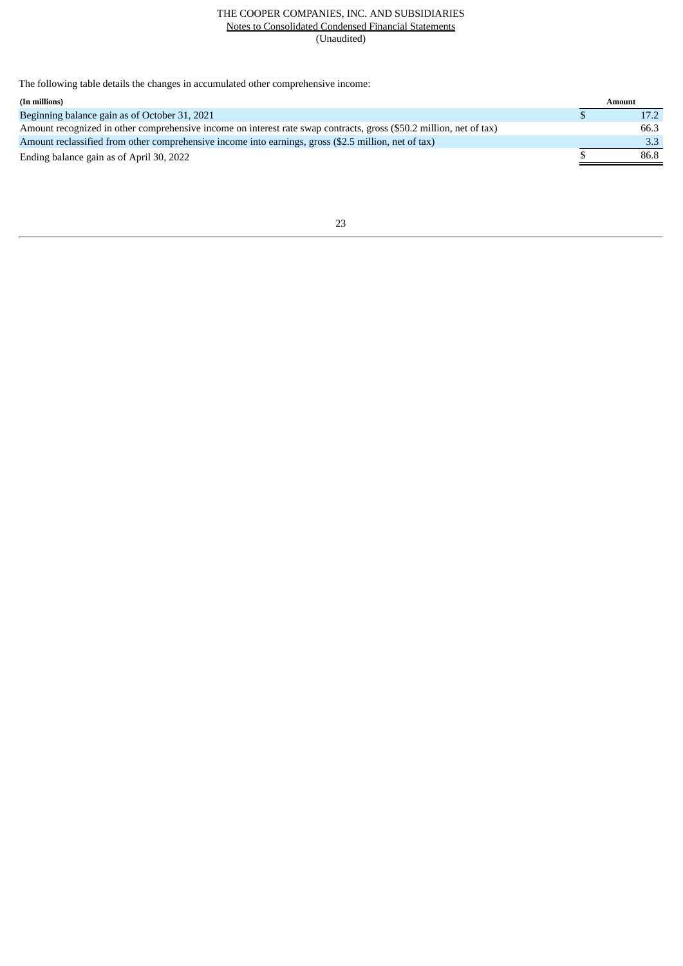(Unaudited)

The following table details the changes in accumulated other comprehensive income:

<span id="page-22-0"></span>

| (In millions)                                                                                                       | Amount           |
|---------------------------------------------------------------------------------------------------------------------|------------------|
| Beginning balance gain as of October 31, 2021                                                                       |                  |
| Amount recognized in other comprehensive income on interest rate swap contracts, gross (\$50.2 million, net of tax) | 66.3             |
| Amount reclassified from other comprehensive income into earnings, gross (\$2.5 million, net of tax)                | 3.3 <sup>°</sup> |
| Ending balance gain as of April 30, 2022                                                                            | 86.8             |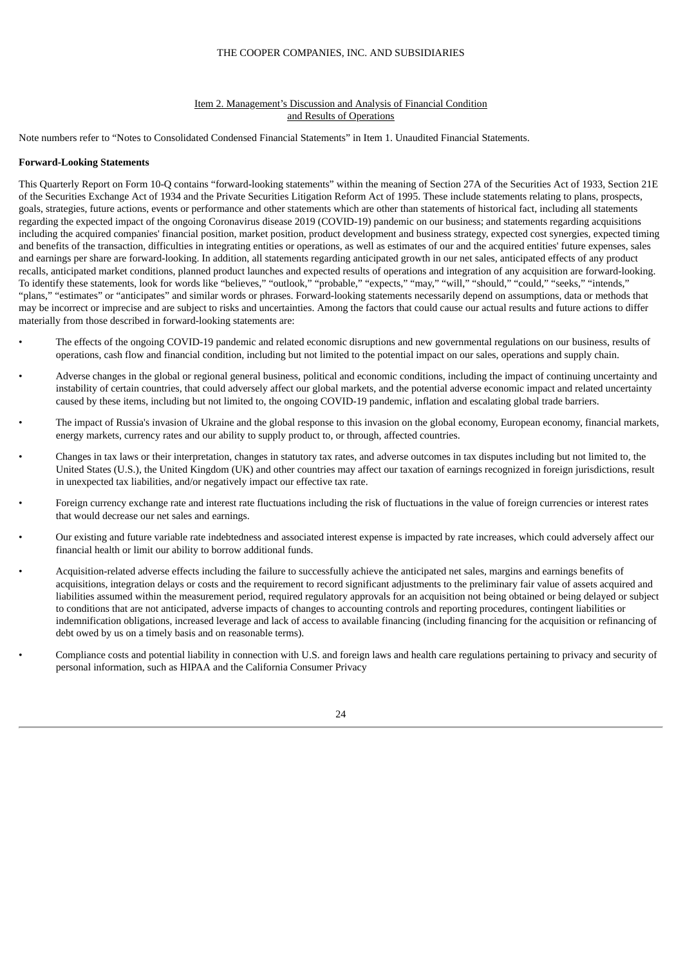# Item 2. Management's Discussion and Analysis of Financial Condition and Results of Operations

Note numbers refer to "Notes to Consolidated Condensed Financial Statements" in Item 1. Unaudited Financial Statements.

#### **Forward-Looking Statements**

This Quarterly Report on Form 10-Q contains "forward-looking statements" within the meaning of Section 27A of the Securities Act of 1933, Section 21E of the Securities Exchange Act of 1934 and the Private Securities Litigation Reform Act of 1995. These include statements relating to plans, prospects, goals, strategies, future actions, events or performance and other statements which are other than statements of historical fact, including all statements regarding the expected impact of the ongoing Coronavirus disease 2019 (COVID-19) pandemic on our business; and statements regarding acquisitions including the acquired companies' financial position, market position, product development and business strategy, expected cost synergies, expected timing and benefits of the transaction, difficulties in integrating entities or operations, as well as estimates of our and the acquired entities' future expenses, sales and earnings per share are forward-looking. In addition, all statements regarding anticipated growth in our net sales, anticipated effects of any product recalls, anticipated market conditions, planned product launches and expected results of operations and integration of any acquisition are forward-looking. To identify these statements, look for words like "believes," "outlook," "probable," "expects," "may," "will," "should," "could," "seeks," "intends," "plans," "estimates" or "anticipates" and similar words or phrases. Forward-looking statements necessarily depend on assumptions, data or methods that may be incorrect or imprecise and are subject to risks and uncertainties. Among the factors that could cause our actual results and future actions to differ materially from those described in forward-looking statements are:

- The effects of the ongoing COVID-19 pandemic and related economic disruptions and new governmental regulations on our business, results of operations, cash flow and financial condition, including but not limited to the potential impact on our sales, operations and supply chain.
- Adverse changes in the global or regional general business, political and economic conditions, including the impact of continuing uncertainty and instability of certain countries, that could adversely affect our global markets, and the potential adverse economic impact and related uncertainty caused by these items, including but not limited to, the ongoing COVID-19 pandemic, inflation and escalating global trade barriers.
- The impact of Russia's invasion of Ukraine and the global response to this invasion on the global economy, European economy, financial markets, energy markets, currency rates and our ability to supply product to, or through, affected countries.
- Changes in tax laws or their interpretation, changes in statutory tax rates, and adverse outcomes in tax disputes including but not limited to, the United States (U.S.), the United Kingdom (UK) and other countries may affect our taxation of earnings recognized in foreign jurisdictions, result in unexpected tax liabilities, and/or negatively impact our effective tax rate.
- Foreign currency exchange rate and interest rate fluctuations including the risk of fluctuations in the value of foreign currencies or interest rates that would decrease our net sales and earnings.
- Our existing and future variable rate indebtedness and associated interest expense is impacted by rate increases, which could adversely affect our financial health or limit our ability to borrow additional funds.
- Acquisition-related adverse effects including the failure to successfully achieve the anticipated net sales, margins and earnings benefits of acquisitions, integration delays or costs and the requirement to record significant adjustments to the preliminary fair value of assets acquired and liabilities assumed within the measurement period, required regulatory approvals for an acquisition not being obtained or being delayed or subject to conditions that are not anticipated, adverse impacts of changes to accounting controls and reporting procedures, contingent liabilities or indemnification obligations, increased leverage and lack of access to available financing (including financing for the acquisition or refinancing of debt owed by us on a timely basis and on reasonable terms).
- Compliance costs and potential liability in connection with U.S. and foreign laws and health care regulations pertaining to privacy and security of personal information, such as HIPAA and the California Consumer Privacy

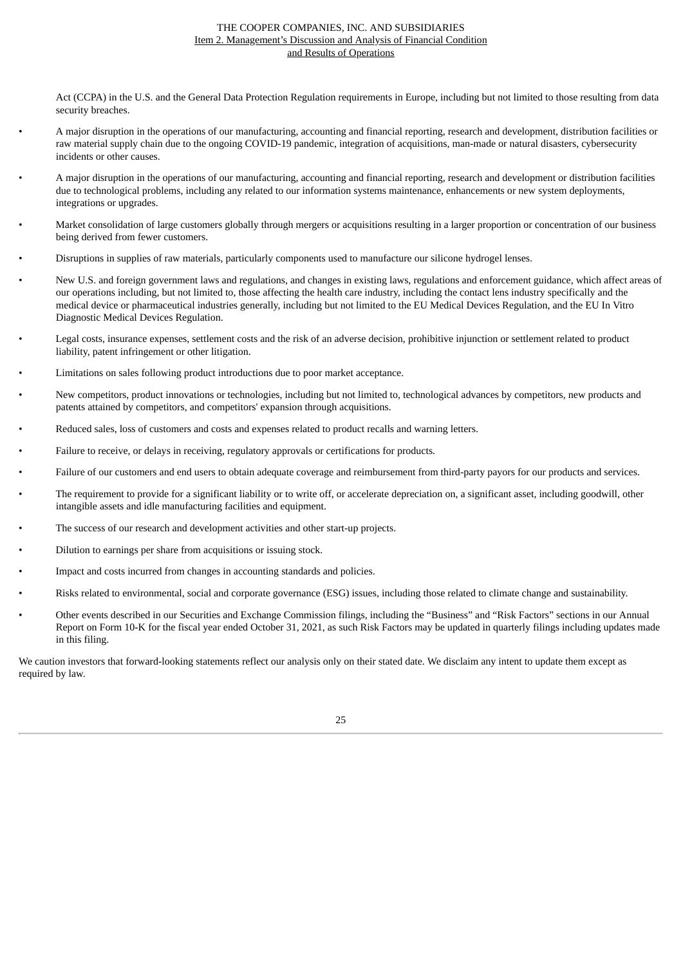Act (CCPA) in the U.S. and the General Data Protection Regulation requirements in Europe, including but not limited to those resulting from data security breaches.

- A major disruption in the operations of our manufacturing, accounting and financial reporting, research and development, distribution facilities or raw material supply chain due to the ongoing COVID-19 pandemic, integration of acquisitions, man-made or natural disasters, cybersecurity incidents or other causes.
- A major disruption in the operations of our manufacturing, accounting and financial reporting, research and development or distribution facilities due to technological problems, including any related to our information systems maintenance, enhancements or new system deployments, integrations or upgrades.
- Market consolidation of large customers globally through mergers or acquisitions resulting in a larger proportion or concentration of our business being derived from fewer customers.
- Disruptions in supplies of raw materials, particularly components used to manufacture our silicone hydrogel lenses.
- New U.S. and foreign government laws and regulations, and changes in existing laws, regulations and enforcement guidance, which affect areas of our operations including, but not limited to, those affecting the health care industry, including the contact lens industry specifically and the medical device or pharmaceutical industries generally, including but not limited to the EU Medical Devices Regulation, and the EU In Vitro Diagnostic Medical Devices Regulation.
- Legal costs, insurance expenses, settlement costs and the risk of an adverse decision, prohibitive injunction or settlement related to product liability, patent infringement or other litigation.
- Limitations on sales following product introductions due to poor market acceptance.
- New competitors, product innovations or technologies, including but not limited to, technological advances by competitors, new products and patents attained by competitors, and competitors' expansion through acquisitions.
- Reduced sales, loss of customers and costs and expenses related to product recalls and warning letters.
- Failure to receive, or delays in receiving, regulatory approvals or certifications for products.
- Failure of our customers and end users to obtain adequate coverage and reimbursement from third-party payors for our products and services.
- The requirement to provide for a significant liability or to write off, or accelerate depreciation on, a significant asset, including goodwill, other intangible assets and idle manufacturing facilities and equipment.
- The success of our research and development activities and other start-up projects.
- Dilution to earnings per share from acquisitions or issuing stock.
- Impact and costs incurred from changes in accounting standards and policies.
- Risks related to environmental, social and corporate governance (ESG) issues, including those related to climate change and sustainability.
- Other events described in our Securities and Exchange Commission filings, including the "Business" and "Risk Factors" sections in our Annual Report on Form 10-K for the fiscal year ended October 31, 2021, as such Risk Factors may be updated in quarterly filings including updates made in this filing.

We caution investors that forward-looking statements reflect our analysis only on their stated date. We disclaim any intent to update them except as required by law.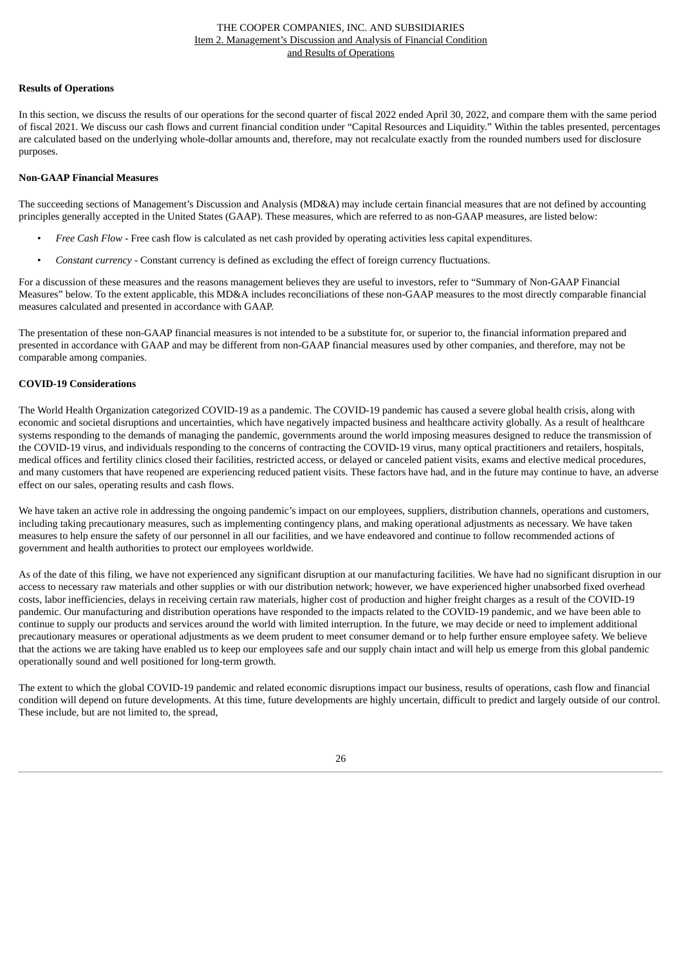#### **Results of Operations**

In this section, we discuss the results of our operations for the second quarter of fiscal 2022 ended April 30, 2022, and compare them with the same period of fiscal 2021. We discuss our cash flows and current financial condition under "Capital Resources and Liquidity." Within the tables presented, percentages are calculated based on the underlying whole-dollar amounts and, therefore, may not recalculate exactly from the rounded numbers used for disclosure purposes.

#### **Non-GAAP Financial Measures**

The succeeding sections of Management's Discussion and Analysis (MD&A) may include certain financial measures that are not defined by accounting principles generally accepted in the United States (GAAP). These measures, which are referred to as non-GAAP measures, are listed below:

- *Free Cash Flow* Free cash flow is calculated as net cash provided by operating activities less capital expenditures.
- *Constant currency* Constant currency is defined as excluding the effect of foreign currency fluctuations.

For a discussion of these measures and the reasons management believes they are useful to investors, refer to "Summary of Non-GAAP Financial Measures" below. To the extent applicable, this MD&A includes reconciliations of these non-GAAP measures to the most directly comparable financial measures calculated and presented in accordance with GAAP.

The presentation of these non-GAAP financial measures is not intended to be a substitute for, or superior to, the financial information prepared and presented in accordance with GAAP and may be different from non-GAAP financial measures used by other companies, and therefore, may not be comparable among companies.

# **COVID-19 Considerations**

The World Health Organization categorized COVID-19 as a pandemic. The COVID-19 pandemic has caused a severe global health crisis, along with economic and societal disruptions and uncertainties, which have negatively impacted business and healthcare activity globally. As a result of healthcare systems responding to the demands of managing the pandemic, governments around the world imposing measures designed to reduce the transmission of the COVID-19 virus, and individuals responding to the concerns of contracting the COVID-19 virus, many optical practitioners and retailers, hospitals, medical offices and fertility clinics closed their facilities, restricted access, or delayed or canceled patient visits, exams and elective medical procedures, and many customers that have reopened are experiencing reduced patient visits. These factors have had, and in the future may continue to have, an adverse effect on our sales, operating results and cash flows.

We have taken an active role in addressing the ongoing pandemic's impact on our employees, suppliers, distribution channels, operations and customers, including taking precautionary measures, such as implementing contingency plans, and making operational adjustments as necessary. We have taken measures to help ensure the safety of our personnel in all our facilities, and we have endeavored and continue to follow recommended actions of government and health authorities to protect our employees worldwide.

As of the date of this filing, we have not experienced any significant disruption at our manufacturing facilities. We have had no significant disruption in our access to necessary raw materials and other supplies or with our distribution network; however, we have experienced higher unabsorbed fixed overhead costs, labor inefficiencies, delays in receiving certain raw materials, higher cost of production and higher freight charges as a result of the COVID-19 pandemic. Our manufacturing and distribution operations have responded to the impacts related to the COVID-19 pandemic, and we have been able to continue to supply our products and services around the world with limited interruption. In the future, we may decide or need to implement additional precautionary measures or operational adjustments as we deem prudent to meet consumer demand or to help further ensure employee safety. We believe that the actions we are taking have enabled us to keep our employees safe and our supply chain intact and will help us emerge from this global pandemic operationally sound and well positioned for long-term growth.

The extent to which the global COVID-19 pandemic and related economic disruptions impact our business, results of operations, cash flow and financial condition will depend on future developments. At this time, future developments are highly uncertain, difficult to predict and largely outside of our control. These include, but are not limited to, the spread,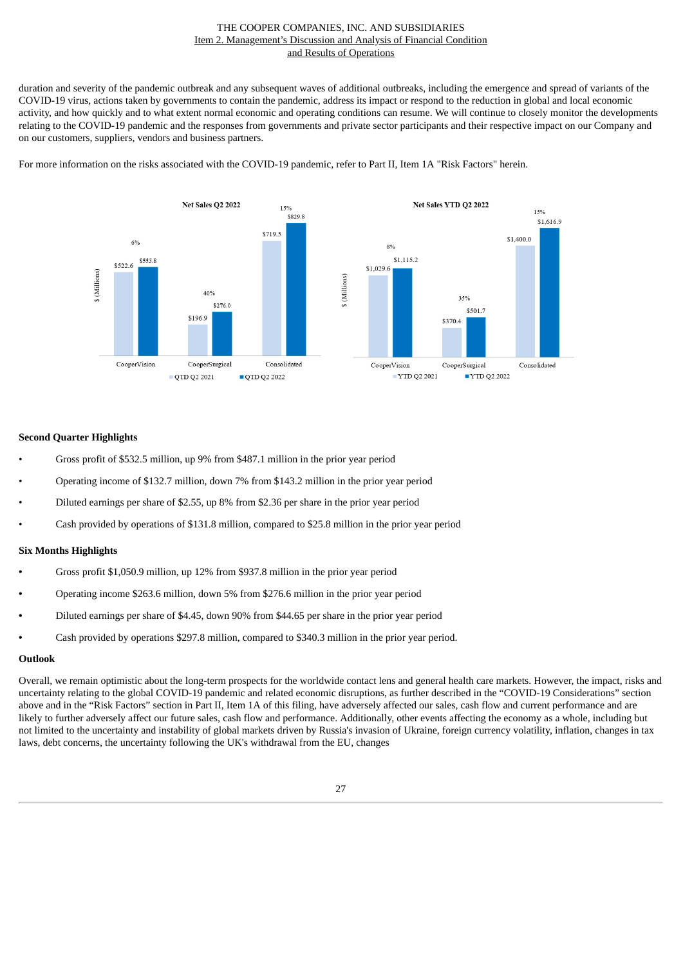duration and severity of the pandemic outbreak and any subsequent waves of additional outbreaks, including the emergence and spread of variants of the COVID-19 virus, actions taken by governments to contain the pandemic, address its impact or respond to the reduction in global and local economic activity, and how quickly and to what extent normal economic and operating conditions can resume. We will continue to closely monitor the developments relating to the COVID-19 pandemic and the responses from governments and private sector participants and their respective impact on our Company and on our customers, suppliers, vendors and business partners.



For more information on the risks associated with the COVID-19 pandemic, refer to Part II, Item 1A "Risk Factors" herein.

#### **Second Quarter Highlights**

- Gross profit of \$532.5 million, up 9% from \$487.1 million in the prior year period
- Operating income of \$132.7 million, down 7% from \$143.2 million in the prior year period
- Diluted earnings per share of \$2.55, up 8% from \$2.36 per share in the prior year period
- Cash provided by operations of \$131.8 million, compared to \$25.8 million in the prior year period

#### **Six Months Highlights**

- Gross profit \$1,050.9 million, up 12% from \$937.8 million in the prior year period
- Operating income \$263.6 million, down 5% from \$276.6 million in the prior year period
- Diluted earnings per share of \$4.45, down 90% from \$44.65 per share in the prior year period
- Cash provided by operations \$297.8 million, compared to \$340.3 million in the prior year period.

#### **Outlook**

Overall, we remain optimistic about the long-term prospects for the worldwide contact lens and general health care markets. However, the impact, risks and uncertainty relating to the global COVID-19 pandemic and related economic disruptions, as further described in the "COVID-19 Considerations" section above and in the "Risk Factors" section in Part II, Item 1A of this filing, have adversely affected our sales, cash flow and current performance and are likely to further adversely affect our future sales, cash flow and performance. Additionally, other events affecting the economy as a whole, including but not limited to the uncertainty and instability of global markets driven by Russia's invasion of Ukraine, foreign currency volatility, inflation, changes in tax laws, debt concerns, the uncertainty following the UK's withdrawal from the EU, changes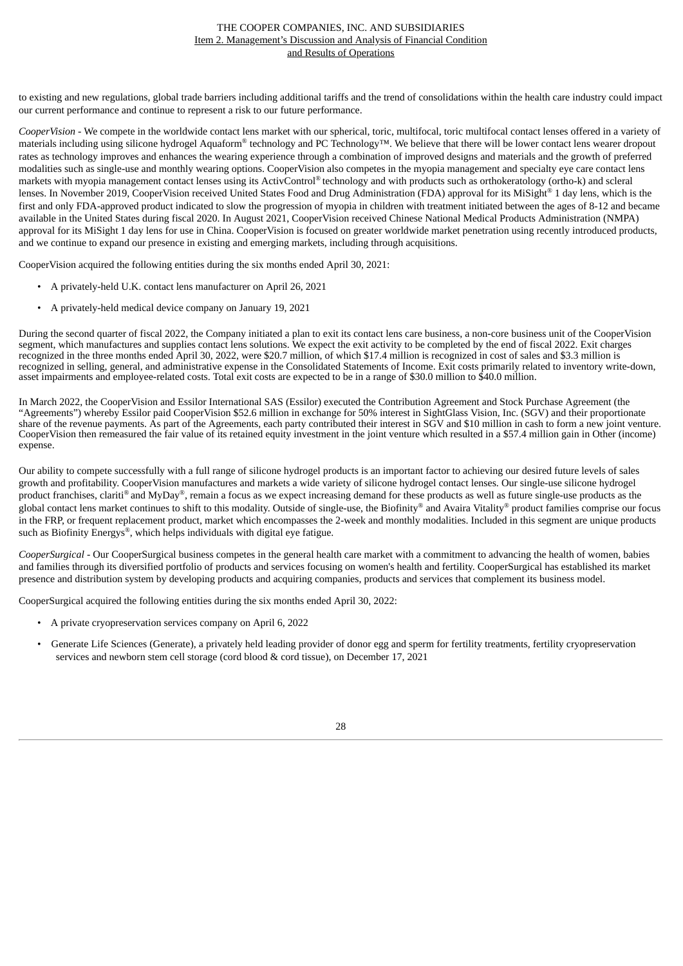to existing and new regulations, global trade barriers including additional tariffs and the trend of consolidations within the health care industry could impact our current performance and continue to represent a risk to our future performance.

*CooperVision* - We compete in the worldwide contact lens market with our spherical, toric, multifocal, toric multifocal contact lenses offered in a variety of materials including using silicone hydrogel Aquaform® technology and PC Technology™. We believe that there will be lower contact lens wearer dropout rates as technology improves and enhances the wearing experience through a combination of improved designs and materials and the growth of preferred modalities such as single-use and monthly wearing options. CooperVision also competes in the myopia management and specialty eye care contact lens markets with myopia management contact lenses using its ActivControl® technology and with products such as orthokeratology (ortho-k) and scleral lenses. In November 2019, CooperVision received United States Food and Drug Administration (FDA) approval for its MiSight® 1 day lens, which is the first and only FDA-approved product indicated to slow the progression of myopia in children with treatment initiated between the ages of 8-12 and became available in the United States during fiscal 2020. In August 2021, CooperVision received Chinese National Medical Products Administration (NMPA) approval for its MiSight 1 day lens for use in China. CooperVision is focused on greater worldwide market penetration using recently introduced products, and we continue to expand our presence in existing and emerging markets, including through acquisitions.

CooperVision acquired the following entities during the six months ended April 30, 2021:

- A privately-held U.K. contact lens manufacturer on April 26, 2021
- A privately-held medical device company on January 19, 2021

During the second quarter of fiscal 2022, the Company initiated a plan to exit its contact lens care business, a non-core business unit of the CooperVision segment, which manufactures and supplies contact lens solutions. We expect the exit activity to be completed by the end of fiscal 2022. Exit charges recognized in the three months ended April 30, 2022, were \$20.7 million, of which \$17.4 million is recognized in cost of sales and \$3.3 million is recognized in selling, general, and administrative expense in the Consolidated Statements of Income. Exit costs primarily related to inventory write-down, asset impairments and employee-related costs. Total exit costs are expected to be in a range of \$30.0 million to \$40.0 million.

In March 2022, the CooperVision and Essilor International SAS (Essilor) executed the Contribution Agreement and Stock Purchase Agreement (the "Agreements") whereby Essilor paid CooperVision \$52.6 million in exchange for 50% interest in SightGlass Vision, Inc. (SGV) and their proportionate share of the revenue payments. As part of the Agreements, each party contributed their interest in SGV and \$10 million in cash to form a new joint venture. CooperVision then remeasured the fair value of its retained equity investment in the joint venture which resulted in a \$57.4 million gain in Other (income) expense.

Our ability to compete successfully with a full range of silicone hydrogel products is an important factor to achieving our desired future levels of sales growth and profitability. CooperVision manufactures and markets a wide variety of silicone hydrogel contact lenses. Our single-use silicone hydrogel product franchises, clariti® and MyDay®, remain a focus as we expect increasing demand for these products as well as future single-use products as the global contact lens market continues to shift to this modality. Outside of single-use, the Biofinity® and Avaira Vitality® product families comprise our focus in the FRP, or frequent replacement product, market which encompasses the 2-week and monthly modalities. Included in this segment are unique products such as Biofinity Energys®, which helps individuals with digital eye fatigue.

*CooperSurgical -* Our CooperSurgical business competes in the general health care market with a commitment to advancing the health of women, babies and families through its diversified portfolio of products and services focusing on women's health and fertility. CooperSurgical has established its market presence and distribution system by developing products and acquiring companies, products and services that complement its business model.

CooperSurgical acquired the following entities during the six months ended April 30, 2022:

- A private cryopreservation services company on April 6, 2022
- Generate Life Sciences (Generate), a privately held leading provider of donor egg and sperm for fertility treatments, fertility cryopreservation services and newborn stem cell storage (cord blood & cord tissue), on December 17, 2021

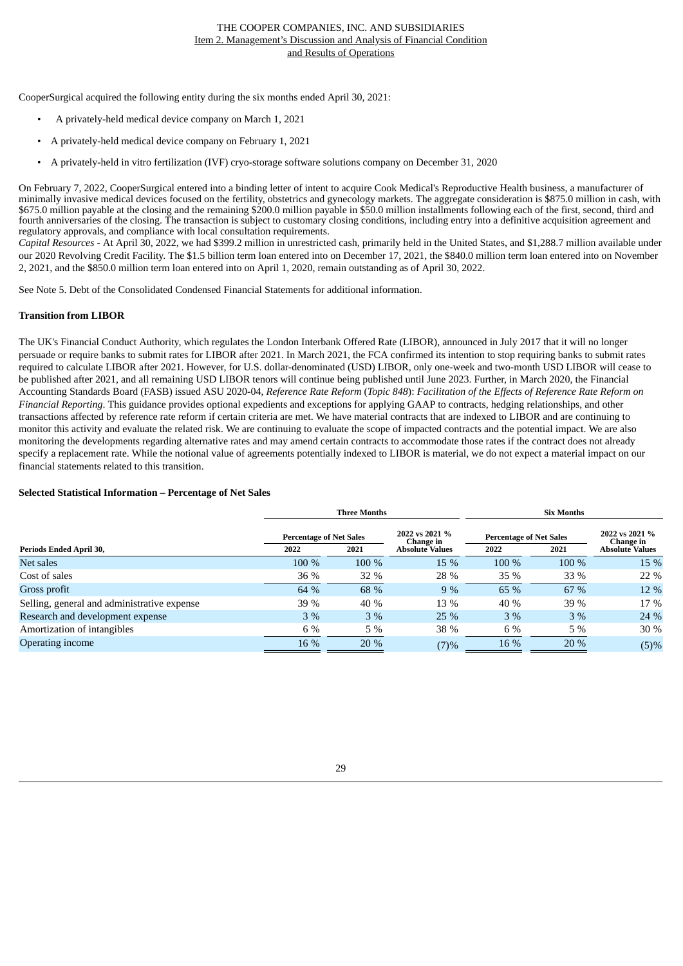CooperSurgical acquired the following entity during the six months ended April 30, 2021:

- A privately-held medical device company on March 1, 2021
- A privately-held medical device company on February 1, 2021
- A privately-held in vitro fertilization (IVF) cryo-storage software solutions company on December 31, 2020

On February 7, 2022, CooperSurgical entered into a binding letter of intent to acquire Cook Medical's Reproductive Health business, a manufacturer of minimally invasive medical devices focused on the fertility, obstetrics and gynecology markets. The aggregate consideration is \$875.0 million in cash, with \$675.0 million payable at the closing and the remaining \$200.0 million payable in \$50.0 million installments following each of the first, second, third and fourth anniversaries of the closing. The transaction is subject to customary closing conditions, including entry into a definitive acquisition agreement and regulatory approvals, and compliance with local consultation requirements.

*Capital Resources -* At April 30, 2022, we had \$399.2 million in unrestricted cash, primarily held in the United States, and \$1,288.7 million available under our 2020 Revolving Credit Facility. The \$1.5 billion term loan entered into on December 17, 2021, the \$840.0 million term loan entered into on November 2, 2021, and the \$850.0 million term loan entered into on April 1, 2020, remain outstanding as of April 30, 2022.

See Note 5. Debt of the Consolidated Condensed Financial Statements for additional information.

# **Transition from LIBOR**

The UK's Financial Conduct Authority, which regulates the London Interbank Offered Rate (LIBOR), announced in July 2017 that it will no longer persuade or require banks to submit rates for LIBOR after 2021. In March 2021, the FCA confirmed its intention to stop requiring banks to submit rates required to calculate LIBOR after 2021. However, for U.S. dollar-denominated (USD) LIBOR, only one-week and two-month USD LIBOR will cease to be published after 2021, and all remaining USD LIBOR tenors will continue being published until June 2023. Further, in March 2020, the Financial Accounting Standards Board (FASB) issued ASU 2020-04, Reference Rate Reform (Topic 848): Facilitation of the Effects of Reference Rate Reform on *Financial Reporting*. This guidance provides optional expedients and exceptions for applying GAAP to contracts, hedging relationships, and other transactions affected by reference rate reform if certain criteria are met. We have material contracts that are indexed to LIBOR and are continuing to monitor this activity and evaluate the related risk. We are continuing to evaluate the scope of impacted contracts and the potential impact. We are also monitoring the developments regarding alternative rates and may amend certain contracts to accommodate those rates if the contract does not already specify a replacement rate. While the notional value of agreements potentially indexed to LIBOR is material, we do not expect a material impact on our financial statements related to this transition.

# **Selected Statistical Information – Percentage of Net Sales**

|                                             |                                | <b>Three Months</b> |                             | <b>Six Months</b>              |                             |                        |  |  |  |
|---------------------------------------------|--------------------------------|---------------------|-----------------------------|--------------------------------|-----------------------------|------------------------|--|--|--|
|                                             | <b>Percentage of Net Sales</b> |                     | 2022 vs 2021 %<br>Change in | <b>Percentage of Net Sales</b> | 2022 vs 2021 %<br>Change in |                        |  |  |  |
| Periods Ended April 30,                     | 2022                           | 2021                | Absolute Values             | 2022                           | 2021                        | <b>Absolute Values</b> |  |  |  |
| Net sales                                   | 100 %                          | 100 %               | 15 %                        | 100 %                          | 100 %                       | 15 %                   |  |  |  |
| Cost of sales                               | 36 %                           | 32 %                | 28 %                        | 35 %                           | 33 %                        | 22 %                   |  |  |  |
| Gross profit                                | 64 %                           | 68 %                | 9%                          | 65 %                           | 67 %                        | 12 %                   |  |  |  |
| Selling, general and administrative expense | 39 %                           | 40 %                | 13 %                        | 40 %                           | 39 %                        | 17 %                   |  |  |  |
| Research and development expense            | 3%                             | 3%                  | 25 %                        | 3%                             | 3%                          | 24 %                   |  |  |  |
| Amortization of intangibles                 | 6 %                            | $5\%$               | 38 %                        | $6\%$                          | $5\%$                       | 30 %                   |  |  |  |
| <b>Operating income</b>                     | 16 %                           | 20 %                | (7)%                        | 16 %                           | 20 %                        | (5)%                   |  |  |  |

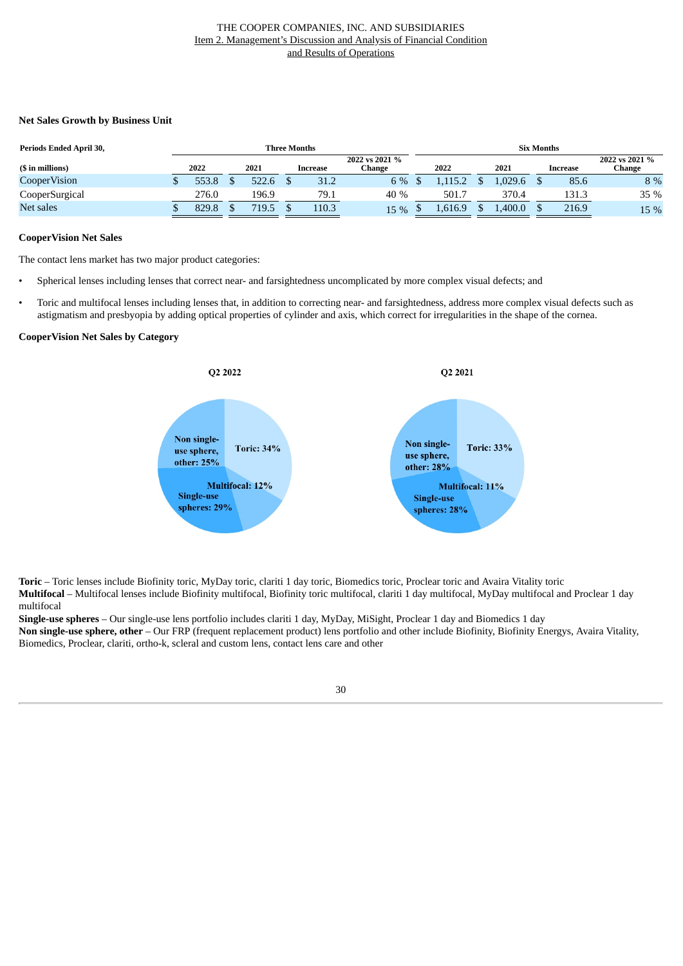# **Net Sales Growth by Business Unit**

| Periods Ended April 30, |       |       | <b>Three Months</b> |                          | <b>Six Months</b> |         |  |         |  |          |                          |
|-------------------------|-------|-------|---------------------|--------------------------|-------------------|---------|--|---------|--|----------|--------------------------|
| (\$ in millions)        | 2022  | 2021  | Increase            | 2022 vs 2021 %<br>Change |                   | 2022    |  | 2021    |  | Increase | 2022 vs 2021 %<br>Change |
| CooperVision            | 553.8 | 522.6 | 31.2                | $6\%$                    |                   | .115.2  |  | 1.029.6 |  | 85.6     | 8 %                      |
| CooperSurgical          | 276.0 | 196.9 | 79.1                | 40 %                     |                   | 501.7   |  | 370.4   |  | 131.3    | 35 %                     |
| Net sales               | 829.8 | 719.5 | 110.3               | 15 %                     |                   | 1,616.9 |  | 1.400.0 |  | 216.9    | 15 %                     |

#### **CooperVision Net Sales**

The contact lens market has two major product categories:

- Spherical lenses including lenses that correct near- and farsightedness uncomplicated by more complex visual defects; and
- Toric and multifocal lenses including lenses that, in addition to correcting near- and farsightedness, address more complex visual defects such as astigmatism and presbyopia by adding optical properties of cylinder and axis, which correct for irregularities in the shape of the cornea.

#### **CooperVision Net Sales by Category**



**Toric** – Toric lenses include Biofinity toric, MyDay toric, clariti 1 day toric, Biomedics toric, Proclear toric and Avaira Vitality toric **Multifocal** – Multifocal lenses include Biofinity multifocal, Biofinity toric multifocal, clariti 1 day multifocal, MyDay multifocal and Proclear 1 day multifocal

**Single-use spheres** – Our single-use lens portfolio includes clariti 1 day, MyDay, MiSight, Proclear 1 day and Biomedics 1 day **Non single-use sphere, other** – Our FRP (frequent replacement product) lens portfolio and other include Biofinity, Biofinity Energys, Avaira Vitality, Biomedics, Proclear, clariti, ortho-k, scleral and custom lens, contact lens care and other

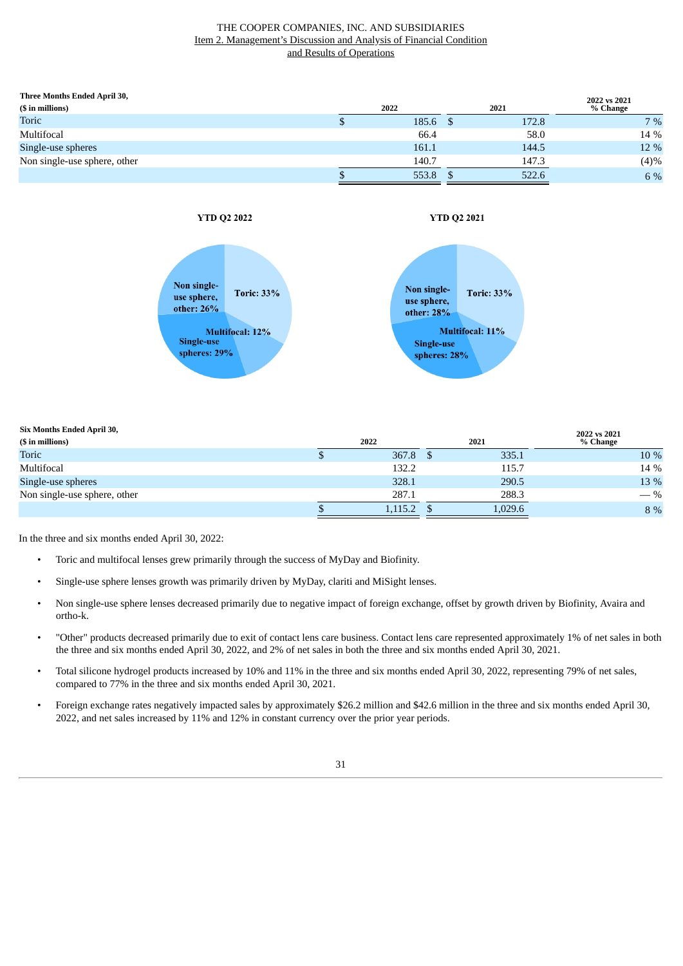| Three Months Ended April 30, |   |                    |    |       | 2022 vs 2021 |  |  |
|------------------------------|---|--------------------|----|-------|--------------|--|--|
| (\$ in millions)             |   | 2022               |    | 2021  | % Change     |  |  |
| <b>Toric</b>                 | D | $185.6$ \$         |    | 172.8 | $7\%$        |  |  |
| Multifocal                   |   | 66.4               |    | 58.0  | 14 %         |  |  |
| Single-use spheres           |   | 161.1              |    | 144.5 | 12 %         |  |  |
| Non single-use sphere, other |   | 140.7              |    | 147.3 | $(4)\%$      |  |  |
|                              |   | 553.8              | -S | 522.6 | 6 %          |  |  |
| <b>YTD Q2 2022</b>           |   | <b>YTD Q2 2021</b> |    |       |              |  |  |



| Six Months Ended April 30,   |  |         |         | 2022 vs 2021 |
|------------------------------|--|---------|---------|--------------|
| (\$ in millions)             |  | 2022    | 2021    | % Change     |
| <b>Toric</b>                 |  | 367.8   | 335.1   | 10 %         |
| Multifocal                   |  | 132.2   | 115.7   | 14 %         |
| Single-use spheres           |  | 328.1   | 290.5   | 13 %         |
| Non single-use sphere, other |  | 287.1   | 288.3   | $-$ %        |
|                              |  | 1,115.2 | 1,029.6 | 8 %          |

In the three and six months ended April 30, 2022:

- Toric and multifocal lenses grew primarily through the success of MyDay and Biofinity.
- Single-use sphere lenses growth was primarily driven by MyDay, clariti and MiSight lenses.
- Non single-use sphere lenses decreased primarily due to negative impact of foreign exchange, offset by growth driven by Biofinity, Avaira and ortho-k.
- "Other" products decreased primarily due to exit of contact lens care business. Contact lens care represented approximately 1% of net sales in both the three and six months ended April 30, 2022, and 2% of net sales in both the three and six months ended April 30, 2021.
- Total silicone hydrogel products increased by 10% and 11% in the three and six months ended April 30, 2022, representing 79% of net sales, compared to 77% in the three and six months ended April 30, 2021.
- Foreign exchange rates negatively impacted sales by approximately \$26.2 million and \$42.6 million in the three and six months ended April 30, 2022, and net sales increased by 11% and 12% in constant currency over the prior year periods.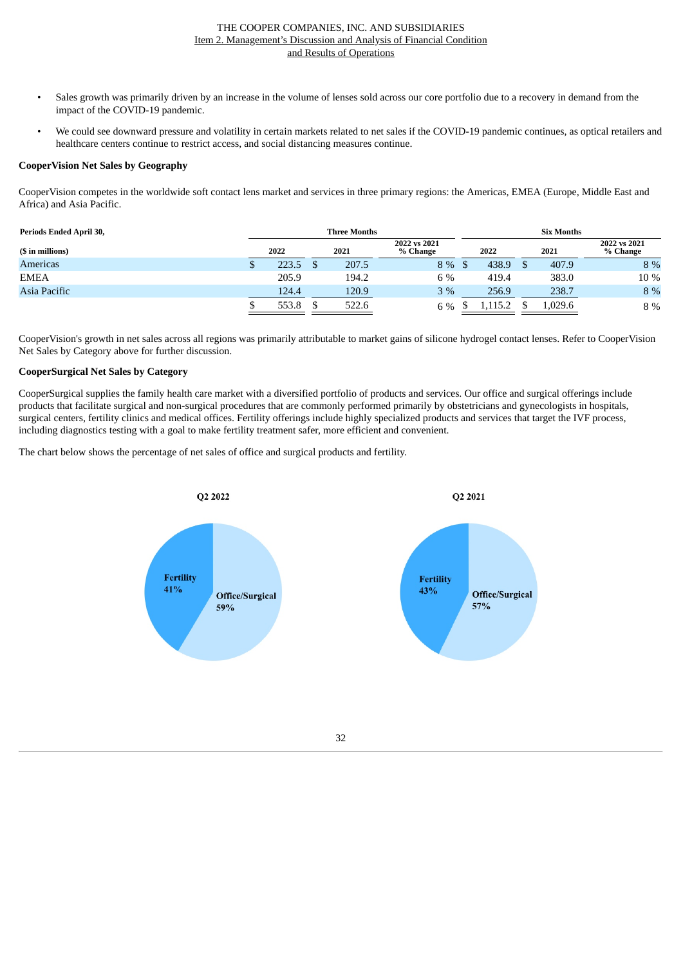- Sales growth was primarily driven by an increase in the volume of lenses sold across our core portfolio due to a recovery in demand from the impact of the COVID-19 pandemic.
- We could see downward pressure and volatility in certain markets related to net sales if the COVID-19 pandemic continues, as optical retailers and healthcare centers continue to restrict access, and social distancing measures continue.

# **CooperVision Net Sales by Geography**

CooperVision competes in the worldwide soft contact lens market and services in three primary regions: the Americas, EMEA (Europe, Middle East and Africa) and Asia Pacific.

| Periods Ended April 30, |       | <b>Three Months</b> |                          |       | <b>Six Months</b> |                          |
|-------------------------|-------|---------------------|--------------------------|-------|-------------------|--------------------------|
| (\$ in millions)        | 2022  | 2021                | 2022 vs 2021<br>% Change | 2022  | 2021              | 2022 vs 2021<br>% Change |
| Americas                | 223.5 | 207.5               | 8 %                      | 438.9 | 407.9             | 8 %                      |
| <b>EMEA</b>             | 205.9 | 194.2               | 6 %                      | 419.4 | 383.0             | 10 %                     |
| Asia Pacific            | 124.4 | 120.9               | 3%                       | 256.9 | 238.7             | 8 %                      |
|                         | 553.8 | 522.6               | 6 %                      | 115.2 | ,029.6            | 8 %                      |

CooperVision's growth in net sales across all regions was primarily attributable to market gains of silicone hydrogel contact lenses. Refer to CooperVision Net Sales by Category above for further discussion.

# **CooperSurgical Net Sales by Category**

CooperSurgical supplies the family health care market with a diversified portfolio of products and services. Our office and surgical offerings include products that facilitate surgical and non-surgical procedures that are commonly performed primarily by obstetricians and gynecologists in hospitals, surgical centers, fertility clinics and medical offices. Fertility offerings include highly specialized products and services that target the IVF process, including diagnostics testing with a goal to make fertility treatment safer, more efficient and convenient.

The chart below shows the percentage of net sales of office and surgical products and fertility.

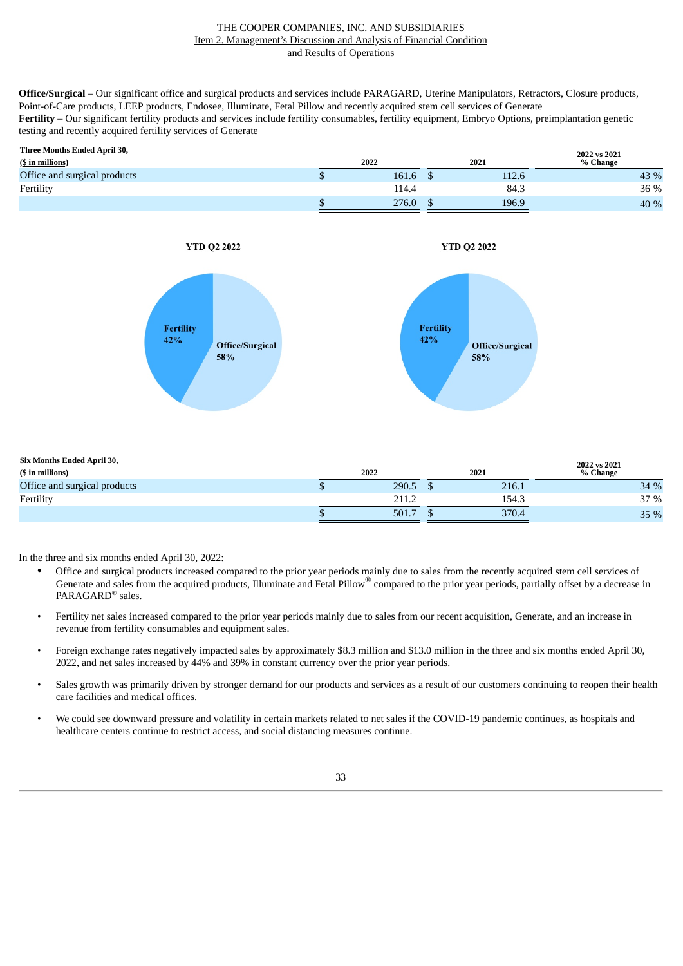**Office/Surgical** – Our significant office and surgical products and services include PARAGARD, Uterine Manipulators, Retractors, Closure products, Point-of-Care products, LEEP products, Endosee, Illuminate, Fetal Pillow and recently acquired stem cell services of Generate **Fertility** – Our significant fertility products and services include fertility consumables, fertility equipment, Embryo Options, preimplantation genetic testing and recently acquired fertility services of Generate

| Three Months Ended April 30, |       |       | 2022 vs 2021 |
|------------------------------|-------|-------|--------------|
| (\$ in millions)             | 2022  | 2021  | % Change     |
| Office and surgical products | 161.6 | 112.6 | 43 %         |
| Fertility                    | 114.4 | 84.3  | 36 %         |
|                              | 276.0 | 196.9 | 40 %         |



| Six Months Ended April 30,   |       |       | 2022 vs 2021 |
|------------------------------|-------|-------|--------------|
| (\$ in millions)             | 2022  | 2021  | % Change     |
| Office and surgical products | 290.5 | 216.1 | 34 %         |
| Fertility                    | 211.2 | 154.3 | 37 %         |
|                              | 501.7 | 370.4 | 35 %         |

In the three and six months ended April 30, 2022:

- Office and surgical products increased compared to the prior year periods mainly due to sales from the recently acquired stem cell services of Generate and sales from the acquired products, Illuminate and Fetal Pillow® compared to the prior year periods, partially offset by a decrease in PARAGARD<sup>®</sup> sales.
- Fertility net sales increased compared to the prior year periods mainly due to sales from our recent acquisition, Generate, and an increase in revenue from fertility consumables and equipment sales.
- Foreign exchange rates negatively impacted sales by approximately \$8.3 million and \$13.0 million in the three and six months ended April 30, 2022, and net sales increased by 44% and 39% in constant currency over the prior year periods.
- Sales growth was primarily driven by stronger demand for our products and services as a result of our customers continuing to reopen their health care facilities and medical offices.
- We could see downward pressure and volatility in certain markets related to net sales if the COVID-19 pandemic continues, as hospitals and healthcare centers continue to restrict access, and social distancing measures continue.

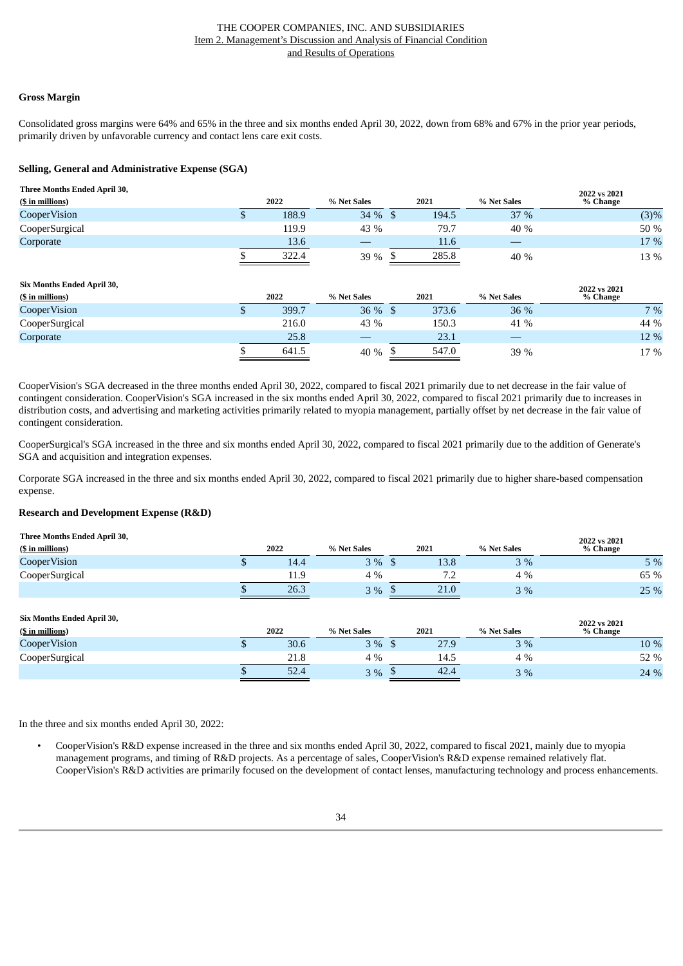# **Gross Margin**

Consolidated gross margins were 64% and 65% in the three and six months ended April 30, 2022, down from 68% and 67% in the prior year periods, primarily driven by unfavorable currency and contact lens care exit costs.

# **Selling, General and Administrative Expense (SGA)**

| Three Months Ended April 30, |       |             |       |             | 2022 vs 2021 |
|------------------------------|-------|-------------|-------|-------------|--------------|
| (\$ in millions)             | 2022  | % Net Sales | 2021  | % Net Sales | % Change     |
| CooperVision                 | 188.9 | $34\%$ \$   | 194.5 | 37%         | $(3)\%$      |
| CooperSurgical               | 119.9 | 43 %        | 79.7  | 40 %        | 50 %         |
| Corporate                    | 13.6  |             | 11.6  |             | 17 %         |
|                              | 322.4 | 39 %        | 285.8 | 40 %        | 13 %         |

#### **Six Months Ended April 30,**

| <b>SIA MORUS ERGEG APER SV,</b> |       |             |       |             | 2022 vs 2021 |
|---------------------------------|-------|-------------|-------|-------------|--------------|
| (\$ in millions)                | 2022  | % Net Sales | 2021  | % Net Sales | % Change     |
| CooperVision                    | 399.7 | 36 %        | 373.6 | 36%         | 7%           |
| CooperSurgical                  | 216.0 | 43 %        | 150.3 | 41 %        | 44 %         |
| Corporate                       | 25.8  |             | 23.1  | _           | 12 %         |
|                                 | 641.5 | 40 %        | 547.0 | 39 %        | 17%          |

CooperVision's SGA decreased in the three months ended April 30, 2022, compared to fiscal 2021 primarily due to net decrease in the fair value of contingent consideration. CooperVision's SGA increased in the six months ended April 30, 2022, compared to fiscal 2021 primarily due to increases in distribution costs, and advertising and marketing activities primarily related to myopia management, partially offset by net decrease in the fair value of contingent consideration.

CooperSurgical's SGA increased in the three and six months ended April 30, 2022, compared to fiscal 2021 primarily due to the addition of Generate's SGA and acquisition and integration expenses.

Corporate SGA increased in the three and six months ended April 30, 2022, compared to fiscal 2021 primarily due to higher share-based compensation expense.

# **Research and Development Expense (R&D)**

| Three Months Ended April 30, |      |             |    |      |             | 2022 vs 2021 |
|------------------------------|------|-------------|----|------|-------------|--------------|
| (\$ in millions)             | 2022 | % Net Sales |    | 2021 | % Net Sales | % Change     |
| CooperVision                 | 14.4 | $3\%$       | -S | 13.8 | 3%          | 5 %          |
| CooperSurgical               | 11.9 | $4\%$       |    | 7.2  | 4 %         | 65 %         |
|                              | 26.3 | 3%          |    | 21.0 | 3%          | 25 %         |
|                              |      |             |    |      |             |              |
| Six Months Ended April 30,   |      |             |    |      |             | 2022 vs 2021 |
| (\$ in millions)             | 2022 | % Net Sales |    | 2021 | % Net Sales | % Change     |
| CooperVision                 | 30.6 | $3\%$       | -S | 27.9 | 3%          | 10 %         |
| CooperSurgical               | 21.8 | $4\%$       |    | 14.5 | $4\%$       | 52 %         |

In the three and six months ended April 30, 2022:

• CooperVision's R&D expense increased in the three and six months ended April 30, 2022, compared to fiscal 2021, mainly due to myopia management programs, and timing of R&D projects. As a percentage of sales, CooperVision's R&D expense remained relatively flat. CooperVision's R&D activities are primarily focused on the development of contact lenses, manufacturing technology and process enhancements.

 $\frac{$}{5}$   $\frac{52.4}{24\%}$   $\frac{$}{5}$   $\frac{42.4}{3\%}$   $\frac{3\%}{4}$   $\frac{24\%}{4}$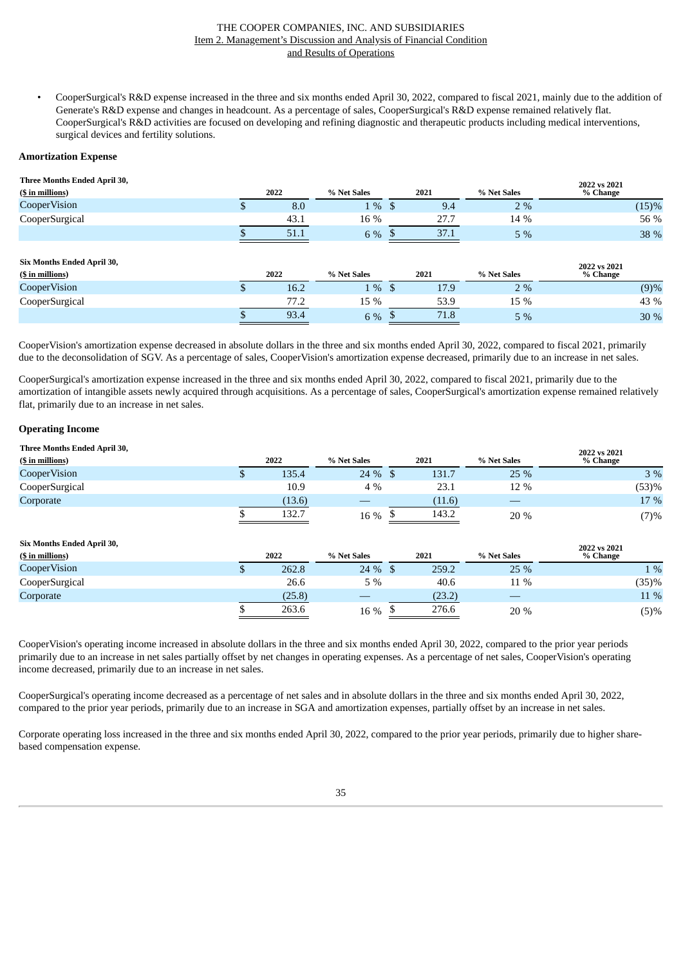• CooperSurgical's R&D expense increased in the three and six months ended April 30, 2022, compared to fiscal 2021, mainly due to the addition of Generate's R&D expense and changes in headcount. As a percentage of sales, CooperSurgical's R&D expense remained relatively flat. CooperSurgical's R&D activities are focused on developing and refining diagnostic and therapeutic products including medical interventions, surgical devices and fertility solutions.

#### **Amortization Expense**

| Three Months Ended April 30, |     |      |             |               |      |             | 2022 vs 2021 |
|------------------------------|-----|------|-------------|---------------|------|-------------|--------------|
| (\$ in millions)             |     | 2022 | % Net Sales |               | 2021 | % Net Sales | % Change     |
| CooperVision                 | S.  | 8.0  | 1 %         | <b>S</b>      | 9.4  | 2%          | (15)%        |
| CooperSurgical               |     | 43.1 | 16 %        |               | 27.7 | 14 %        | 56 %         |
|                              |     | 51.1 | 6 %         |               | 37.1 | 5%          | 38 %         |
| Six Months Ended April 30,   |     |      |             |               |      |             | 2022 vs 2021 |
| (\$ in millions)             |     | 2022 | % Net Sales |               | 2021 | % Net Sales | % Change     |
| CooperVision                 | \$. | 16.2 | $1\%$       | <sup>\$</sup> | 17.9 | 2%          | (9)%         |
| CooperSurgical               |     | 77.2 | 15 %        |               | 53.9 | 15 %        | 43 %         |
|                              |     | 93.4 | 6 %         |               | 71.8 | 5%          | 30 %         |

CooperVision's amortization expense decreased in absolute dollars in the three and six months ended April 30, 2022, compared to fiscal 2021, primarily due to the deconsolidation of SGV. As a percentage of sales, CooperVision's amortization expense decreased, primarily due to an increase in net sales.

CooperSurgical's amortization expense increased in the three and six months ended April 30, 2022, compared to fiscal 2021, primarily due to the amortization of intangible assets newly acquired through acquisitions. As a percentage of sales, CooperSurgical's amortization expense remained relatively flat, primarily due to an increase in net sales.

# **Operating Income**

#### **Three Months Ended April 30,**

| THERE MORNING ENGEG APTH 50,<br>(\$ in millions) |    | 2022   | % Net Sales | 2021   | % Net Sales | 2022 vs 2021<br>% Change |
|--------------------------------------------------|----|--------|-------------|--------|-------------|--------------------------|
| CooperVision                                     | ۰υ | 135.4  | $24\%$ \$   | 131.7  | 25 %        | 3%                       |
| CooperSurgical                                   |    | 10.9   | 4 %         | 23.1   | 12 %        | (53)%                    |
| Corporate                                        |    | (13.6) | _           | (11.6) |             | 17 %                     |
|                                                  |    | 132.7  | 16 %        | 143.2  | 20 %        | (7)%                     |

| Six Months Ended April 30, |        |             |        |             | 2022 vs 2021 |
|----------------------------|--------|-------------|--------|-------------|--------------|
| (\$ in millions)           | 2022   | % Net Sales | 2021   | % Net Sales | % Change     |
| CooperVision               | 262.8  | $24\%$ \$   | 259.2  | 25 %        | $\%$         |
| CooperSurgical             | 26.6   | 5 %         | 40.6   | 11 %        | (35)%        |
| Corporate                  | (25.8) |             | (23.2) |             | 11 %         |
|                            | 263.6  | 16 %        | 276.6  | 20 %        | $(5)\%$      |

CooperVision's operating income increased in absolute dollars in the three and six months ended April 30, 2022, compared to the prior year periods primarily due to an increase in net sales partially offset by net changes in operating expenses. As a percentage of net sales, CooperVision's operating income decreased, primarily due to an increase in net sales.

CooperSurgical's operating income decreased as a percentage of net sales and in absolute dollars in the three and six months ended April 30, 2022, compared to the prior year periods, primarily due to an increase in SGA and amortization expenses, partially offset by an increase in net sales.

Corporate operating loss increased in the three and six months ended April 30, 2022, compared to the prior year periods, primarily due to higher sharebased compensation expense.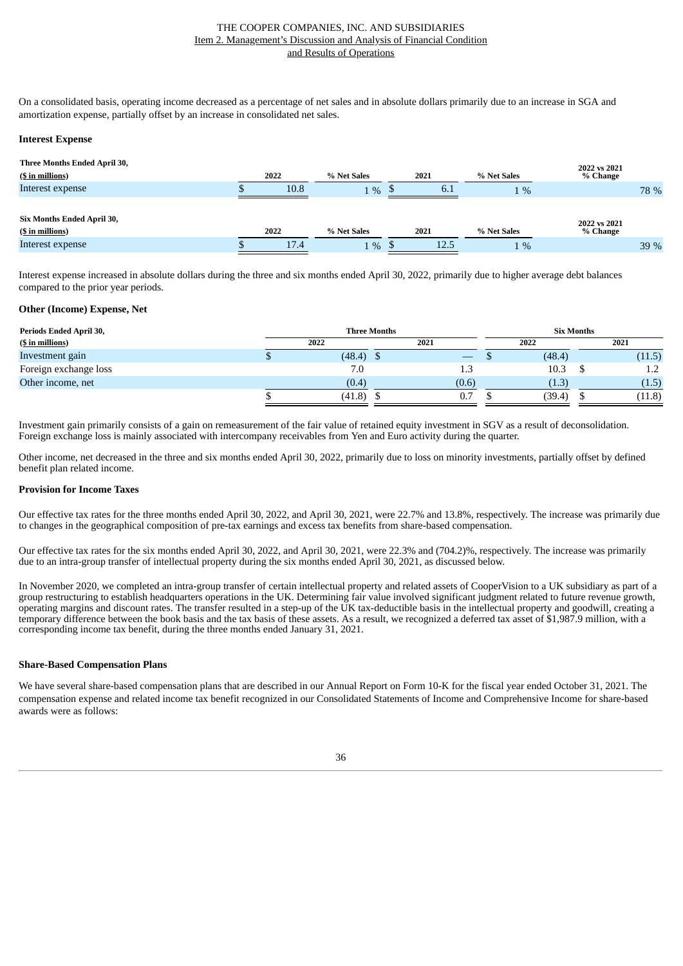On a consolidated basis, operating income decreased as a percentage of net sales and in absolute dollars primarily due to an increase in SGA and amortization expense, partially offset by an increase in consolidated net sales.

#### **Interest Expense**

| Three Months Ended April 30,<br>(\$ in millions) | 2022 | % Net Sales | 2021 | % Net Sales   | 2022 vs 2021<br>% Change |      |
|--------------------------------------------------|------|-------------|------|---------------|--------------------------|------|
| Interest expense                                 | 10.8 | $\%$        | 6.1  | $1\%$         |                          | 78 % |
|                                                  |      |             |      |               |                          |      |
| Six Months Ended April 30,                       |      |             |      |               | 2022 vs 2021             |      |
| (\$ in millions)                                 | 2022 | % Net Sales | 2021 | % Net Sales   | % Change                 |      |
| Interest expense                                 | 17.4 | $\%$        | 12.5 | $\frac{9}{6}$ |                          | 39 % |

Interest expense increased in absolute dollars during the three and six months ended April 30, 2022, primarily due to higher average debt balances compared to the prior year periods.

#### **Other (Income) Expense, Net**

| Periods Ended April 30, |        | <b>Three Months</b> | <b>Six Months</b> |        |        |  |
|-------------------------|--------|---------------------|-------------------|--------|--------|--|
| (\$ in millions)        | 2022   | 2021                | 2022              |        | 2021   |  |
| Investment gain         | (48.4) |                     |                   | (48.4) | (11.5) |  |
| Foreign exchange loss   | 7.0    | 1.3                 |                   | 10.3   | 1.2    |  |
| Other income, net       | (0.4)  | (0.6)               |                   | (1.3)  | (1.5)  |  |
|                         | (41.8) | 0.7                 |                   | (39.4) | (11.8) |  |

Investment gain primarily consists of a gain on remeasurement of the fair value of retained equity investment in SGV as a result of deconsolidation. Foreign exchange loss is mainly associated with intercompany receivables from Yen and Euro activity during the quarter.

Other income, net decreased in the three and six months ended April 30, 2022, primarily due to loss on minority investments, partially offset by defined benefit plan related income.

#### **Provision for Income Taxes**

Our effective tax rates for the three months ended April 30, 2022, and April 30, 2021, were 22.7% and 13.8%, respectively. The increase was primarily due to changes in the geographical composition of pre-tax earnings and excess tax benefits from share-based compensation.

Our effective tax rates for the six months ended April 30, 2022, and April 30, 2021, were 22.3% and (704.2)%, respectively. The increase was primarily due to an intra-group transfer of intellectual property during the six months ended April 30, 2021, as discussed below.

In November 2020, we completed an intra-group transfer of certain intellectual property and related assets of CooperVision to a UK subsidiary as part of a group restructuring to establish headquarters operations in the UK. Determining fair value involved significant judgment related to future revenue growth, operating margins and discount rates. The transfer resulted in a step-up of the UK tax-deductible basis in the intellectual property and goodwill, creating a temporary difference between the book basis and the tax basis of these assets. As a result, we recognized a deferred tax asset of \$1,987.9 million, with a corresponding income tax benefit, during the three months ended January 31, 2021.

#### **Share-Based Compensation Plans**

We have several share-based compensation plans that are described in our Annual Report on Form 10-K for the fiscal year ended October 31, 2021. The compensation expense and related income tax benefit recognized in our Consolidated Statements of Income and Comprehensive Income for share-based awards were as follows: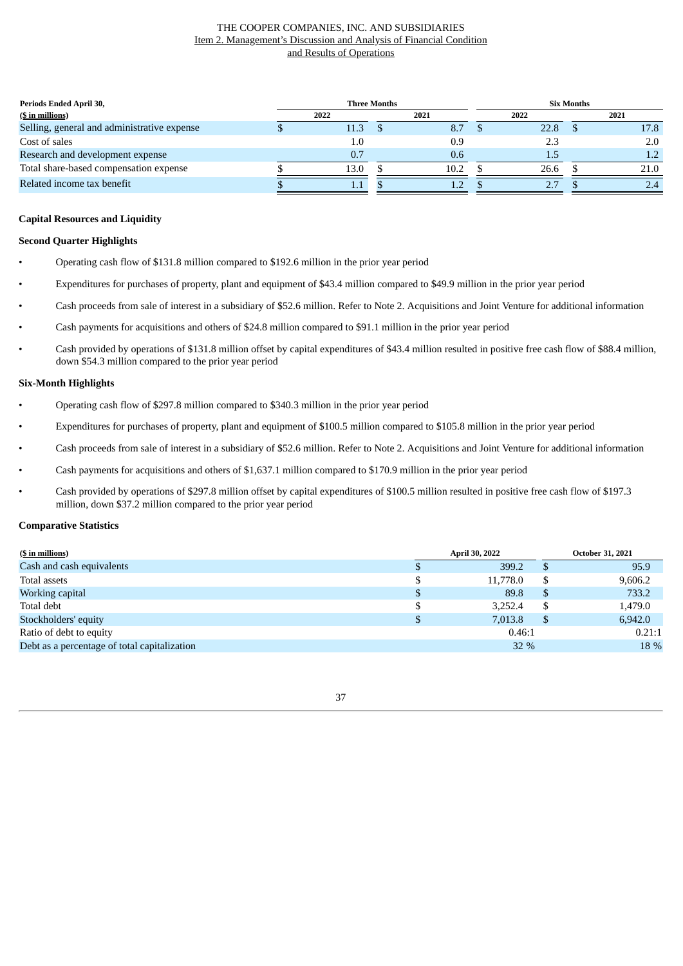| Periods Ended April 30,                     | <b>Three Months</b> |         |  | <b>Six Months</b> |  |      |  |      |
|---------------------------------------------|---------------------|---------|--|-------------------|--|------|--|------|
| (\$ in millions)                            |                     | 2022    |  | 2021              |  | 2022 |  | 2021 |
| Selling, general and administrative expense |                     | 11.3    |  | 8.7               |  | 22.8 |  | 17.8 |
| Cost of sales                               |                     | $1.0\,$ |  | 0.9               |  | 2.3  |  | 2.0  |
| Research and development expense            |                     | 0.7     |  | 0.6               |  | 1.5  |  | 1.2  |
| Total share-based compensation expense      |                     | 13.0    |  | 10.2              |  | 26.6 |  | 21.0 |
| Related income tax benefit                  |                     | 1.1     |  |                   |  | 2.7  |  | 2.4  |

# **Capital Resources and Liquidity**

#### **Second Quarter Highlights**

- Operating cash flow of \$131.8 million compared to \$192.6 million in the prior year period
- Expenditures for purchases of property, plant and equipment of \$43.4 million compared to \$49.9 million in the prior year period
- Cash proceeds from sale of interest in a subsidiary of \$52.6 million. Refer to Note 2. Acquisitions and Joint Venture for additional information
- Cash payments for acquisitions and others of \$24.8 million compared to \$91.1 million in the prior year period
- Cash provided by operations of \$131.8 million offset by capital expenditures of \$43.4 million resulted in positive free cash flow of \$88.4 million, down \$54.3 million compared to the prior year period

#### **Six-Month Highlights**

- Operating cash flow of \$297.8 million compared to \$340.3 million in the prior year period
- Expenditures for purchases of property, plant and equipment of \$100.5 million compared to \$105.8 million in the prior year period
- Cash proceeds from sale of interest in a subsidiary of \$52.6 million. Refer to Note 2. Acquisitions and Joint Venture for additional information
- Cash payments for acquisitions and others of \$1,637.1 million compared to \$170.9 million in the prior year period
- Cash provided by operations of \$297.8 million offset by capital expenditures of \$100.5 million resulted in positive free cash flow of \$197.3 million, down \$37.2 million compared to the prior year period

#### **Comparative Statistics**

| (\$ in millions)                             |    | <b>April 30, 2022</b> | <b>October 31, 2021</b> |  |  |
|----------------------------------------------|----|-----------------------|-------------------------|--|--|
| Cash and cash equivalents                    |    | 399.2                 | 95.9                    |  |  |
| Total assets                                 | S  | 11,778.0              | 9,606.2                 |  |  |
| Working capital                              | \$ | 89.8                  | 733.2                   |  |  |
| Total debt                                   | S  | 3.252.4               | 1,479.0                 |  |  |
| Stockholders' equity                         | \$ | 7.013.8               | 6,942.0                 |  |  |
| Ratio of debt to equity                      |    | 0.46:1                | 0.21:1                  |  |  |
| Debt as a percentage of total capitalization |    | <b>32 %</b>           | 18 %                    |  |  |

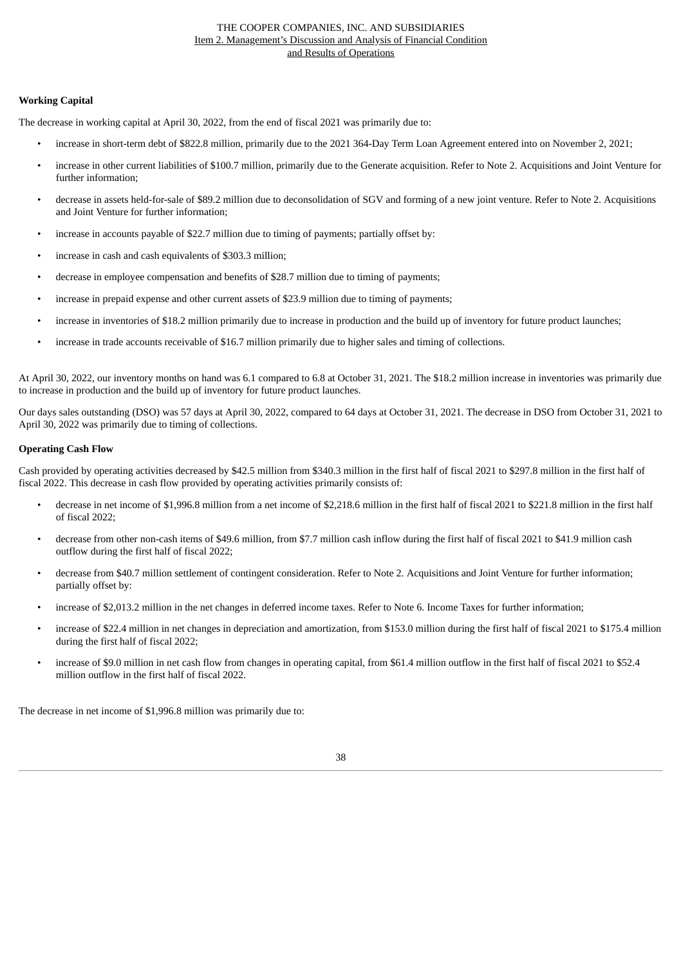# **Working Capital**

The decrease in working capital at April 30, 2022, from the end of fiscal 2021 was primarily due to:

- increase in short-term debt of \$822.8 million, primarily due to the 2021 364-Day Term Loan Agreement entered into on November 2, 2021;
- increase in other current liabilities of \$100.7 million, primarily due to the Generate acquisition. Refer to Note 2. Acquisitions and Joint Venture for further information;
- decrease in assets held-for-sale of \$89.2 million due to deconsolidation of SGV and forming of a new joint venture. Refer to Note 2. Acquisitions and Joint Venture for further information;
- increase in accounts payable of \$22.7 million due to timing of payments; partially offset by:
- increase in cash and cash equivalents of \$303.3 million;
- decrease in employee compensation and benefits of \$28.7 million due to timing of payments;
- increase in prepaid expense and other current assets of \$23.9 million due to timing of payments;
- increase in inventories of \$18.2 million primarily due to increase in production and the build up of inventory for future product launches;
- increase in trade accounts receivable of \$16.7 million primarily due to higher sales and timing of collections.

At April 30, 2022, our inventory months on hand was 6.1 compared to 6.8 at October 31, 2021. The \$18.2 million increase in inventories was primarily due to increase in production and the build up of inventory for future product launches.

Our days sales outstanding (DSO) was 57 days at April 30, 2022, compared to 64 days at October 31, 2021. The decrease in DSO from October 31, 2021 to April 30, 2022 was primarily due to timing of collections.

# **Operating Cash Flow**

Cash provided by operating activities decreased by \$42.5 million from \$340.3 million in the first half of fiscal 2021 to \$297.8 million in the first half of fiscal 2022. This decrease in cash flow provided by operating activities primarily consists of:

- decrease in net income of \$1,996.8 million from a net income of \$2,218.6 million in the first half of fiscal 2021 to \$221.8 million in the first half of fiscal  $2022$ ;
- decrease from other non-cash items of \$49.6 million, from \$7.7 million cash inflow during the first half of fiscal 2021 to \$41.9 million cash outflow during the first half of fiscal 2022;
- decrease from \$40.7 million settlement of contingent consideration. Refer to Note 2. Acquisitions and Joint Venture for further information; partially offset by:
- increase of \$2,013.2 million in the net changes in deferred income taxes. Refer to Note 6. Income Taxes for further information;
- increase of \$22.4 million in net changes in depreciation and amortization, from \$153.0 million during the first half of fiscal 2021 to \$175.4 million during the first half of fiscal 2022;
- increase of \$9.0 million in net cash flow from changes in operating capital, from \$61.4 million outflow in the first half of fiscal 2021 to \$52.4 million outflow in the first half of fiscal 2022.

The decrease in net income of \$1,996.8 million was primarily due to: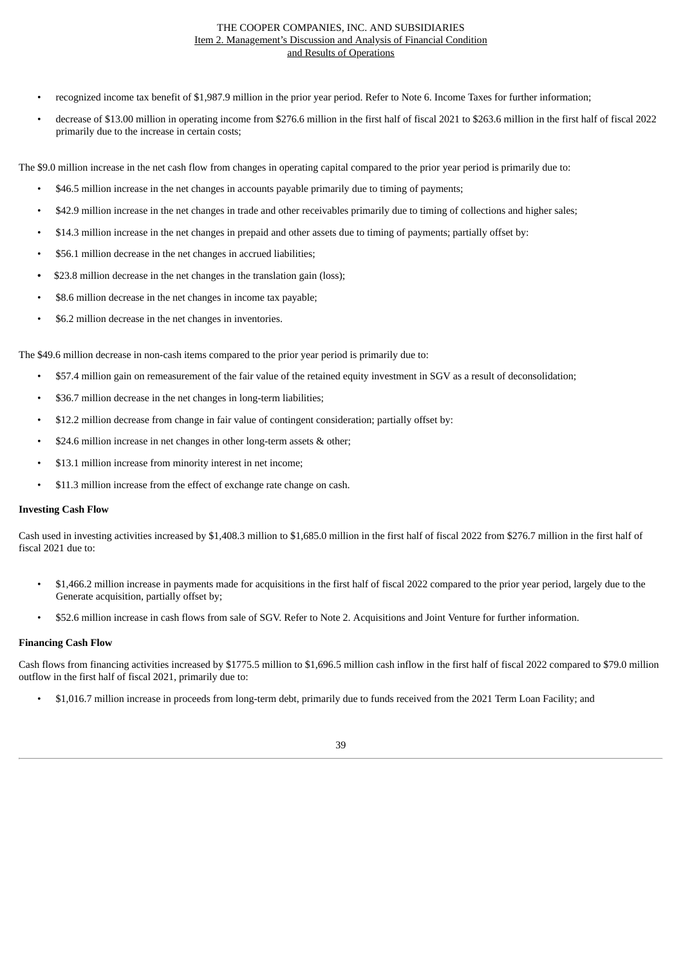- recognized income tax benefit of \$1,987.9 million in the prior year period. Refer to Note 6. Income Taxes for further information;
- decrease of \$13.00 million in operating income from \$276.6 million in the first half of fiscal 2021 to \$263.6 million in the first half of fiscal 2022 primarily due to the increase in certain costs;

The \$9.0 million increase in the net cash flow from changes in operating capital compared to the prior year period is primarily due to:

- \$46.5 million increase in the net changes in accounts payable primarily due to timing of payments;
- \$42.9 million increase in the net changes in trade and other receivables primarily due to timing of collections and higher sales;
- \$14.3 million increase in the net changes in prepaid and other assets due to timing of payments; partially offset by:
- \$56.1 million decrease in the net changes in accrued liabilities;
- \$23.8 million decrease in the net changes in the translation gain (loss);
- \$8.6 million decrease in the net changes in income tax payable;
- \$6.2 million decrease in the net changes in inventories.

The \$49.6 million decrease in non-cash items compared to the prior year period is primarily due to:

- \$57.4 million gain on remeasurement of the fair value of the retained equity investment in SGV as a result of deconsolidation;
- \$36.7 million decrease in the net changes in long-term liabilities;
- \$12.2 million decrease from change in fair value of contingent consideration; partially offset by:
- \$24.6 million increase in net changes in other long-term assets & other;
- \$13.1 million increase from minority interest in net income;
- \$11.3 million increase from the effect of exchange rate change on cash.

# **Investing Cash Flow**

Cash used in investing activities increased by \$1,408.3 million to \$1,685.0 million in the first half of fiscal 2022 from \$276.7 million in the first half of fiscal 2021 due to:

- \$1,466.2 million increase in payments made for acquisitions in the first half of fiscal 2022 compared to the prior year period, largely due to the Generate acquisition, partially offset by;
- \$52.6 million increase in cash flows from sale of SGV. Refer to Note 2. Acquisitions and Joint Venture for further information.

#### **Financing Cash Flow**

Cash flows from financing activities increased by \$1775.5 million to \$1,696.5 million cash inflow in the first half of fiscal 2022 compared to \$79.0 million outflow in the first half of fiscal 2021, primarily due to:

• \$1,016.7 million increase in proceeds from long-term debt, primarily due to funds received from the 2021 Term Loan Facility; and

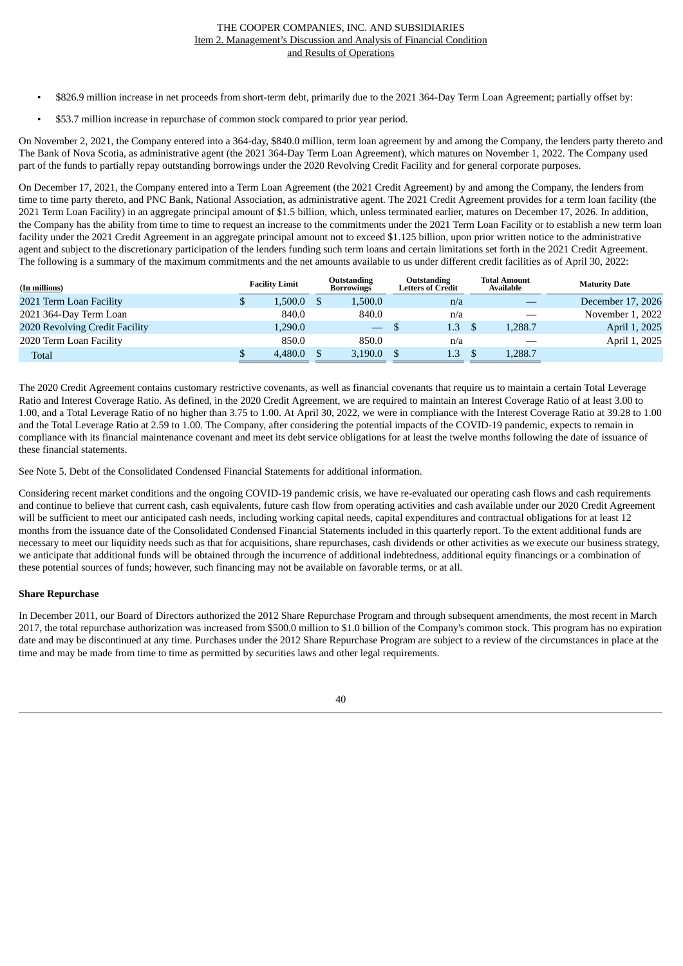- \$826.9 million increase in net proceeds from short-term debt, primarily due to the 2021 364-Day Term Loan Agreement; partially offset by:
- \$53.7 million increase in repurchase of common stock compared to prior year period.

On November 2, 2021, the Company entered into a 364-day, \$840.0 million, term loan agreement by and among the Company, the lenders party thereto and The Bank of Nova Scotia, as administrative agent (the 2021 364-Day Term Loan Agreement), which matures on November 1, 2022. The Company used part of the funds to partially repay outstanding borrowings under the 2020 Revolving Credit Facility and for general corporate purposes.

On December 17, 2021, the Company entered into a Term Loan Agreement (the 2021 Credit Agreement) by and among the Company, the lenders from time to time party thereto, and PNC Bank, National Association, as administrative agent. The 2021 Credit Agreement provides for a term loan facility (the 2021 Term Loan Facility) in an aggregate principal amount of \$1.5 billion, which, unless terminated earlier, matures on December 17, 2026. In addition, the Company has the ability from time to time to request an increase to the commitments under the 2021 Term Loan Facility or to establish a new term loan facility under the 2021 Credit Agreement in an aggregate principal amount not to exceed \$1.125 billion, upon prior written notice to the administrative agent and subject to the discretionary participation of the lenders funding such term loans and certain limitations set forth in the 2021 Credit Agreement. The following is a summary of the maximum commitments and the net amounts available to us under different credit facilities as of April 30, 2022:

| (In millions)                  | <b>Facility Limit</b> | Outstanding<br><b>Borrowings</b> | Outstanding<br><b>Letters of Credit</b> | <b>Total Amount</b><br><b>Available</b> | <b>Maturity Date</b> |
|--------------------------------|-----------------------|----------------------------------|-----------------------------------------|-----------------------------------------|----------------------|
| 2021 Term Loan Facility        | 1.500.0               | 1,500.0                          | n/a                                     |                                         | December 17, 2026    |
| 2021 364-Day Term Loan         | 840.0                 | 840.0                            | n/a                                     |                                         | November 1, 2022     |
| 2020 Revolving Credit Facility | 1,290.0               | $-$ \$                           | 1.3                                     | 1.288.7                                 | April 1, 2025        |
| 2020 Term Loan Facility        | 850.0                 | 850.0                            | n/a                                     |                                         | April 1, 2025        |
| Total                          | 4.480.0               | 3.190.0                          | 1.3                                     | 1,288.7                                 |                      |

The 2020 Credit Agreement contains customary restrictive covenants, as well as financial covenants that require us to maintain a certain Total Leverage Ratio and Interest Coverage Ratio. As defined, in the 2020 Credit Agreement, we are required to maintain an Interest Coverage Ratio of at least 3.00 to 1.00, and a Total Leverage Ratio of no higher than 3.75 to 1.00. At April 30, 2022, we were in compliance with the Interest Coverage Ratio at 39.28 to 1.00 and the Total Leverage Ratio at 2.59 to 1.00. The Company, after considering the potential impacts of the COVID-19 pandemic, expects to remain in compliance with its financial maintenance covenant and meet its debt service obligations for at least the twelve months following the date of issuance of these financial statements.

See Note 5. Debt of the Consolidated Condensed Financial Statements for additional information.

Considering recent market conditions and the ongoing COVID-19 pandemic crisis, we have re-evaluated our operating cash flows and cash requirements and continue to believe that current cash, cash equivalents, future cash flow from operating activities and cash available under our 2020 Credit Agreement will be sufficient to meet our anticipated cash needs, including working capital needs, capital expenditures and contractual obligations for at least 12 months from the issuance date of the Consolidated Condensed Financial Statements included in this quarterly report. To the extent additional funds are necessary to meet our liquidity needs such as that for acquisitions, share repurchases, cash dividends or other activities as we execute our business strategy, we anticipate that additional funds will be obtained through the incurrence of additional indebtedness, additional equity financings or a combination of these potential sources of funds; however, such financing may not be available on favorable terms, or at all.

# **Share Repurchase**

In December 2011, our Board of Directors authorized the 2012 Share Repurchase Program and through subsequent amendments, the most recent in March 2017, the total repurchase authorization was increased from \$500.0 million to \$1.0 billion of the Company's common stock. This program has no expiration date and may be discontinued at any time. Purchases under the 2012 Share Repurchase Program are subject to a review of the circumstances in place at the time and may be made from time to time as permitted by securities laws and other legal requirements.

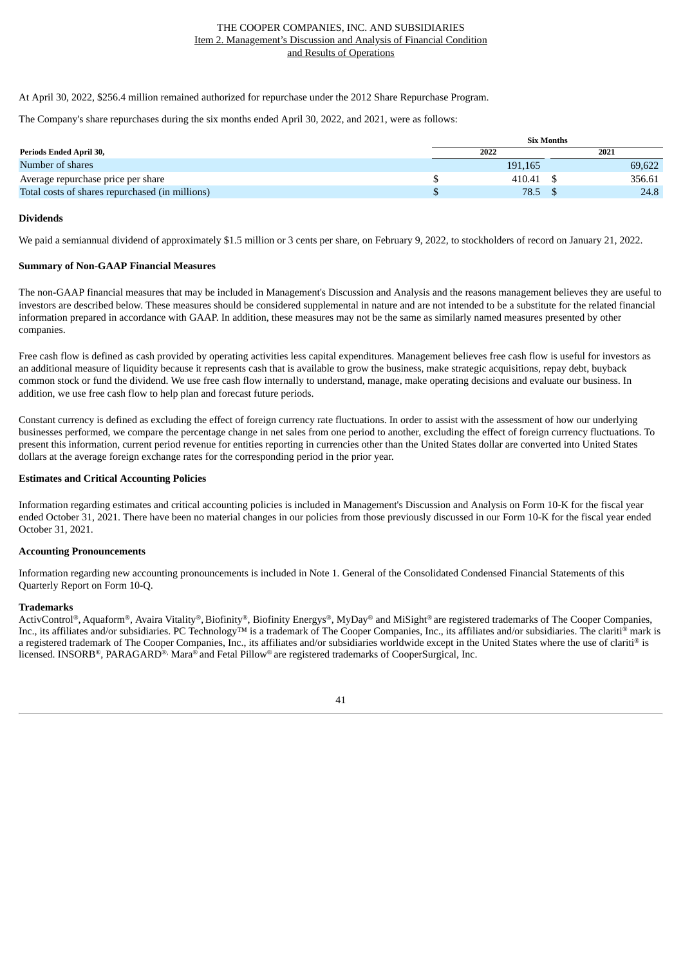At April 30, 2022, \$256.4 million remained authorized for repurchase under the 2012 Share Repurchase Program.

The Company's share repurchases during the six months ended April 30, 2022, and 2021, were as follows:

|                                                 | <b>Six Months</b> |         |  |        |  |  |
|-------------------------------------------------|-------------------|---------|--|--------|--|--|
| Periods Ended April 30,                         | 2022              |         |  | 2021   |  |  |
| Number of shares                                |                   | 191.165 |  | 69.622 |  |  |
| Average repurchase price per share              |                   | 410.41  |  | 356.61 |  |  |
| Total costs of shares repurchased (in millions) |                   | 78.5    |  | 24.8   |  |  |

#### **Dividends**

We paid a semiannual dividend of approximately \$1.5 million or 3 cents per share, on February 9, 2022, to stockholders of record on January 21, 2022.

#### **Summary of Non-GAAP Financial Measures**

The non-GAAP financial measures that may be included in Management's Discussion and Analysis and the reasons management believes they are useful to investors are described below. These measures should be considered supplemental in nature and are not intended to be a substitute for the related financial information prepared in accordance with GAAP. In addition, these measures may not be the same as similarly named measures presented by other companies.

Free cash flow is defined as cash provided by operating activities less capital expenditures. Management believes free cash flow is useful for investors as an additional measure of liquidity because it represents cash that is available to grow the business, make strategic acquisitions, repay debt, buyback common stock or fund the dividend. We use free cash flow internally to understand, manage, make operating decisions and evaluate our business. In addition, we use free cash flow to help plan and forecast future periods.

Constant currency is defined as excluding the effect of foreign currency rate fluctuations. In order to assist with the assessment of how our underlying businesses performed, we compare the percentage change in net sales from one period to another, excluding the effect of foreign currency fluctuations. To present this information, current period revenue for entities reporting in currencies other than the United States dollar are converted into United States dollars at the average foreign exchange rates for the corresponding period in the prior year.

#### **Estimates and Critical Accounting Policies**

Information regarding estimates and critical accounting policies is included in Management's Discussion and Analysis on Form 10-K for the fiscal year ended October 31, 2021. There have been no material changes in our policies from those previously discussed in our Form 10-K for the fiscal year ended October 31, 2021.

#### **Accounting Pronouncements**

Information regarding new accounting pronouncements is included in Note 1. General of the Consolidated Condensed Financial Statements of this Quarterly Report on Form 10-Q.

#### **Trademarks**

<span id="page-40-0"></span>ActivControl®, Aquaform®, Avaira Vitality®, Biofinity®, Biofinity Energys®, MyDay® and MiSight® are registered trademarks of The Cooper Companies, Inc., its affiliates and/or subsidiaries. PC Technology™ is a trademark of The Cooper Companies, Inc., its affiliates and/or subsidiaries. The clariti® mark is a registered trademark of The Cooper Companies, Inc., its affiliates and/or subsidiaries worldwide except in the United States where the use of clariti® is licensed. INSORB®, PARAGARD®<sup>,</sup> Mara® and Fetal Pillow® are registered trademarks of CooperSurgical, Inc.

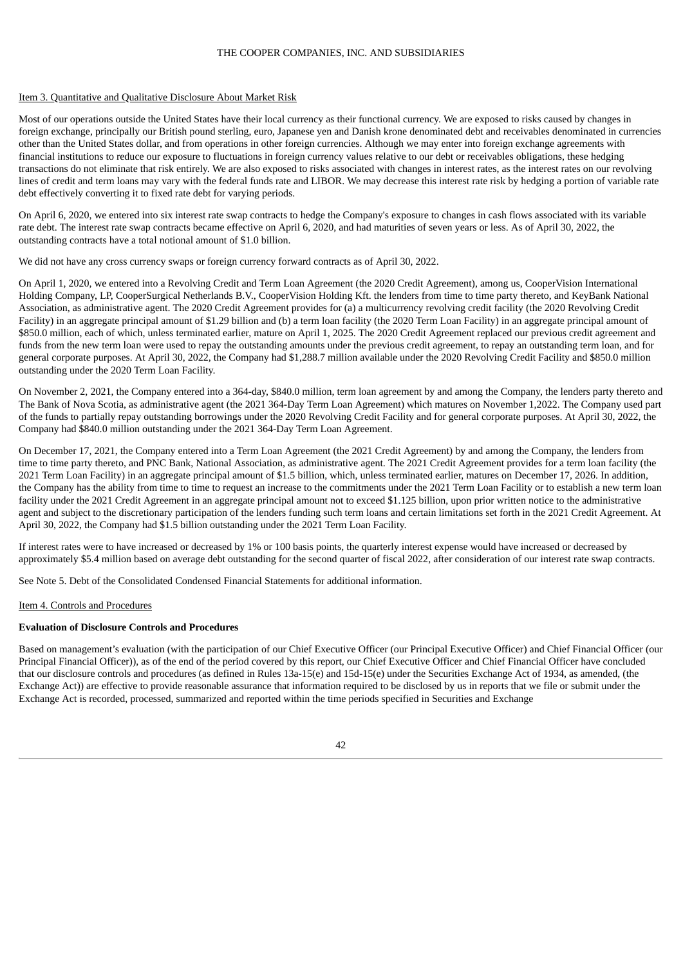# Item 3. Quantitative and Qualitative Disclosure About Market Risk

Most of our operations outside the United States have their local currency as their functional currency. We are exposed to risks caused by changes in foreign exchange, principally our British pound sterling, euro, Japanese yen and Danish krone denominated debt and receivables denominated in currencies other than the United States dollar, and from operations in other foreign currencies. Although we may enter into foreign exchange agreements with financial institutions to reduce our exposure to fluctuations in foreign currency values relative to our debt or receivables obligations, these hedging transactions do not eliminate that risk entirely. We are also exposed to risks associated with changes in interest rates, as the interest rates on our revolving lines of credit and term loans may vary with the federal funds rate and LIBOR. We may decrease this interest rate risk by hedging a portion of variable rate debt effectively converting it to fixed rate debt for varying periods.

On April 6, 2020, we entered into six interest rate swap contracts to hedge the Company's exposure to changes in cash flows associated with its variable rate debt. The interest rate swap contracts became effective on April 6, 2020, and had maturities of seven years or less. As of April 30, 2022, the outstanding contracts have a total notional amount of \$1.0 billion.

We did not have any cross currency swaps or foreign currency forward contracts as of April 30, 2022.

On April 1, 2020, we entered into a Revolving Credit and Term Loan Agreement (the 2020 Credit Agreement), among us, CooperVision International Holding Company, LP, CooperSurgical Netherlands B.V., CooperVision Holding Kft. the lenders from time to time party thereto, and KeyBank National Association, as administrative agent. The 2020 Credit Agreement provides for (a) a multicurrency revolving credit facility (the 2020 Revolving Credit Facility) in an aggregate principal amount of \$1.29 billion and (b) a term loan facility (the 2020 Term Loan Facility) in an aggregate principal amount of \$850.0 million, each of which, unless terminated earlier, mature on April 1, 2025. The 2020 Credit Agreement replaced our previous credit agreement and funds from the new term loan were used to repay the outstanding amounts under the previous credit agreement, to repay an outstanding term loan, and for general corporate purposes. At April 30, 2022, the Company had \$1,288.7 million available under the 2020 Revolving Credit Facility and \$850.0 million outstanding under the 2020 Term Loan Facility.

On November 2, 2021, the Company entered into a 364-day, \$840.0 million, term loan agreement by and among the Company, the lenders party thereto and The Bank of Nova Scotia, as administrative agent (the 2021 364-Day Term Loan Agreement) which matures on November 1,2022. The Company used part of the funds to partially repay outstanding borrowings under the 2020 Revolving Credit Facility and for general corporate purposes. At April 30, 2022, the Company had \$840.0 million outstanding under the 2021 364-Day Term Loan Agreement.

On December 17, 2021, the Company entered into a Term Loan Agreement (the 2021 Credit Agreement) by and among the Company, the lenders from time to time party thereto, and PNC Bank, National Association, as administrative agent. The 2021 Credit Agreement provides for a term loan facility (the 2021 Term Loan Facility) in an aggregate principal amount of \$1.5 billion, which, unless terminated earlier, matures on December 17, 2026. In addition, the Company has the ability from time to time to request an increase to the commitments under the 2021 Term Loan Facility or to establish a new term loan facility under the 2021 Credit Agreement in an aggregate principal amount not to exceed \$1.125 billion, upon prior written notice to the administrative agent and subject to the discretionary participation of the lenders funding such term loans and certain limitations set forth in the 2021 Credit Agreement. At April 30, 2022, the Company had \$1.5 billion outstanding under the 2021 Term Loan Facility.

If interest rates were to have increased or decreased by 1% or 100 basis points, the quarterly interest expense would have increased or decreased by approximately \$5.4 million based on average debt outstanding for the second quarter of fiscal 2022, after consideration of our interest rate swap contracts.

<span id="page-41-0"></span>See Note 5. Debt of the Consolidated Condensed Financial Statements for additional information.

#### Item 4. Controls and Procedures

#### **Evaluation of Disclosure Controls and Procedures**

Based on management's evaluation (with the participation of our Chief Executive Officer (our Principal Executive Officer) and Chief Financial Officer (our Principal Financial Officer)), as of the end of the period covered by this report, our Chief Executive Officer and Chief Financial Officer have concluded that our disclosure controls and procedures (as defined in Rules 13a-15(e) and 15d-15(e) under the Securities Exchange Act of 1934, as amended, (the Exchange Act)) are effective to provide reasonable assurance that information required to be disclosed by us in reports that we file or submit under the Exchange Act is recorded, processed, summarized and reported within the time periods specified in Securities and Exchange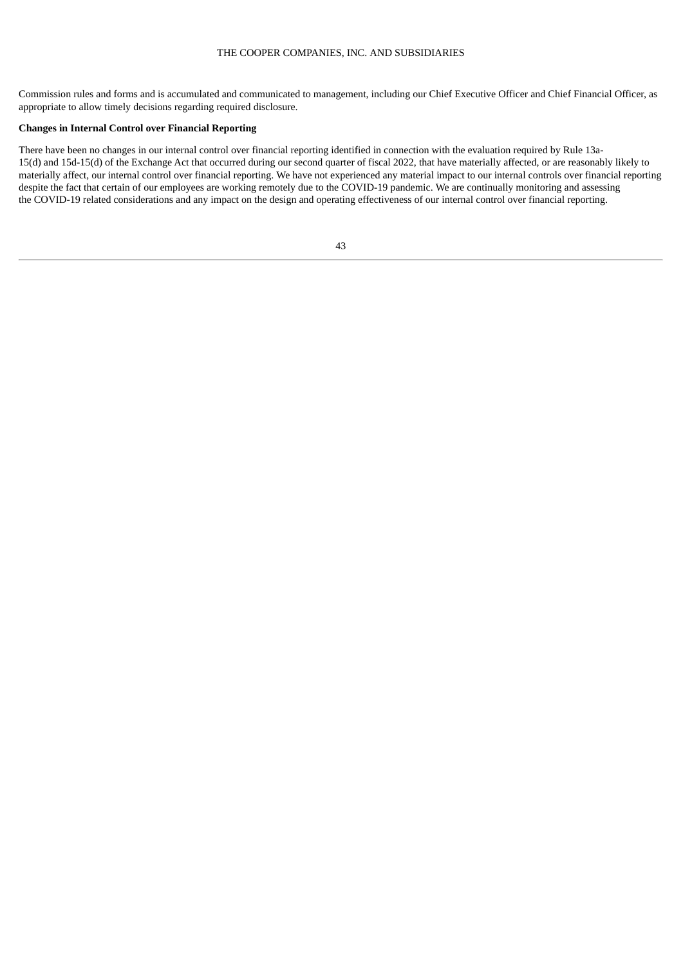Commission rules and forms and is accumulated and communicated to management, including our Chief Executive Officer and Chief Financial Officer, as appropriate to allow timely decisions regarding required disclosure.

#### **Changes in Internal Control over Financial Reporting**

<span id="page-42-0"></span>There have been no changes in our internal control over financial reporting identified in connection with the evaluation required by Rule 13a-15(d) and 15d-15(d) of the Exchange Act that occurred during our second quarter of fiscal 2022, that have materially affected, or are reasonably likely to materially affect, our internal control over financial reporting. We have not experienced any material impact to our internal controls over financial reporting despite the fact that certain of our employees are working remotely due to the COVID-19 pandemic. We are continually monitoring and assessing the COVID-19 related considerations and any impact on the design and operating effectiveness of our internal control over financial reporting.

| I<br>×<br>٠ |
|-------------|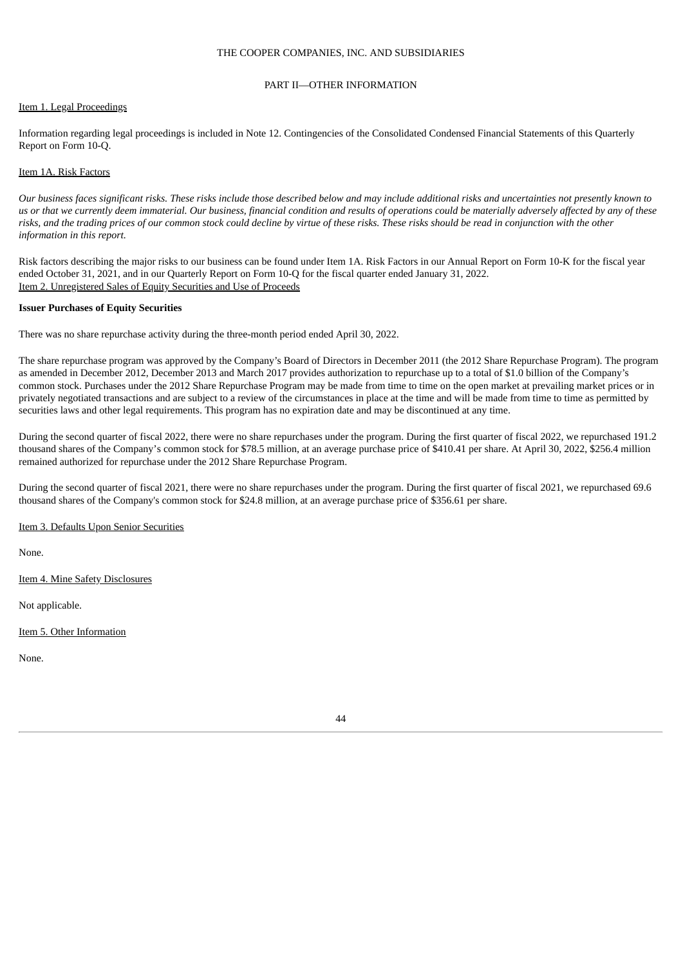#### PART II—OTHER INFORMATION

#### <span id="page-43-0"></span>Item 1. Legal Proceedings

Information regarding legal proceedings is included in Note 12. Contingencies of the Consolidated Condensed Financial Statements of this Quarterly Report on Form 10-Q.

#### <span id="page-43-1"></span>Item 1A. Risk Factors

Our business faces significant risks. These risks include those described below and may include additional risks and uncertainties not presently known to us or that we currently deem immaterial. Our business, financial condition and results of operations could be materially adversely affected by any of these risks, and the trading prices of our common stock could decline by virtue of these risks. These risks should be read in conjunction with the other *information in this report.*

Risk factors describing the major risks to our business can be found under Item 1A. Risk Factors in our Annual Report on Form 10-K for the fiscal year ended October 31, 2021, and in our Quarterly Report on Form 10-Q for the fiscal quarter ended January 31, 2022. Item 2. Unregistered Sales of Equity Securities and Use of Proceeds

#### <span id="page-43-2"></span>**Issuer Purchases of Equity Securities**

There was no share repurchase activity during the three-month period ended April 30, 2022.

The share repurchase program was approved by the Company's Board of Directors in December 2011 (the 2012 Share Repurchase Program). The program as amended in December 2012, December 2013 and March 2017 provides authorization to repurchase up to a total of \$1.0 billion of the Company's common stock. Purchases under the 2012 Share Repurchase Program may be made from time to time on the open market at prevailing market prices or in privately negotiated transactions and are subject to a review of the circumstances in place at the time and will be made from time to time as permitted by securities laws and other legal requirements. This program has no expiration date and may be discontinued at any time.

During the second quarter of fiscal 2022, there were no share repurchases under the program. During the first quarter of fiscal 2022, we repurchased 191.2 thousand shares of the Company's common stock for \$78.5 million, at an average purchase price of \$410.41 per share. At April 30, 2022, \$256.4 million remained authorized for repurchase under the 2012 Share Repurchase Program.

During the second quarter of fiscal 2021, there were no share repurchases under the program. During the first quarter of fiscal 2021, we repurchased 69.6 thousand shares of the Company's common stock for \$24.8 million, at an average purchase price of \$356.61 per share.

<span id="page-43-3"></span>Item 3. Defaults Upon Senior Securities

None.

<span id="page-43-4"></span>Item 4. Mine Safety Disclosures

Not applicable.

<span id="page-43-5"></span>Item 5. Other Information

<span id="page-43-6"></span>None.

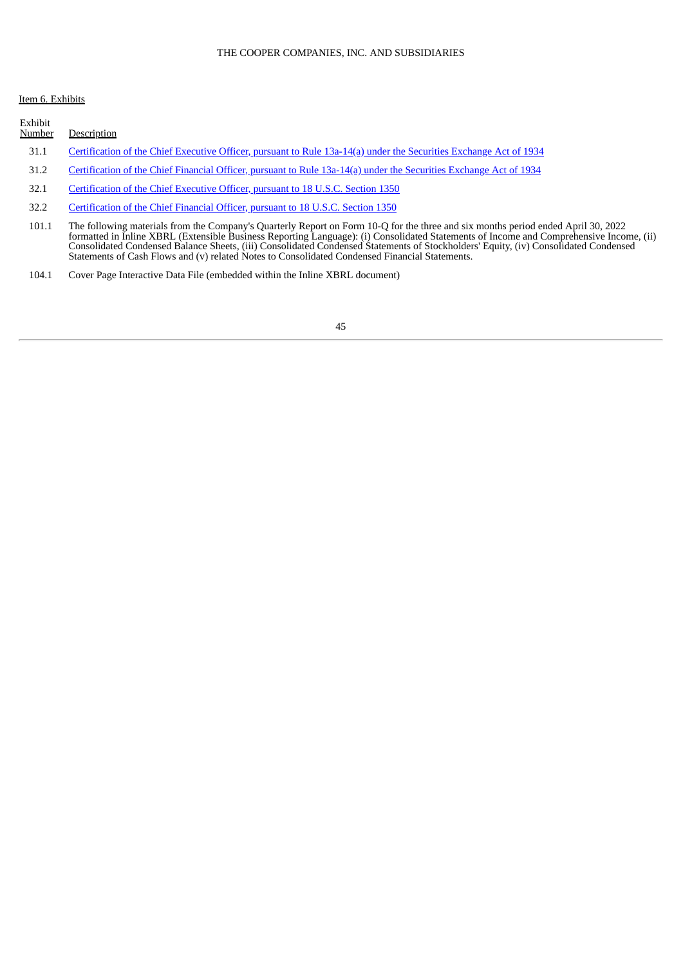# Item 6. Exhibits

Exhibit Description

- 31.1 [Certification](#page-46-0) of the Chief Executive Officer, pursuant to Rule 13a-14(a) under the Securities Exchange Act of 1934
- 31.2 [Certification](#page-47-0) of the Chief Financial Officer, pursuant to Rule 13a-14(a) under the Securities Exchange Act of 1934
- 32.1 [Certification](#page-48-0) of the Chief Executive Officer, pursuant to 18 U.S.C. Section 1350
- 32.2 [Certification](#page-49-0) of the Chief Financial Officer, pursuant to 18 U.S.C. Section 1350
- 101.1 The following materials from the Company's Quarterly Report on Form 10-Q for the three and six months period ended April 30, 2022 formatted in Inline XBRL (Extensible Business Reporting Language): (i) Consolidated Statements of Income and Comprehensive Income, (ii) Consolidated Condensed Balance Sheets, (iii) Consolidated Condensed Statements of Stockholders' Equity, (iv) Consolidated Condensed Statements of Cash Flows and (v) related Notes to Consolidated Condensed Financial Statements.
- <span id="page-44-0"></span>104.1 Cover Page Interactive Data File (embedded within the Inline XBRL document)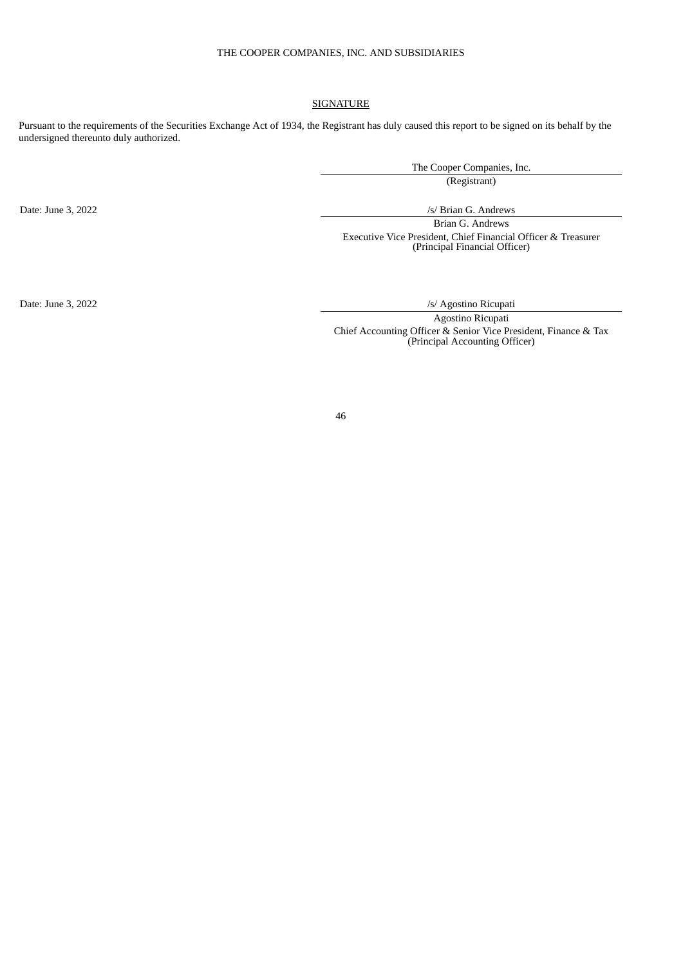# **SIGNATURE**

Pursuant to the requirements of the Securities Exchange Act of 1934, the Registrant has duly caused this report to be signed on its behalf by the undersigned thereunto duly authorized.

> The Cooper Companies, Inc. (Registrant)

Date: June 3, 2022 /s/ Brian G. Andrews Brian G. Andrews Executive Vice President, Chief Financial Officer & Treasurer (Principal Financial Officer)

Date: June 3, 2022 /s/ Agostino Ricupati

Agostino Ricupati Chief Accounting Officer & Senior Vice President, Finance & Tax (Principal Accounting Officer)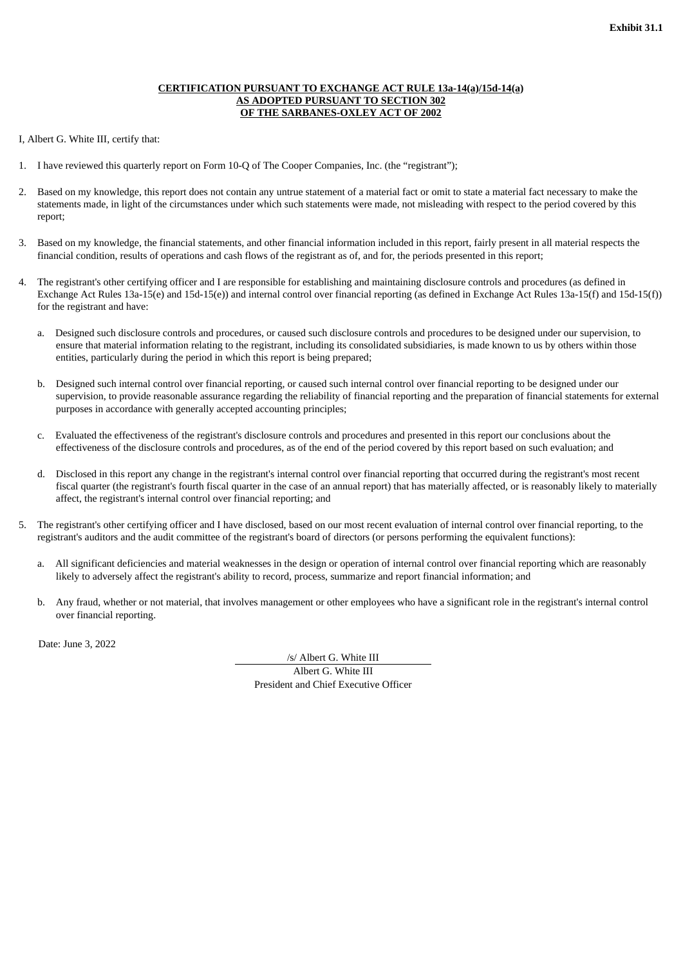#### **CERTIFICATION PURSUANT TO EXCHANGE ACT RULE 13a-14(a)/15d-14(a) AS ADOPTED PURSUANT TO SECTION 302 OF THE SARBANES-OXLEY ACT OF 2002**

<span id="page-46-0"></span>I, Albert G. White III, certify that:

- 1. I have reviewed this quarterly report on Form 10-Q of The Cooper Companies, Inc. (the "registrant");
- 2. Based on my knowledge, this report does not contain any untrue statement of a material fact or omit to state a material fact necessary to make the statements made, in light of the circumstances under which such statements were made, not misleading with respect to the period covered by this report;
- 3. Based on my knowledge, the financial statements, and other financial information included in this report, fairly present in all material respects the financial condition, results of operations and cash flows of the registrant as of, and for, the periods presented in this report;
- 4. The registrant's other certifying officer and I are responsible for establishing and maintaining disclosure controls and procedures (as defined in Exchange Act Rules 13a-15(e) and 15d-15(e)) and internal control over financial reporting (as defined in Exchange Act Rules 13a-15(f) and 15d-15(f)) for the registrant and have:
	- a. Designed such disclosure controls and procedures, or caused such disclosure controls and procedures to be designed under our supervision, to ensure that material information relating to the registrant, including its consolidated subsidiaries, is made known to us by others within those entities, particularly during the period in which this report is being prepared;
	- b. Designed such internal control over financial reporting, or caused such internal control over financial reporting to be designed under our supervision, to provide reasonable assurance regarding the reliability of financial reporting and the preparation of financial statements for external purposes in accordance with generally accepted accounting principles;
	- c. Evaluated the effectiveness of the registrant's disclosure controls and procedures and presented in this report our conclusions about the effectiveness of the disclosure controls and procedures, as of the end of the period covered by this report based on such evaluation; and
	- d. Disclosed in this report any change in the registrant's internal control over financial reporting that occurred during the registrant's most recent fiscal quarter (the registrant's fourth fiscal quarter in the case of an annual report) that has materially affected, or is reasonably likely to materially affect, the registrant's internal control over financial reporting; and
- 5. The registrant's other certifying officer and I have disclosed, based on our most recent evaluation of internal control over financial reporting, to the registrant's auditors and the audit committee of the registrant's board of directors (or persons performing the equivalent functions):
	- a. All significant deficiencies and material weaknesses in the design or operation of internal control over financial reporting which are reasonably likely to adversely affect the registrant's ability to record, process, summarize and report financial information; and
	- b. Any fraud, whether or not material, that involves management or other employees who have a significant role in the registrant's internal control over financial reporting.

Date: June 3, 2022

/s/ Albert G. White III

Albert G. White III President and Chief Executive Officer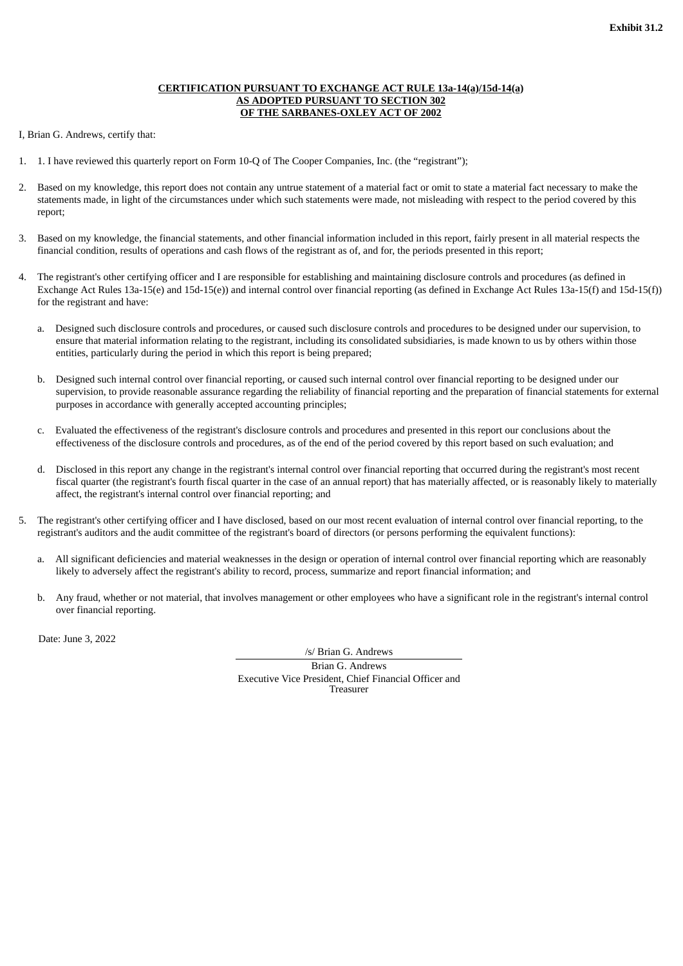#### **CERTIFICATION PURSUANT TO EXCHANGE ACT RULE 13a-14(a)/15d-14(a) AS ADOPTED PURSUANT TO SECTION 302 OF THE SARBANES-OXLEY ACT OF 2002**

<span id="page-47-0"></span>I, Brian G. Andrews, certify that:

- 1. 1. I have reviewed this quarterly report on Form 10-Q of The Cooper Companies, Inc. (the "registrant");
- 2. Based on my knowledge, this report does not contain any untrue statement of a material fact or omit to state a material fact necessary to make the statements made, in light of the circumstances under which such statements were made, not misleading with respect to the period covered by this report;
- 3. Based on my knowledge, the financial statements, and other financial information included in this report, fairly present in all material respects the financial condition, results of operations and cash flows of the registrant as of, and for, the periods presented in this report;
- 4. The registrant's other certifying officer and I are responsible for establishing and maintaining disclosure controls and procedures (as defined in Exchange Act Rules 13a-15(e) and 15d-15(e)) and internal control over financial reporting (as defined in Exchange Act Rules 13a-15(f) and 15d-15(f)) for the registrant and have:
	- a. Designed such disclosure controls and procedures, or caused such disclosure controls and procedures to be designed under our supervision, to ensure that material information relating to the registrant, including its consolidated subsidiaries, is made known to us by others within those entities, particularly during the period in which this report is being prepared;
	- b. Designed such internal control over financial reporting, or caused such internal control over financial reporting to be designed under our supervision, to provide reasonable assurance regarding the reliability of financial reporting and the preparation of financial statements for external purposes in accordance with generally accepted accounting principles;
	- c. Evaluated the effectiveness of the registrant's disclosure controls and procedures and presented in this report our conclusions about the effectiveness of the disclosure controls and procedures, as of the end of the period covered by this report based on such evaluation; and
	- d. Disclosed in this report any change in the registrant's internal control over financial reporting that occurred during the registrant's most recent fiscal quarter (the registrant's fourth fiscal quarter in the case of an annual report) that has materially affected, or is reasonably likely to materially affect, the registrant's internal control over financial reporting; and
- 5. The registrant's other certifying officer and I have disclosed, based on our most recent evaluation of internal control over financial reporting, to the registrant's auditors and the audit committee of the registrant's board of directors (or persons performing the equivalent functions):
	- a. All significant deficiencies and material weaknesses in the design or operation of internal control over financial reporting which are reasonably likely to adversely affect the registrant's ability to record, process, summarize and report financial information; and
	- b. Any fraud, whether or not material, that involves management or other employees who have a significant role in the registrant's internal control over financial reporting.

Date: June 3, 2022

/s/ Brian G. Andrews

Brian G. Andrews Executive Vice President, Chief Financial Officer and Treasurer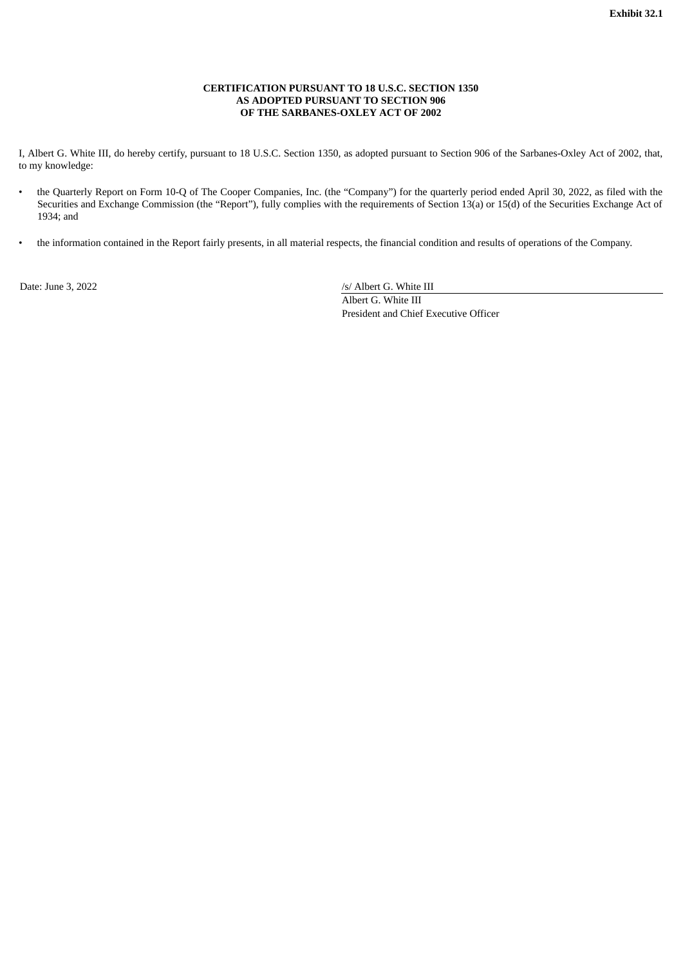# **CERTIFICATION PURSUANT TO 18 U.S.C. SECTION 1350 AS ADOPTED PURSUANT TO SECTION 906 OF THE SARBANES-OXLEY ACT OF 2002**

<span id="page-48-0"></span>I, Albert G. White III, do hereby certify, pursuant to 18 U.S.C. Section 1350, as adopted pursuant to Section 906 of the Sarbanes-Oxley Act of 2002, that, to my knowledge:

- the Quarterly Report on Form 10-Q of The Cooper Companies, Inc. (the "Company") for the quarterly period ended April 30, 2022, as filed with the Securities and Exchange Commission (the "Report"), fully complies with the requirements of Section 13(a) or 15(d) of the Securities Exchange Act of 1934; and
- the information contained in the Report fairly presents, in all material respects, the financial condition and results of operations of the Company.

Date: June 3, 2022 /s/ Albert G. White III

Albert G. White III President and Chief Executive Officer